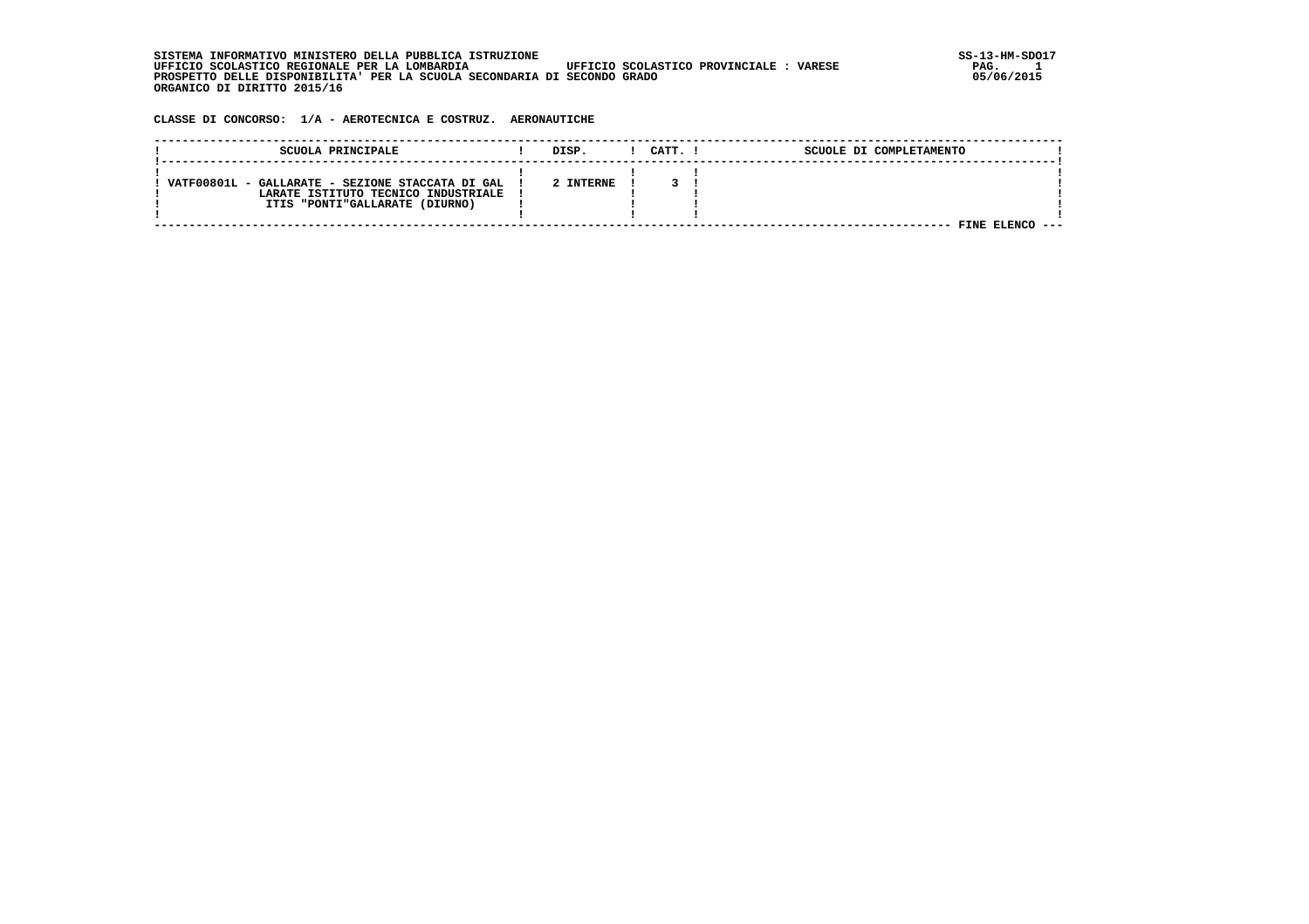**SISTEMA INFORMATIVO MINISTERO DELLA PUBBLICA ISTRUZIONE SS-13-HM-SDO17 UFFICIO SCOLASTICO REGIONALE PER LA LOMBARDIA UFFICIO SCOLASTICO PROVINCIALE : VARESE PAG. 1 PROSPETTO DELLE DISPONIBILITA' PER LA SCUOLA SECONDARIA DI SECONDO GRADO 05/06/2015 ORGANICO DI DIRITTO 2015/16**

 **CLASSE DI CONCORSO: 1/A - AEROTECNICA E COSTRUZ. AERONAUTICHE**

| SCUOLA PRINCIPALE                                | DISP.     | CATT. I | SCUOLE DI COMPLETAMENTO |  |
|--------------------------------------------------|-----------|---------|-------------------------|--|
|                                                  |           |         |                         |  |
| VATF00801L - GALLARATE - SEZIONE STACCATA DI GAL | 2 INTERNE |         |                         |  |
| LARATE ISTITUTO TECNICO INDUSTRIALE              |           |         |                         |  |
| ITIS "PONTI"GALLARATE (DIURNO)                   |           |         |                         |  |
|                                                  |           |         |                         |  |
|                                                  |           |         | FINE                    |  |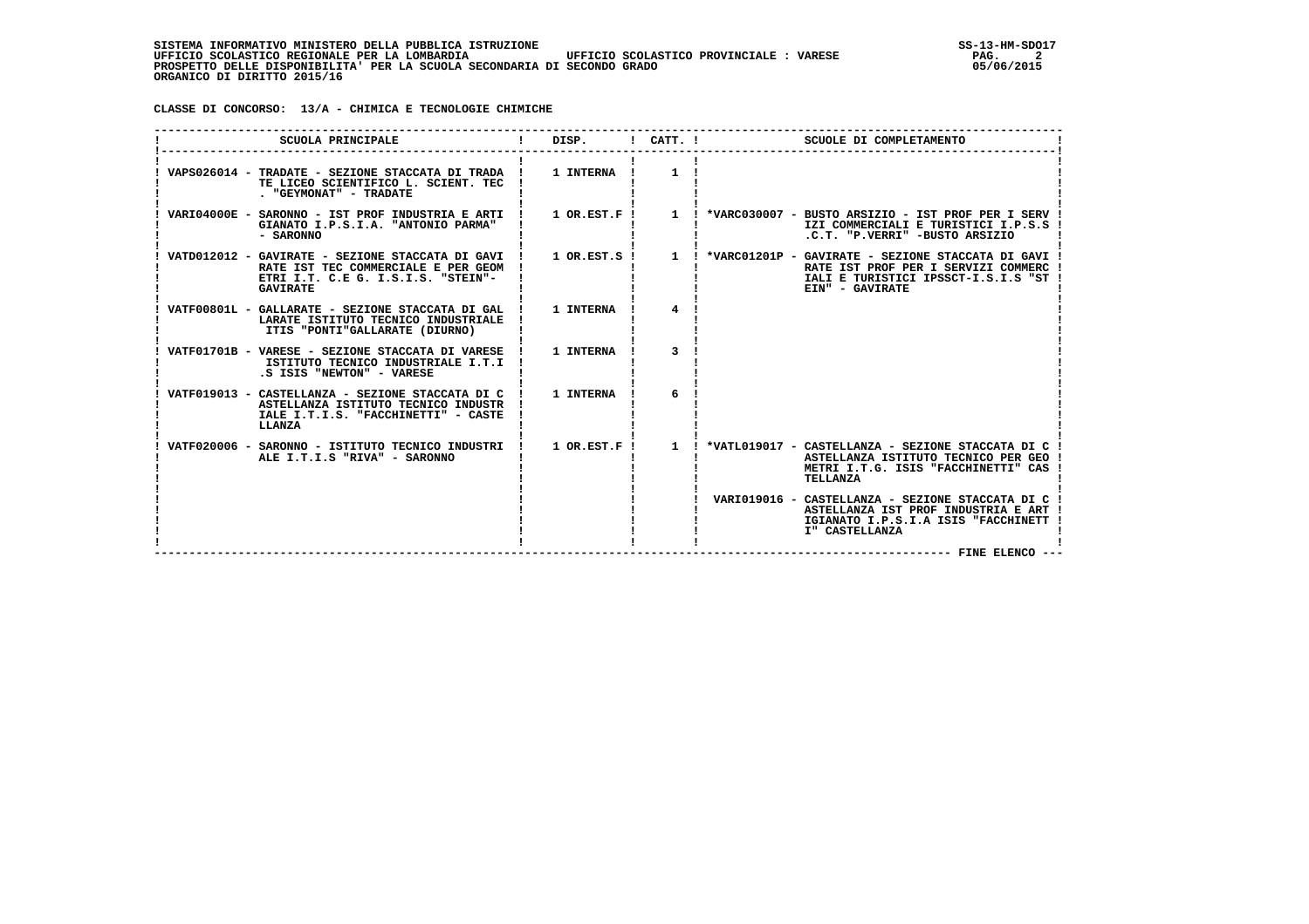**CLASSE DI CONCORSO: 13/A - CHIMICA E TECNOLOGIE CHIMICHE**

| SCUOLA PRINCIPALE                                                                                                                          | DISP.<br>$\mathbf{I}$ and $\mathbf{I}$ | $!$ $CATT$ . $!$ | SCUOLE DI COMPLETAMENTO                                                                                                                                                                                                  |
|--------------------------------------------------------------------------------------------------------------------------------------------|----------------------------------------|------------------|--------------------------------------------------------------------------------------------------------------------------------------------------------------------------------------------------------------------------|
| VAPS026014 - TRADATE - SEZIONE STACCATA DI TRADA !<br>TE LICEO SCIENTIFICO L. SCIENT. TEC<br>. "GEYMONAT" - TRADATE                        | 1 INTERNA !                            | 1                |                                                                                                                                                                                                                          |
| VARI04000E - SARONNO - IST PROF INDUSTRIA E ARTI !<br>GIANATO I.P.S.I.A. "ANTONIO PARMA"<br>- SARONNO                                      |                                        |                  | 1 OR.EST.F ! 1 ! *VARC030007 - BUSTO ARSIZIO - IST PROF PER I SERV !<br>IZI COMMERCIALI E TURISTICI I.P.S.S !<br>.C.T. "P.VERRI" -BUSTO ARSIZIO                                                                          |
| RATE IST TEC COMMERCIALE E PER GEOM<br>ETRI I.T. C.E G. I.S.I.S. "STEIN"-<br><b>GAVIRATE</b>                                               |                                        |                  | VATD012012 - GAVIRATE - SEZIONE STACCATA DI GAVI ! 1 OR.EST.S ! 1 ! *VARC01201P - GAVIRATE - SEZIONE STACCATA DI GAVI !<br>RATE IST PROF PER I SERVIZI COMMERC<br>IALI E TURISTICI IPSSCT-I.S.I.S "ST<br>EIN" - GAVIRATE |
| VATF00801L - GALLARATE - SEZIONE STACCATA DI GAL !<br>LARATE ISTITUTO TECNICO INDUSTRIALE<br>ITIS "PONTI"GALLARATE (DIURNO)                | 1 INTERNA                              |                  |                                                                                                                                                                                                                          |
| VATF01701B - VARESE - SEZIONE STACCATA DI VARESE !<br>ISTITUTO TECNICO INDUSTRIALE I.T.I !<br>.S ISIS "NEWTON" - VARESE                    | 1 INTERNA                              | 3                |                                                                                                                                                                                                                          |
| VATF019013 - CASTELLANZA - SEZIONE STACCATA DI C !<br>ASTELLANZA ISTITUTO TECNICO INDUSTR<br>IALE I.T.I.S. "FACCHINETTI" - CASTE<br>LLANZA | 1 INTERNA                              | 6                |                                                                                                                                                                                                                          |
| VATF020006 - SARONNO - ISTITUTO TECNICO INDUSTRI !<br>ALE I.T.I.S "RIVA" - SARONNO                                                         | $1$ OR.EST.F $\overline{1}$            | $\mathbf{1}$     | *VATL019017 - CASTELLANZA - SEZIONE STACCATA DI C !<br>ASTELLANZA ISTITUTO TECNICO PER GEO !<br>METRI I.T.G. ISIS "FACCHINETTI" CAS<br>TELLANZA                                                                          |
|                                                                                                                                            |                                        |                  | VARI019016 - CASTELLANZA - SEZIONE STACCATA DI C<br>ASTELLANZA IST PROF INDUSTRIA E ART<br>IGIANATO I.P.S.I.A ISIS "FACCHINETT<br>I" CASTELLANZA<br>--- FINE ELENCO ---                                                  |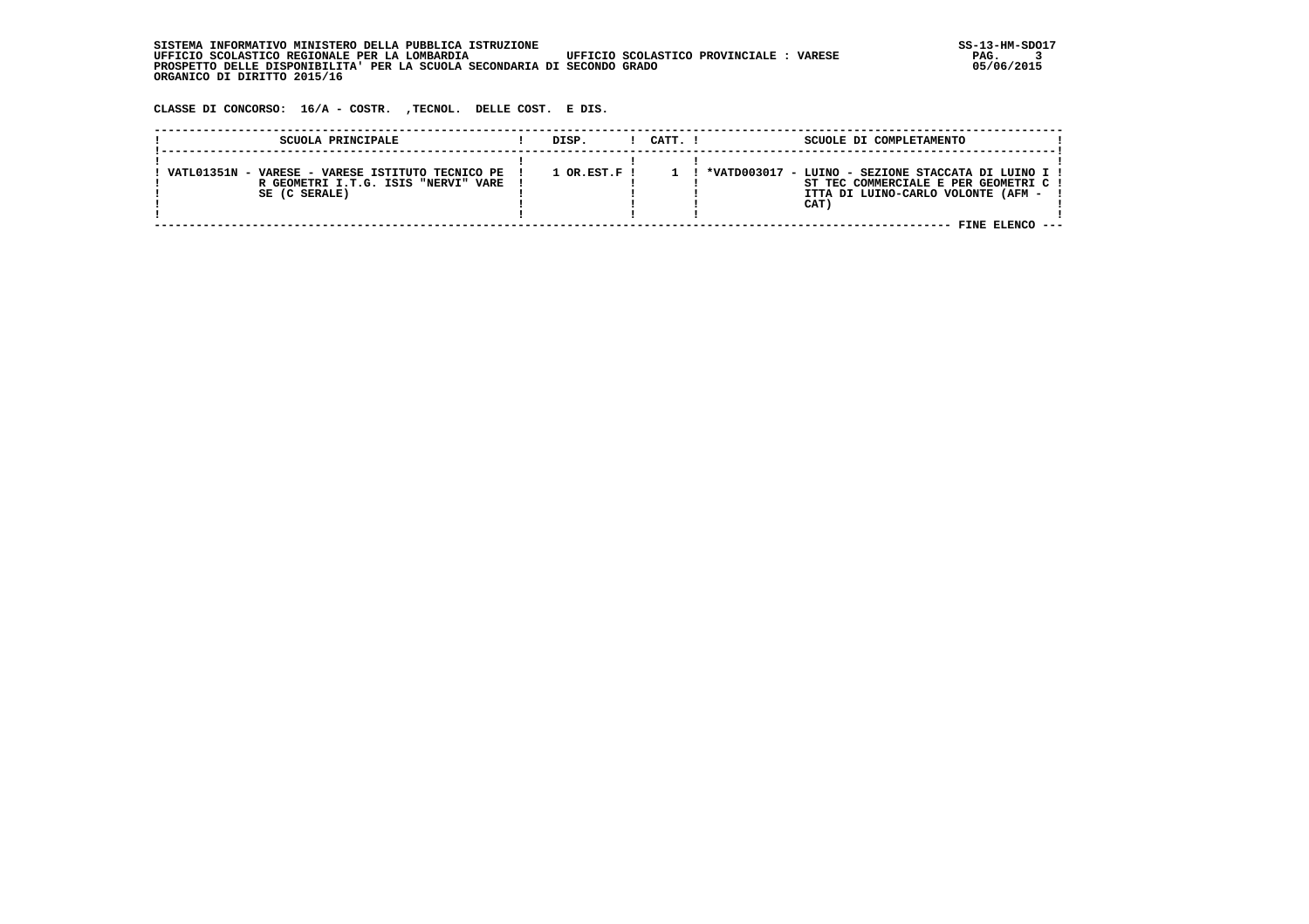SISTEMA INFORMATIVO MINISTERO DELLA PUBBLICA ISTRUZIONE UPFICIO SCOLASTICO PROVINCIALE : VARESE SS-13-HM-SDO17<br>The set of the state of the state of the set of the set of the set of the set of the state of the state of the  **UFFICIO SCOLASTICO REGIONALE PER LA LOMBARDIA UFFICIO SCOLASTICO PROVINCIALE : VARESE PAG. 3 PROSPETTO DELLE DISPONIBILITA' PER LA SCUOLA SECONDARIA DI SECONDO GRADO 05/06/2015 ORGANICO DI DIRITTO 2015/16**

 **CLASSE DI CONCORSO: 16/A - COSTR. ,TECNOL. DELLE COST. E DIS.**

| SCUOLA PRINCIPALE                                                                                           | DISP.                    | CATT. ! | SCUOLE DI COMPLETAMENTO                                                                                                                                       |  |
|-------------------------------------------------------------------------------------------------------------|--------------------------|---------|---------------------------------------------------------------------------------------------------------------------------------------------------------------|--|
| VARESE - VARESE ISTITUTO TECNICO PE<br>VATL01351N -<br>R GEOMETRI I.T.G. ISIS "NERVI" VARE<br>SE (C SERALE) | $1$ OR.EST.F $\mathsf I$ |         | *VATD003017 - LUINO - SEZIONE STACCATA DI LUINO I !<br>ST TEC COMMERCIALE E PER GEOMETRI C !<br>ITTA DI LUINO-CARLO VOLONTE (AFM -<br>CAT)<br>FINE ELENCO --- |  |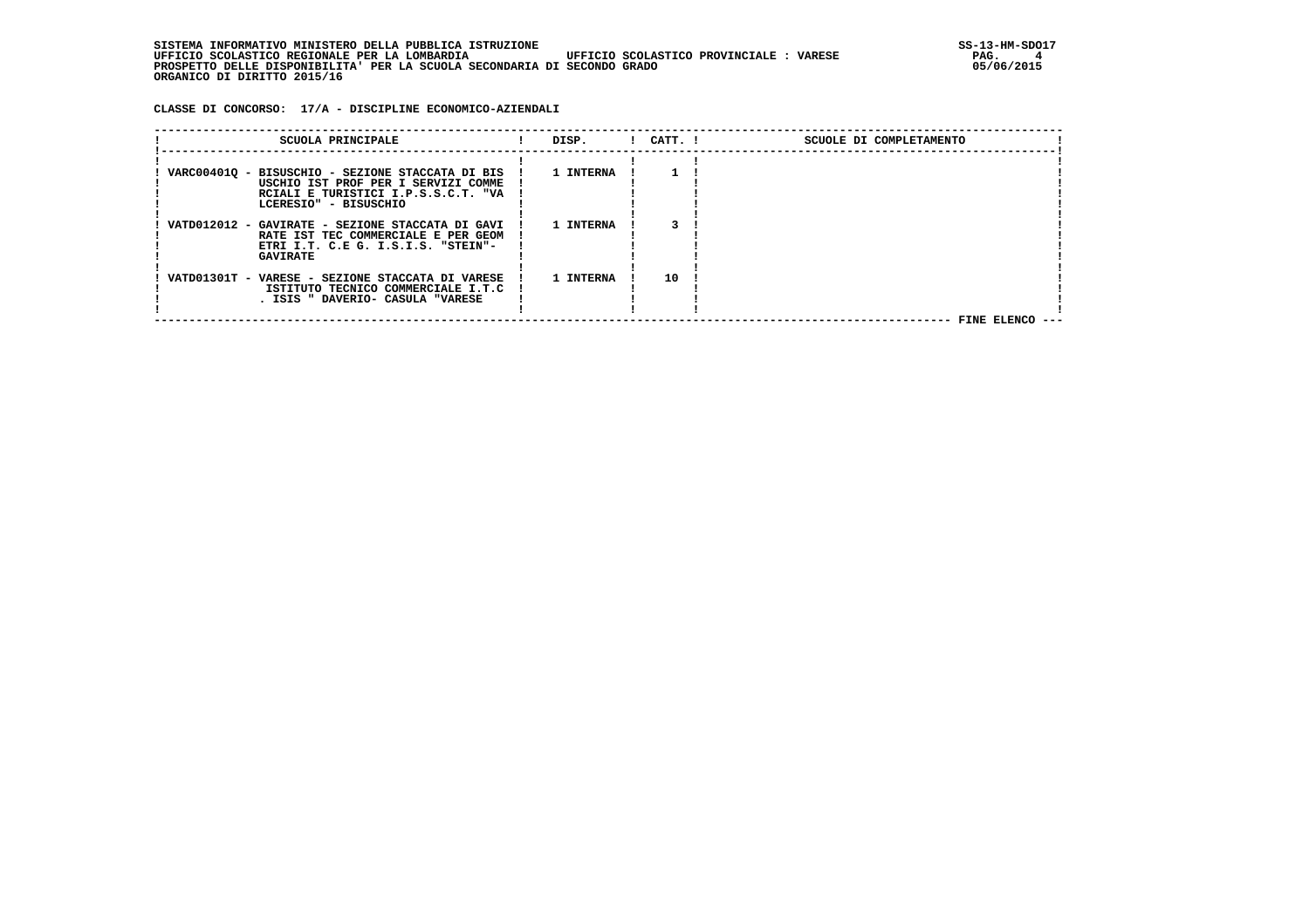**CLASSE DI CONCORSO: 17/A - DISCIPLINE ECONOMICO-AZIENDALI**

| SCUOLA PRINCIPALE                                                                                                                                       | DISP.     | $!$ $CATT$ . $!$ | SCUOLE DI COMPLETAMENTO |  |
|---------------------------------------------------------------------------------------------------------------------------------------------------------|-----------|------------------|-------------------------|--|
| VARC00401Q - BISUSCHIO - SEZIONE STACCATA DI BIS<br>USCHIO IST PROF PER I SERVIZI COMME<br>RCIALI E TURISTICI I.P.S.S.C.T. "VA<br>LCERESIO" - BISUSCHIO | 1 INTERNA |                  |                         |  |
| VATD012012 - GAVIRATE - SEZIONE STACCATA DI GAVI<br>RATE IST TEC COMMERCIALE E PER GEOM<br>ETRI I.T. C.E G. I.S.I.S. "STEIN"-<br><b>GAVIRATE</b>        | 1 INTERNA |                  |                         |  |
| VATD01301T - VARESE - SEZIONE STACCATA DI VARESE<br>ISTITUTO TECNICO COMMERCIALE I.T.C<br>. ISIS " DAVERIO- CASULA "VARESE                              | 1 INTERNA | 10               |                         |  |
|                                                                                                                                                         |           |                  | FINE ELENCO ---         |  |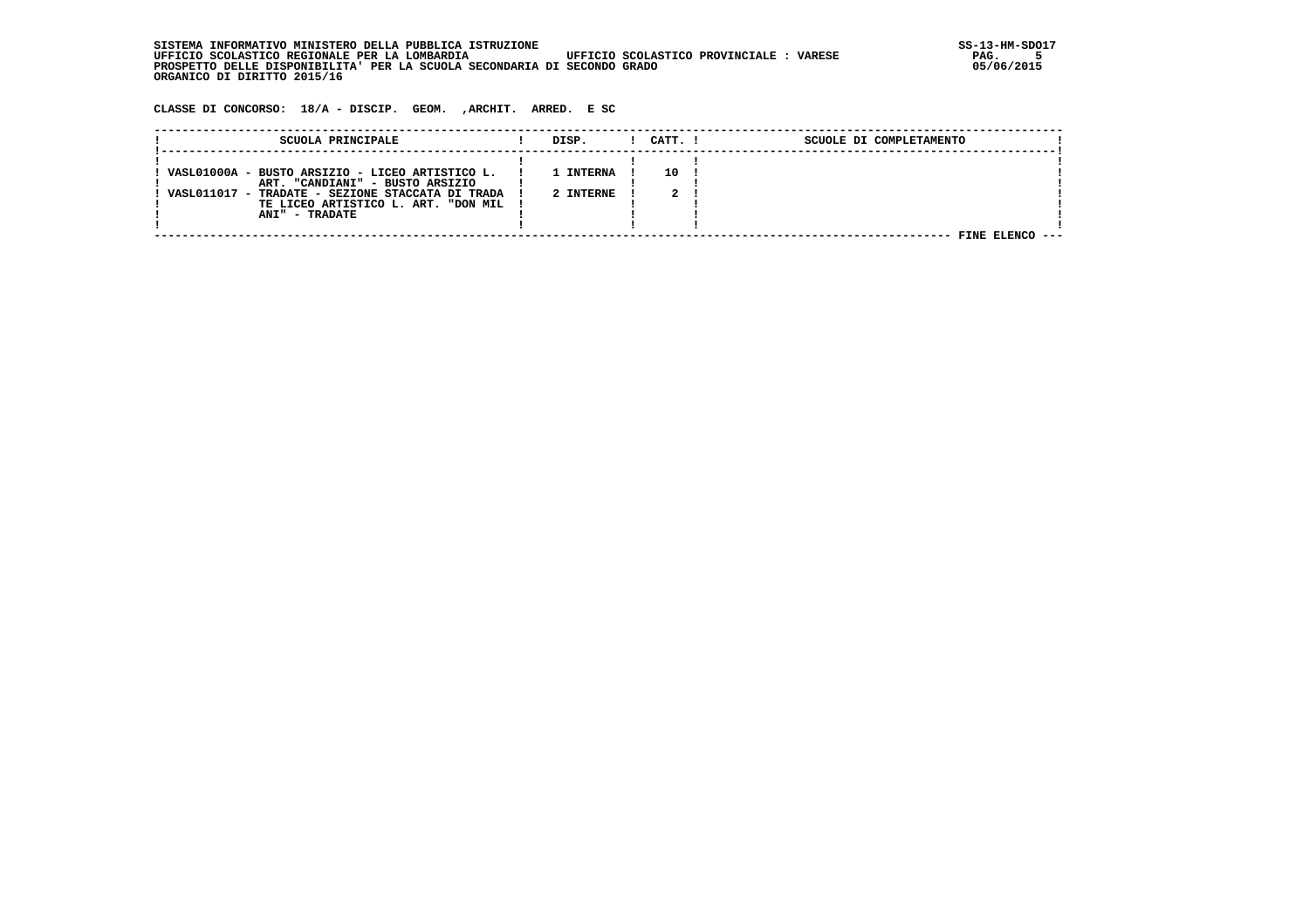SISTEMA INFORMATIVO MINISTERO DELLA PUBBLICA ISTRUZIONE UPFICIO SCOLASTICO PROVINCIALE : VARESE STOLO RAG. 5<br>The state of the state of the state of the state of the seasonal state of the state of the state of the state o  **UFFICIO SCOLASTICO REGIONALE PER LA LOMBARDIA UFFICIO SCOLASTICO PROVINCIALE : VARESE PAG. 5 PROSPETTO DELLE DISPONIBILITA' PER LA SCUOLA SECONDARIA DI SECONDO GRADO 05/06/2015 ORGANICO DI DIRITTO 2015/16**

 **CLASSE DI CONCORSO: 18/A - DISCIP. GEOM. ,ARCHIT. ARRED. E SC**

| SCUOLA PRINCIPALE                                                                                                                                                                               | DISP.                       | CATT. I | SCUOLE DI COMPLETAMENTO |  |
|-------------------------------------------------------------------------------------------------------------------------------------------------------------------------------------------------|-----------------------------|---------|-------------------------|--|
| VASL01000A - BUSTO ARSIZIO - LICEO ARTISTICO L.<br>ART. "CANDIANI" - BUSTO ARSIZIO<br>VASL011017 - TRADATE - SEZIONE STACCATA DI TRADA<br>TE LICEO ARTISTICO L. ART. "DON MIL<br>ANI" - TRADATE | <b>INTERNA</b><br>2 INTERNE | 10      |                         |  |
|                                                                                                                                                                                                 |                             |         | FINE ELENCO             |  |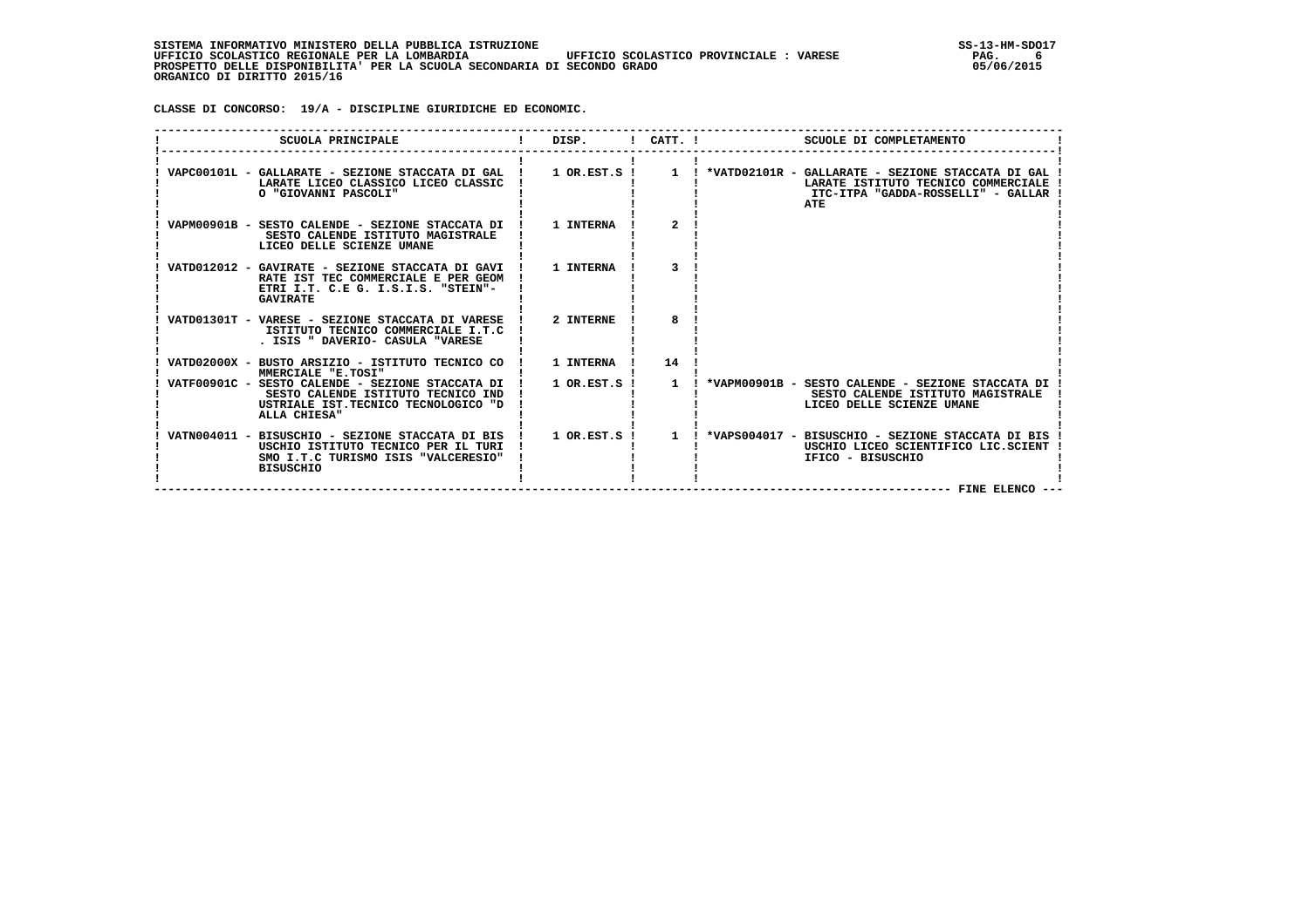**CLASSE DI CONCORSO: 19/A - DISCIPLINE GIURIDICHE ED ECONOMIC.**

| SCUOLA PRINCIPALE                                                                                                                                    | DISP.             |              | $I$ CATT. $I$<br>SCUOLE DI COMPLETAMENTO                                                                                                                                                                  |
|------------------------------------------------------------------------------------------------------------------------------------------------------|-------------------|--------------|-----------------------------------------------------------------------------------------------------------------------------------------------------------------------------------------------------------|
| LARATE LICEO CLASSICO LICEO CLASSIC<br>O "GIOVANNI PASCOLI"                                                                                          |                   |              | VAPC00101L - GALLARATE - SEZIONE STACCATA DI GAL   1 OR.EST.S   1   *VATD02101R - GALLARATE - SEZIONE STACCATA DI GAL<br>LARATE ISTITUTO TECNICO COMMERCIALE<br>ITC-ITPA "GADDA-ROSSELLI" - GALLAR<br>ATE |
| VAPM00901B - SESTO CALENDE - SEZIONE STACCATA DI !<br>SESTO CALENDE ISTITUTO MAGISTRALE<br>LICEO DELLE SCIENZE UMANE                                 | 1 INTERNA         | $\mathbf{2}$ |                                                                                                                                                                                                           |
| VATD012012 - GAVIRATE - SEZIONE STACCATA DI GAVI !<br>RATE IST TEC COMMERCIALE E PER GEOM<br>ETRI I.T. C.E G. I.S.I.S. "STEIN"-<br><b>GAVIRATE</b>   | 1 INTERNA         |              |                                                                                                                                                                                                           |
| VATD01301T - VARESE - SEZIONE STACCATA DI VARESE !<br>ISTITUTO TECNICO COMMERCIALE I.T.C<br>. ISIS " DAVERIO- CASULA "VARESE                         | 2 INTERNE         | 8            |                                                                                                                                                                                                           |
| VATD02000X - BUSTO ARSIZIO - ISTITUTO TECNICO CO<br>MMERCIALE "E.TOSI"                                                                               | 1 INTERNA         | 14           |                                                                                                                                                                                                           |
| VATF00901C - SESTO CALENDE - SEZIONE STACCATA DI<br>SESTO CALENDE ISTITUTO TECNICO IND<br>USTRIALE IST. TECNICO TECNOLOGICO "D<br>ALLA CHIESA"       | $1$ OR.EST.S !    | $\mathbf{1}$ | *VAPM00901B - SESTO CALENDE - SEZIONE STACCATA DI<br>SESTO CALENDE ISTITUTO MAGISTRALE<br>LICEO DELLE SCIENZE UMANE                                                                                       |
| VATN004011 - BISUSCHIO - SEZIONE STACCATA DI BIS !<br>USCHIO ISTITUTO TECNICO PER IL TURI<br>SMO I.T.C TURISMO ISIS "VALCERESIO"<br><b>BISUSCHIO</b> | $1$ OR.EST.S! $1$ |              | ! *VAPS004017 - BISUSCHIO - SEZIONE STACCATA DI BIS<br>USCHIO LICEO SCIENTIFICO LIC.SCIENT<br>IFICO - BISUSCHIO                                                                                           |
|                                                                                                                                                      |                   |              | FINE ELENCO --                                                                                                                                                                                            |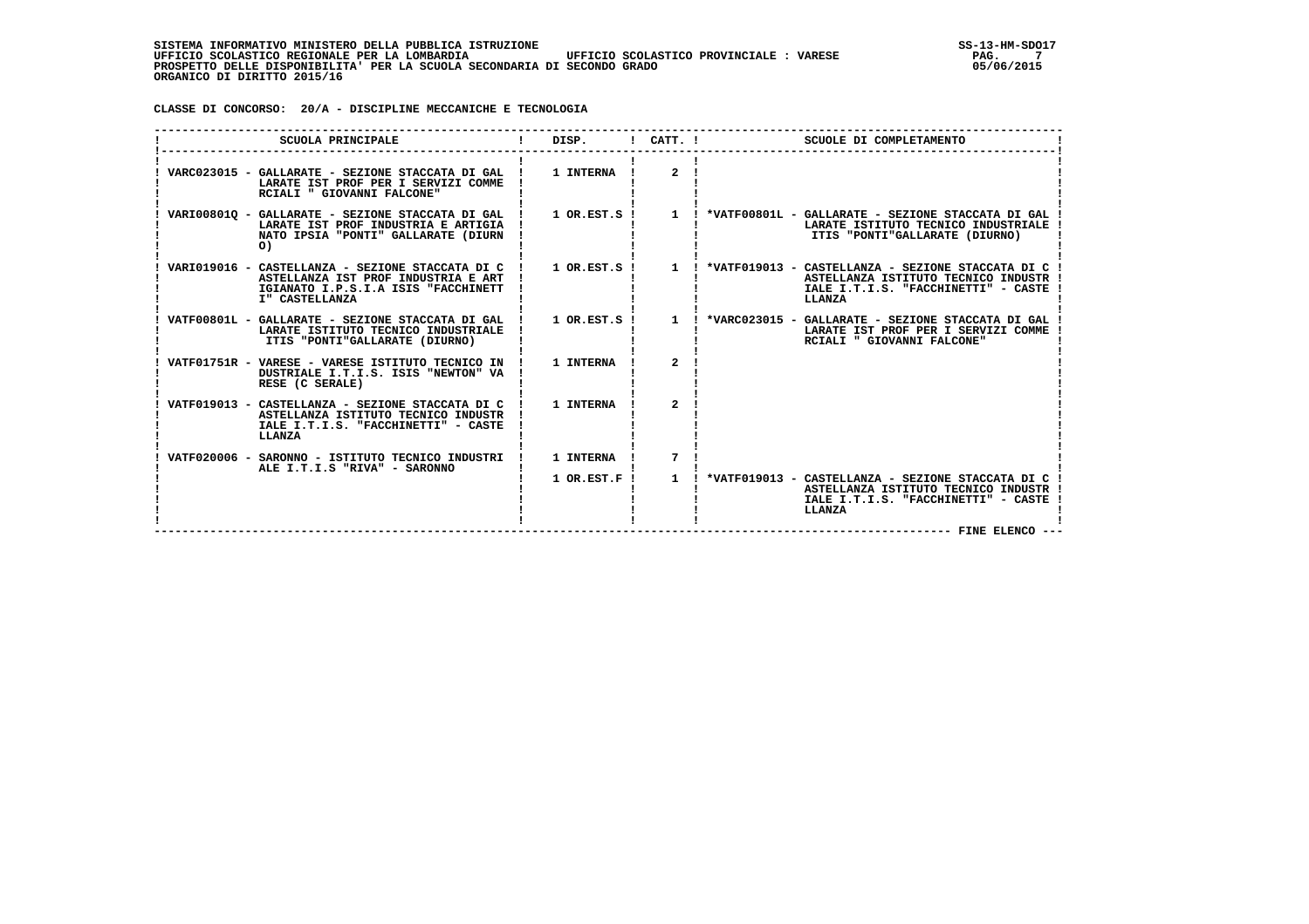**CLASSE DI CONCORSO: 20/A - DISCIPLINE MECCANICHE E TECNOLOGIA**

| SCUOLA PRINCIPALE                                                                                                                                | DISP.            | $1$ CATT. $1$         | SCUOLE DI COMPLETAMENTO                                                                                                                     |
|--------------------------------------------------------------------------------------------------------------------------------------------------|------------------|-----------------------|---------------------------------------------------------------------------------------------------------------------------------------------|
| VARC023015 - GALLARATE - SEZIONE STACCATA DI GAL<br>LARATE IST PROF PER I SERVIZI COMME<br>RCIALI " GIOVANNI FALCONE"                            | 1 INTERNA        | $\overline{2}$        |                                                                                                                                             |
| VARI008010 - GALLARATE - SEZIONE STACCATA DI GAL<br>LARATE IST PROF INDUSTRIA E ARTIGIA<br>NATO IPSIA "PONTI" GALLARATE (DIURN<br>$\circ$        | $1$ OR.EST.S $1$ | $\mathbf{1}$          | ! *VATF00801L - GALLARATE - SEZIONE STACCATA DI GAL<br>LARATE ISTITUTO TECNICO INDUSTRIALE<br>ITIS "PONTI"GALLARATE (DIURNO)                |
| VARI019016 - CASTELLANZA - SEZIONE STACCATA DI C<br>ASTELLANZA IST PROF INDUSTRIA E ART<br>IGIANATO I.P.S.I.A ISIS "FACCHINETT<br>I" CASTELLANZA | $1$ OR.EST.S $1$ | $\mathbf{1}$          | *VATF019013 - CASTELLANZA - SEZIONE STACCATA DI C !<br>ASTELLANZA ISTITUTO TECNICO INDUSTR<br>IALE I.T.I.S. "FACCHINETTI" - CASTE<br>LLANZA |
| VATF00801L - GALLARATE - SEZIONE STACCATA DI GAL !<br>LARATE ISTITUTO TECNICO INDUSTRIALE<br>ITIS "PONTI"GALLARATE (DIURNO)                      | $1$ OR.EST.S !   | $\mathbf{1}$          | ! *VARC023015 - GALLARATE - SEZIONE STACCATA DI GAL<br>LARATE IST PROF PER I SERVIZI COMME<br>RCIALI " GIOVANNI FALCONE"                    |
| VATF01751R - VARESE - VARESE ISTITUTO TECNICO IN !<br>DUSTRIALE I.T.I.S. ISIS "NEWTON" VA<br>RESE (C SERALE)                                     | 1 INTERNA        | $\mathbf{z}$          |                                                                                                                                             |
| VATF019013 - CASTELLANZA - SEZIONE STACCATA DI C<br>ASTELLANZA ISTITUTO TECNICO INDUSTR<br>IALE I.T.I.S. "FACCHINETTI" - CASTE<br>LLANZA         | 1 INTERNA        | $\mathbf{2}^{\prime}$ |                                                                                                                                             |
| VATF020006 - SARONNO - ISTITUTO TECNICO INDUSTRI<br>ALE I.T.I.S "RIVA" - SARONNO                                                                 | 1 INTERNA        | 7                     |                                                                                                                                             |
|                                                                                                                                                  | $1$ OR. EST. F!  | $\mathbf{1}$          | *VATF019013 - CASTELLANZA - SEZIONE STACCATA DI C !<br>ASTELLANZA ISTITUTO TECNICO INDUSTR<br>IALE I.T.I.S. "FACCHINETTI" - CASTE<br>LLANZA |
|                                                                                                                                                  |                  |                       | FINE ELENCO ---                                                                                                                             |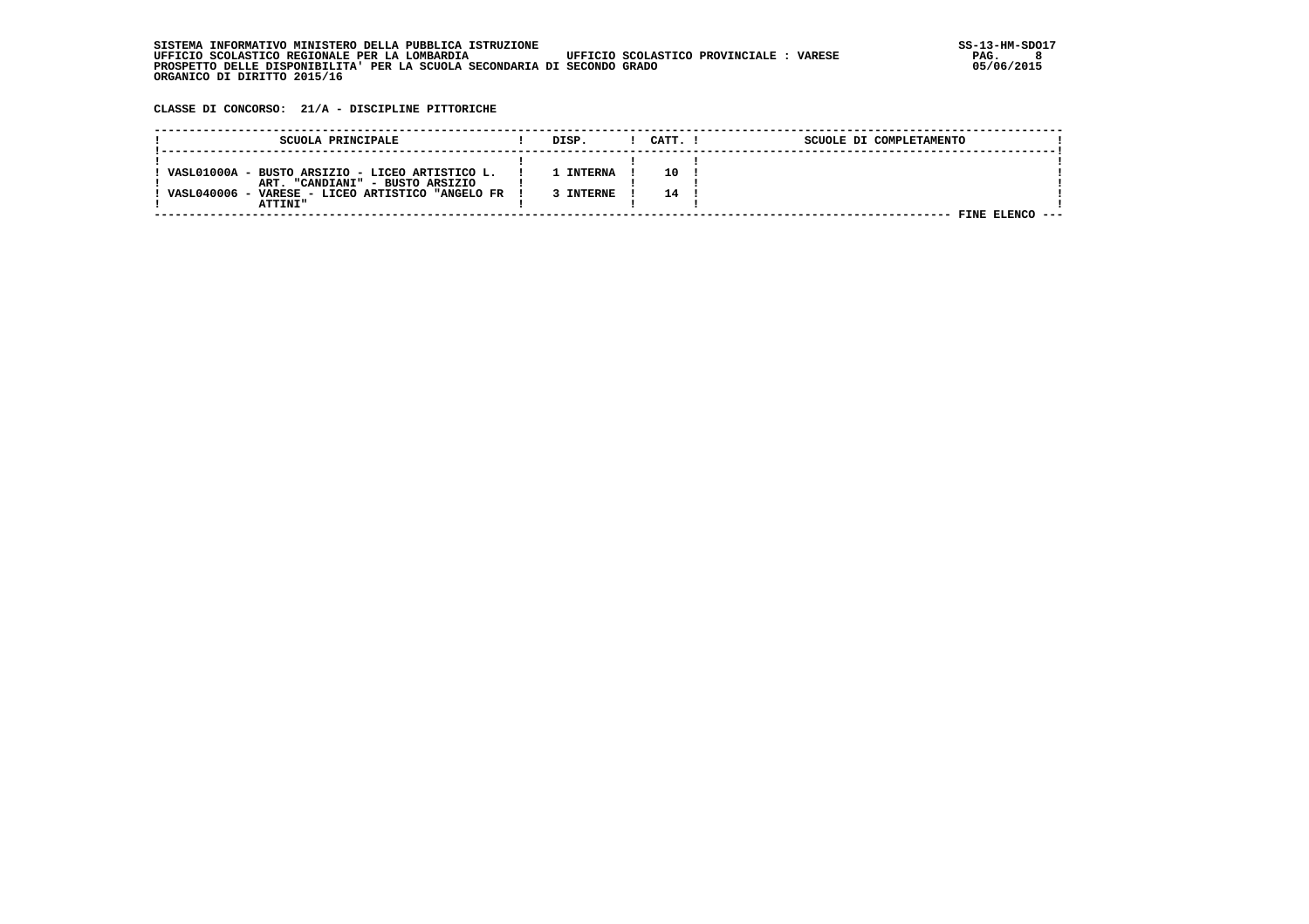**CLASSE DI CONCORSO: 21/A - DISCIPLINE PITTORICHE**

| SCUOLA PRINCIPALE                                | DISP.          | CATT. | SCUOLE DI COMPLETAMENTO |  |
|--------------------------------------------------|----------------|-------|-------------------------|--|
|                                                  |                |       |                         |  |
| VASL01000A - BUSTO ARSIZIO - LICEO ARTISTICO L.  | <b>INTERNA</b> | 10    |                         |  |
| ART. "CANDIANI" - BUSTO ARSIZIO                  |                |       |                         |  |
| VASL040006 - VARESE - LICEO ARTISTICO "ANGELO FR | <b>TNTERNE</b> | 14.   |                         |  |
| <b>ATTINI"</b>                                   |                |       |                         |  |
|                                                  |                |       | FINE                    |  |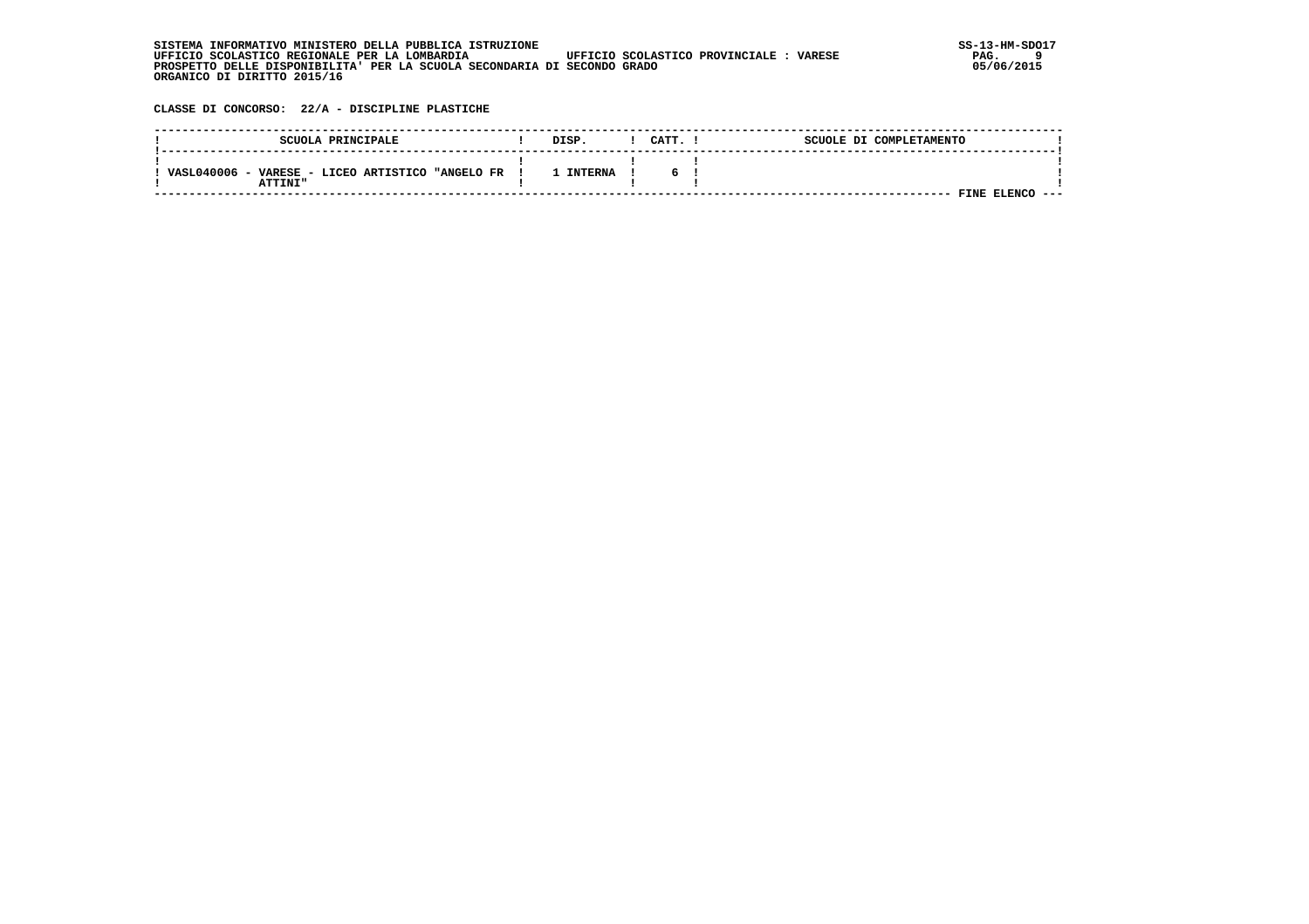| . INFORMATIVO MINISTERO DELLA PUBBLICA ISTRUZIONE<br>STSTEMA                                       | SS-13-HM-SDC |
|----------------------------------------------------------------------------------------------------|--------------|
| UFFICIO SCOLASTICO PROVINCIALE :<br>UFFICIO SCOLASTICO REGIONALE PER LA LOMBARDIA<br><b>VARESE</b> | PAG.         |
| PROSPETTO DELLE DISPONIBILITA' PER LA SCUOLA SECONDARIA DI SECONDO GRADO                           | 05/06/2015   |
| ORGANICO DI DIRITTO 2015/16                                                                        |              |

 **CLASSE DI CONCORSO: 22/A - DISCIPLINE PLASTICHE**

| SCUOLA PRINCIPALE                                                          | DISP.     | CATT. | SCUOLE DI COMPLETAMENTO |      |
|----------------------------------------------------------------------------|-----------|-------|-------------------------|------|
| VASL040006<br>- VARESE - LICEO ARTISTICO<br><b>"ANGELO FR</b><br>י דאדידים | . INTERNA | 6.    |                         |      |
|                                                                            |           |       | <b>FINE ELENC</b>       | ---- |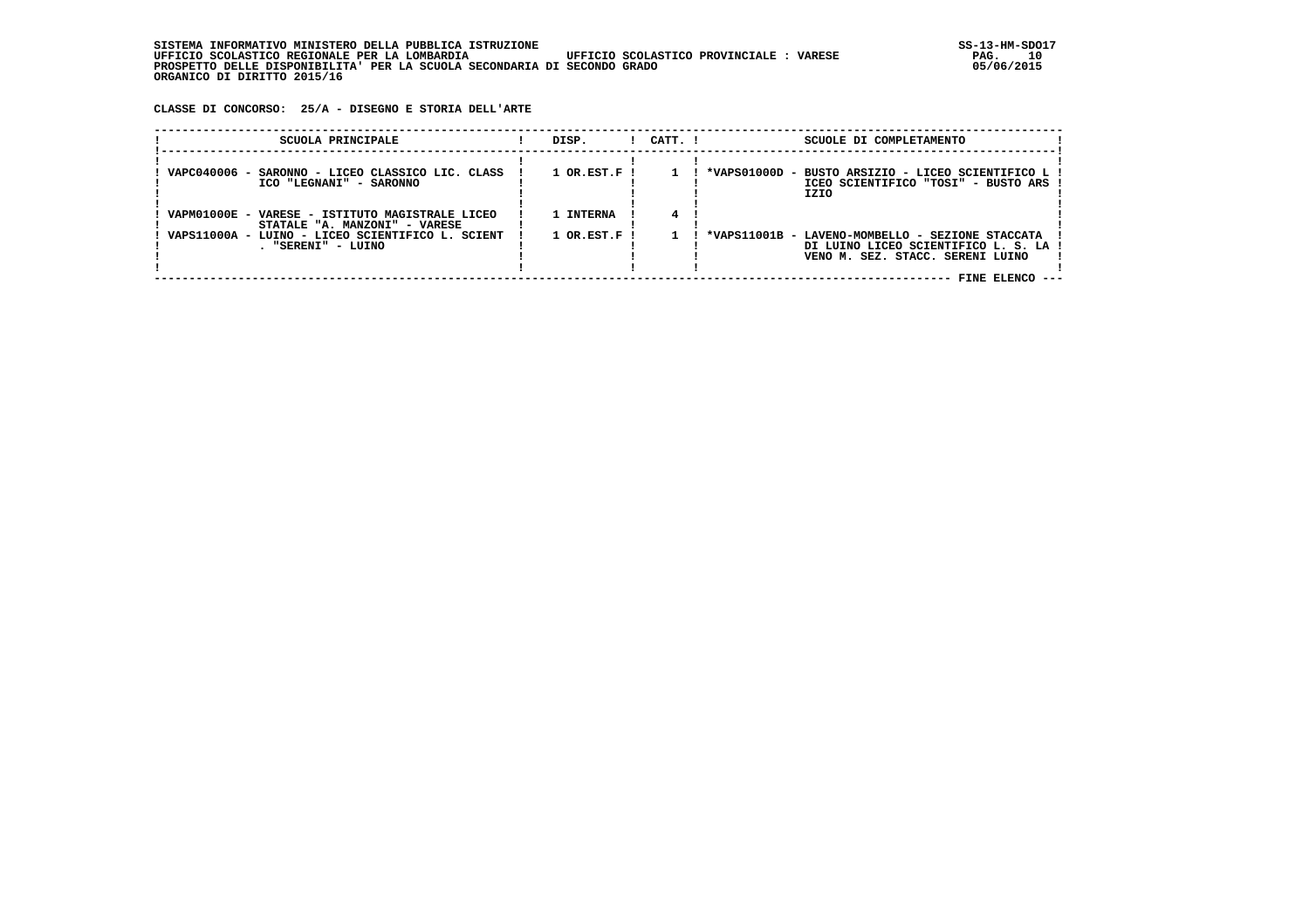**CLASSE DI CONCORSO: 25/A - DISEGNO E STORIA DELL'ARTE**

| SCUOLA PRINCIPALE                                                                                                                                          | DISP.                                    | $1$ $CATT$ . $1$ | SCUOLE DI COMPLETAMENTO                                                                                                                        |
|------------------------------------------------------------------------------------------------------------------------------------------------------------|------------------------------------------|------------------|------------------------------------------------------------------------------------------------------------------------------------------------|
| VAPC040006 - SARONNO - LICEO CLASSICO LIC. CLASS<br>ICO "LEGNANI" - SARONNO                                                                                | $1$ OR.EST.F !                           |                  | *VAPS01000D - BUSTO ARSIZIO - LICEO SCIENTIFICO L<br>ICEO SCIENTIFICO "TOSI" - BUSTO ARS !<br>IZIO                                             |
| VAPM01000E - VARESE - ISTITUTO MAGISTRALE LICEO<br>STATALE "A. MANZONI" - VARESE<br>VAPS11000A - LUINO - LICEO SCIENTIFICO L. SCIENT<br>. "SERENI" - LUINO | 1 INTERNA<br>$1$ OR.EST.F $\overline{1}$ |                  | *VAPS11001B - LAVENO-MOMBELLO - SEZIONE STACCATA<br>DI LUINO LICEO SCIENTIFICO L. S. LA<br>VENO M. SEZ. STACC. SERENI LUINO<br>FINE ELENCO --- |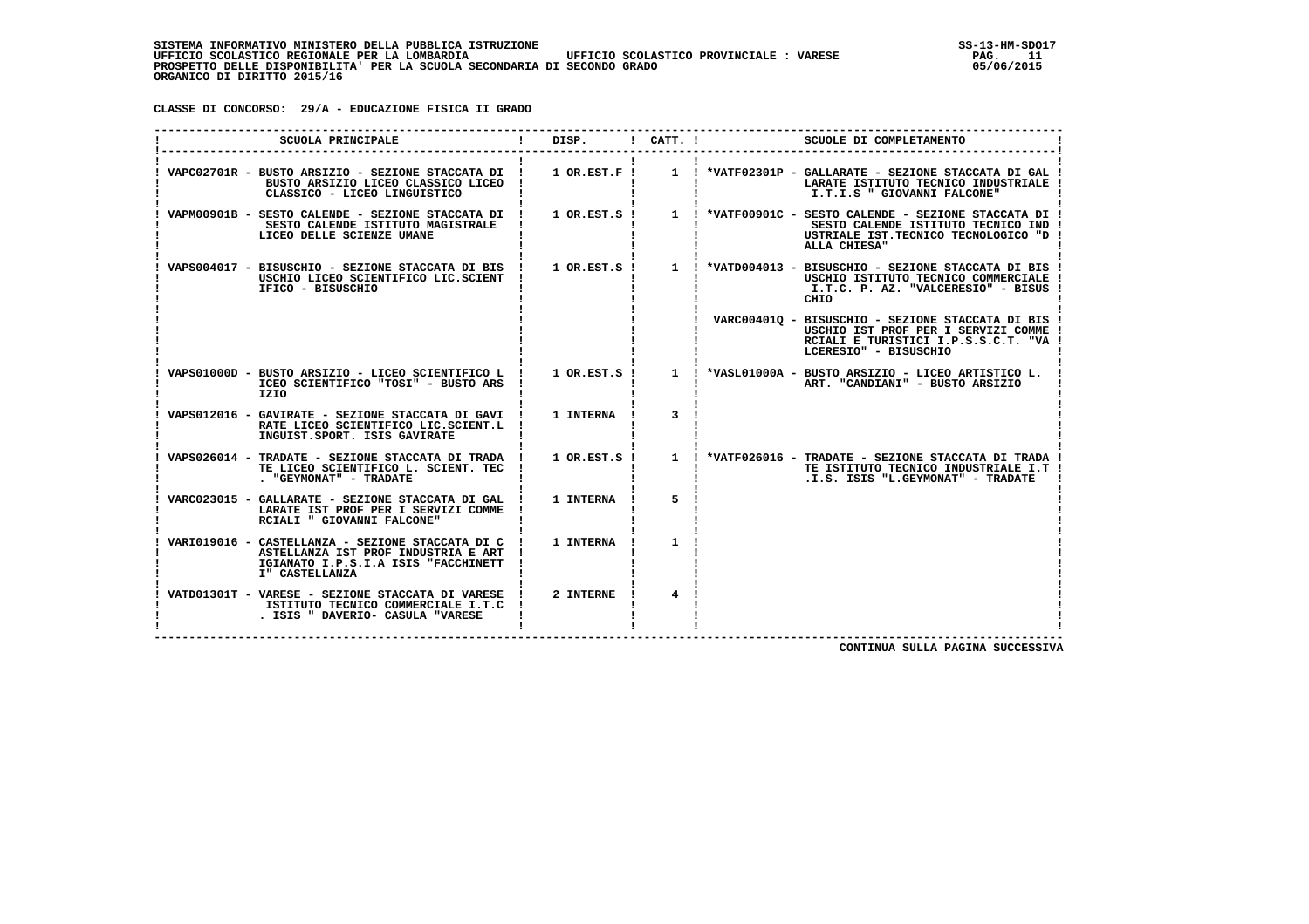**CLASSE DI CONCORSO: 29/A - EDUCAZIONE FISICA II GRADO**

| SCUOLA PRINCIPALE                                                                                                                                | DISP.       | ! CATT. !      | SCUOLE DI COMPLETAMENTO                                                                                                                                                                                                  |
|--------------------------------------------------------------------------------------------------------------------------------------------------|-------------|----------------|--------------------------------------------------------------------------------------------------------------------------------------------------------------------------------------------------------------------------|
| BUSTO ARSIZIO LICEO CLASSICO LICEO<br>CLASSICO - LICEO LINGUISTICO                                                                               |             |                | VAPC02701R - BUSTO ARSIZIO - SEZIONE STACCATA DI ! 1 OR.EST.F ! 1 ! *VATF02301P - GALLARATE - SEZIONE STACCATA DI GAL !<br>LARATE ISTITUTO TECNICO INDUSTRIALE<br>I.T.I.S " GIOVANNI FALCONE"                            |
| SESTO CALENDE ISTITUTO MAGISTRALE<br>LICEO DELLE SCIENZE UMANE                                                                                   |             |                | VAPM00901B - SESTO CALENDE - SEZIONE STACCATA DI ! 1 OR.EST.S ! 1 ! *VATF00901C - SESTO CALENDE - SEZIONE STACCATA DI !<br>SESTO CALENDE ISTITUTO TECNICO IND !<br>USTRIALE IST.TECNICO TECNOLOGICO "D !<br>ALLA CHIESA" |
| VAPS004017 - BISUSCHIO - SEZIONE STACCATA DI BIS !<br>USCHIO LICEO SCIENTIFICO LIC.SCIENT<br>IFICO - BISUSCHIO                                   |             |                | 1 OR.EST.S ! 1 ! *VATD004013 - BISUSCHIO - SEZIONE STACCATA DI BIS !<br>USCHIO ISTITUTO TECNICO COMMERCIALE<br>I.T.C. P. AZ. "VALCERESIO" - BISUS<br>CHIO                                                                |
|                                                                                                                                                  |             |                | ! VARC004010 - BISUSCHIO - SEZIONE STACCATA DI BIS !<br>USCHIO IST PROF PER I SERVIZI COMME<br>RCIALI E TURISTICI I.P.S.S.C.T. "VA<br>LCERESIO" - BISUSCHIO                                                              |
| ICEO SCIENTIFICO "TOSI" - BUSTO ARS !<br>IZIO                                                                                                    |             |                | VAPS01000D - BUSTO ARSIZIO - LICEO SCIENTIFICO L ! 1 OR.EST.S ! 1 ! *VASL01000A - BUSTO ARSIZIO - LICEO ARTISTICO L.<br>ART. "CANDIANI" - BUSTO ARSIZIO                                                                  |
| VAPS012016 - GAVIRATE - SEZIONE STACCATA DI GAVI !<br>RATE LICEO SCIENTIFICO LIC.SCIENT.L<br>INGUIST.SPORT. ISIS GAVIRATE                        | 1 INTERNA ! | 3              |                                                                                                                                                                                                                          |
| VAPS026014 - TRADATE - SEZIONE STACCATA DI TRADA ! 1 OR.EST.S !<br>TE LICEO SCIENTIFICO L. SCIENT. TEC<br>. "GEYMONAT" - TRADATE                 |             |                | 1 ! *VATF026016 - TRADATE - SEZIONE STACCATA DI TRADA !<br>TE ISTITUTO TECNICO INDUSTRIALE I.T !<br>.I.S. ISIS "L.GEYMONAT" - TRADATE                                                                                    |
| VARC023015 - GALLARATE - SEZIONE STACCATA DI GAL !<br>LARATE IST PROF PER I SERVIZI COMME<br>RCIALI " GIOVANNI FALCONE"                          | 1 INTERNA ! | 5              |                                                                                                                                                                                                                          |
| VARI019016 - CASTELLANZA - SEZIONE STACCATA DI C<br>ASTELLANZA IST PROF INDUSTRIA E ART<br>IGIANATO I.P.S.I.A ISIS "FACCHINETT<br>I" CASTELLANZA | 1 INTERNA   | $\mathbf{1}$   |                                                                                                                                                                                                                          |
| VATD01301T - VARESE - SEZIONE STACCATA DI VARESE !<br>ISTITUTO TECNICO COMMERCIALE I.T.C !<br>. ISIS " DAVERIO- CASULA "VARESE                   | 2 INTERNE ! | $\overline{4}$ |                                                                                                                                                                                                                          |

 **CONTINUA SULLA PAGINA SUCCESSIVA**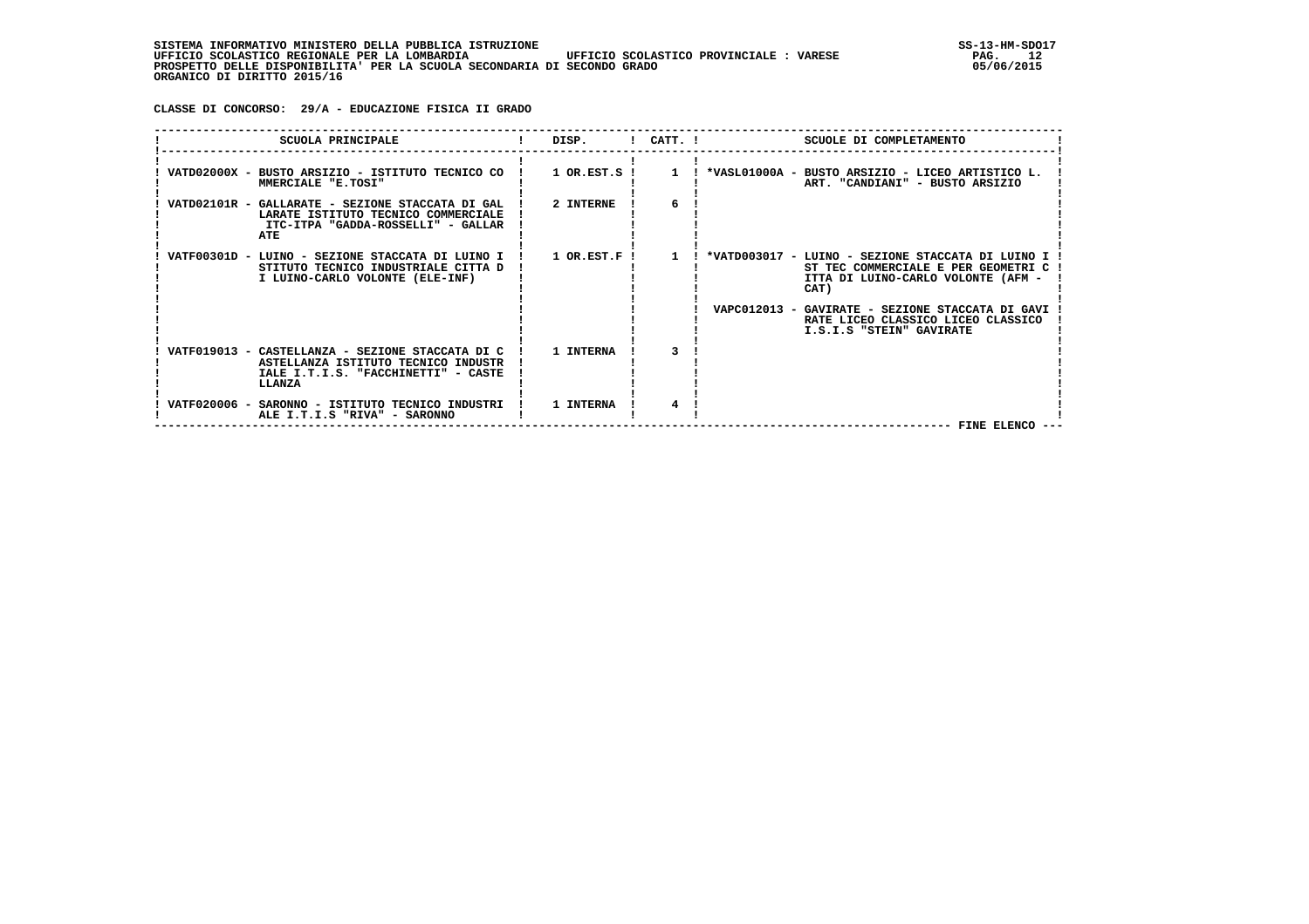**CLASSE DI CONCORSO: 29/A - EDUCAZIONE FISICA II GRADO**

|  | SCUOLA PRINCIPALE                                                                                                                                | DISP.          |              | $!$ CATT. $!$<br>SCUOLE DI COMPLETAMENTO                                                                                                                |
|--|--------------------------------------------------------------------------------------------------------------------------------------------------|----------------|--------------|---------------------------------------------------------------------------------------------------------------------------------------------------------|
|  | MMERCIALE "E.TOSI"                                                                                                                               |                |              | VATD02000X - BUSTO ARSIZIO - ISTITUTO TECNICO CO ! 1 OR.EST.S ! 1 ! *VASL01000A - BUSTO ARSIZIO - LICEO ARTISTICO L.<br>ART. "CANDIANI" - BUSTO ARSIZIO |
|  | VATD02101R - GALLARATE - SEZIONE STACCATA DI GAL   2 INTERNE<br>LARATE ISTITUTO TECNICO COMMERCIALE<br>ITC-ITPA "GADDA-ROSSELLI" - GALLAR<br>ATE |                | б.           |                                                                                                                                                         |
|  | VATF00301D - LUINO - SEZIONE STACCATA DI LUINO I<br>STITUTO TECNICO INDUSTRIALE CITTA D<br>I LUINO-CARLO VOLONTE (ELE-INF)                       | $1$ OR.EST.F ! | $\mathbf{1}$ | ! *VATD003017 - LUINO - SEZIONE STACCATA DI LUINO I<br>ST TEC COMMERCIALE E PER GEOMETRI C<br>ITTA DI LUINO-CARLO VOLONTE (AFM -<br>CAT)                |
|  |                                                                                                                                                  |                |              | VAPC012013 - GAVIRATE - SEZIONE STACCATA DI GAVI<br>RATE LICEO CLASSICO LICEO CLASSICO<br>I.S.I.S "STEIN" GAVIRATE                                      |
|  | VATF019013 - CASTELLANZA - SEZIONE STACCATA DI C<br>ASTELLANZA ISTITUTO TECNICO INDUSTR<br>IALE I.T.I.S. "FACCHINETTI" - CASTE<br>LLANZA         | 1 INTERNA      |              |                                                                                                                                                         |
|  | VATF020006 - SARONNO - ISTITUTO TECNICO INDUSTRI ! 1 INTERNA<br>ALE I.T.I.S "RIVA" - SARONNO                                                     |                |              | FINE ELENCO                                                                                                                                             |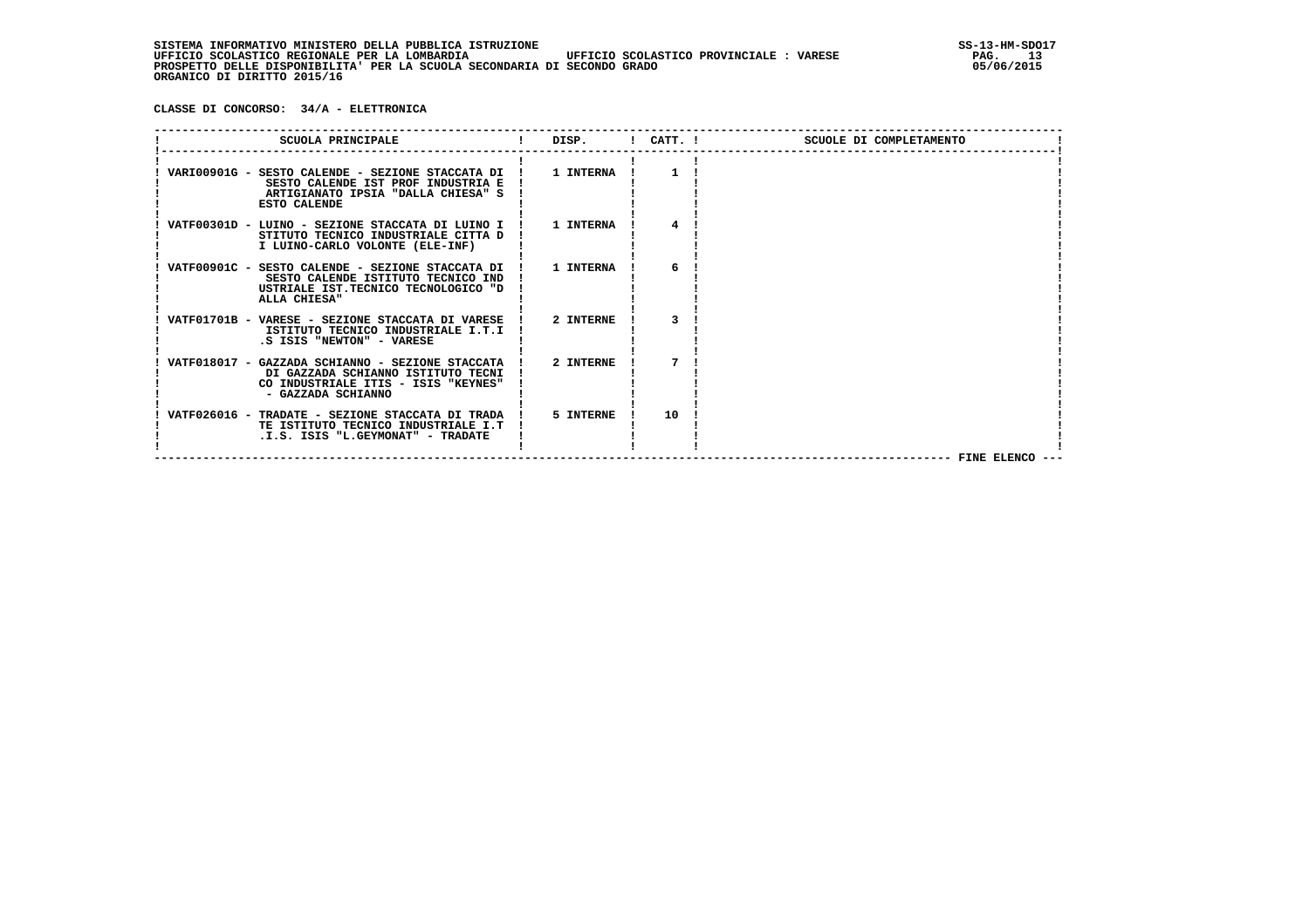**CLASSE DI CONCORSO: 34/A - ELETTRONICA**

| SCUOLA PRINCIPALE                                                                                                                                         | and the set of the set of the set of the set of the set of the set of the set of the set of the set of the set o |    | SCUOLE DI COMPLETAMENTO |
|-----------------------------------------------------------------------------------------------------------------------------------------------------------|------------------------------------------------------------------------------------------------------------------|----|-------------------------|
| VARI00901G - SESTO CALENDE - SEZIONE STACCATA DI !<br>SESTO CALENDE IST PROF INDUSTRIA E<br>ARTIGIANATO IPSIA "DALLA CHIESA" S<br><b>ESTO CALENDE</b>     | <b>1 INTERNA</b>                                                                                                 |    |                         |
| VATF00301D - LUINO - SEZIONE STACCATA DI LUINO I ! 1 INTERNA<br>STITUTO TECNICO INDUSTRIALE CITTA D<br>I LUINO-CARLO VOLONTE (ELE-INF)                    |                                                                                                                  |    |                         |
| VATF00901C - SESTO CALENDE - SEZIONE STACCATA DI ! 1 INTERNA<br>SESTO CALENDE ISTITUTO TECNICO IND<br>USTRIALE IST.TECNICO TECNOLOGICO "D<br>ALLA CHIESA" |                                                                                                                  | 6  |                         |
| VATF01701B - VARESE - SEZIONE STACCATA DI VARESE ! 2 INTERNE<br>ISTITUTO TECNICO INDUSTRIALE I.T.I<br>.S ISIS "NEWTON" - VARESE                           |                                                                                                                  |    |                         |
| VATF018017 - GAZZADA SCHIANNO - SEZIONE STACCATA !<br>DI GAZZADA SCHIANNO ISTITUTO TECNI<br>CO INDUSTRIALE ITIS - ISIS "KEYNES"<br>- GAZZADA SCHIANNO     | 2 INTERNE                                                                                                        |    |                         |
| VATF026016 - TRADATE - SEZIONE STACCATA DI TRADA !<br>TE ISTITUTO TECNICO INDUSTRIALE I.T<br>.I.S. ISIS "L.GEYMONAT" - TRADATE                            | 5 INTERNE                                                                                                        | 10 | FINE ELENCO -           |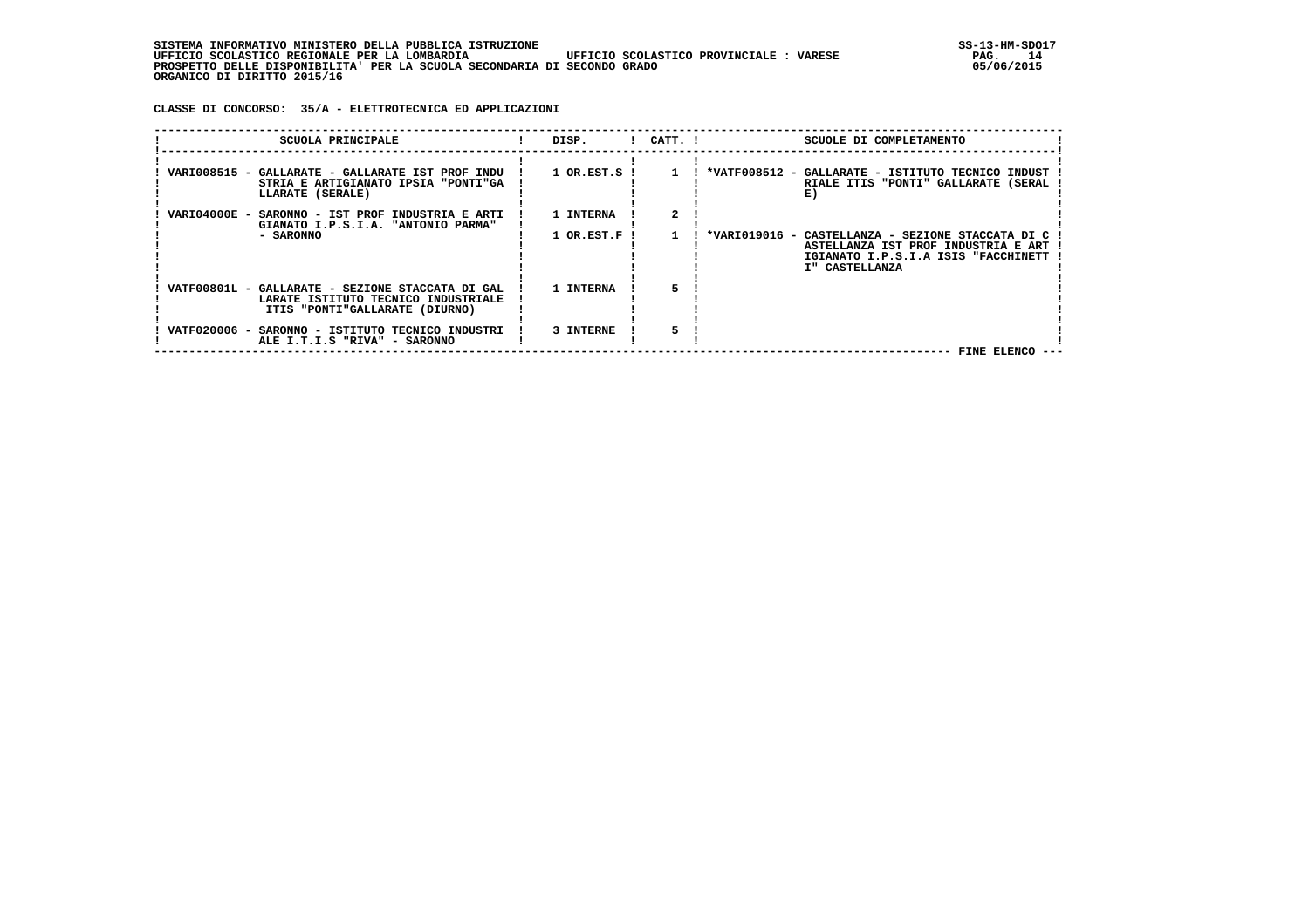**CLASSE DI CONCORSO: 35/A - ELETTROTECNICA ED APPLICAZIONI**

| SCUOLA PRINCIPALE                                                                                                         | DISP.        | $!$ $CATT$ . $!$ | SCUOLE DI COMPLETAMENTO                                                                                                                           |
|---------------------------------------------------------------------------------------------------------------------------|--------------|------------------|---------------------------------------------------------------------------------------------------------------------------------------------------|
| VARI008515 - GALLARATE - GALLARATE IST PROF INDU<br>STRIA E ARTIGIANATO IPSIA "PONTI"GA<br>LLARATE (SERALE)               | 1 OR.EST.S ! |                  | *VATF008512 - GALLARATE - ISTITUTO TECNICO INDUST<br>RIALE ITIS "PONTI" GALLARATE (SERAL<br>E)                                                    |
| VARI04000E -<br>SARONNO - IST PROF INDUSTRIA E ARTI<br>GIANATO I.P.S.I.A. "ANTONIO PARMA"                                 | 1 INTERNA    |                  |                                                                                                                                                   |
| - SARONNO                                                                                                                 | 1 OR.EST.F ! |                  | *VARI019016 - CASTELLANZA - SEZIONE STACCATA DI C<br>ASTELLANZA IST PROF INDUSTRIA E ART<br>IGIANATO I.P.S.I.A ISIS "FACCHINETT<br>I" CASTELLANZA |
| VATF00801L - GALLARATE - SEZIONE STACCATA DI GAL<br>LARATE ISTITUTO TECNICO INDUSTRIALE<br>ITIS "PONTI"GALLARATE (DIURNO) | 1 INTERNA    |                  |                                                                                                                                                   |
| VATF020006 -<br>SARONNO - ISTITUTO TECNICO INDUSTRI<br>ALE I.T.I.S "RIVA" - SARONNO                                       | 3 INTERNE    |                  | FINE ELENCO ---                                                                                                                                   |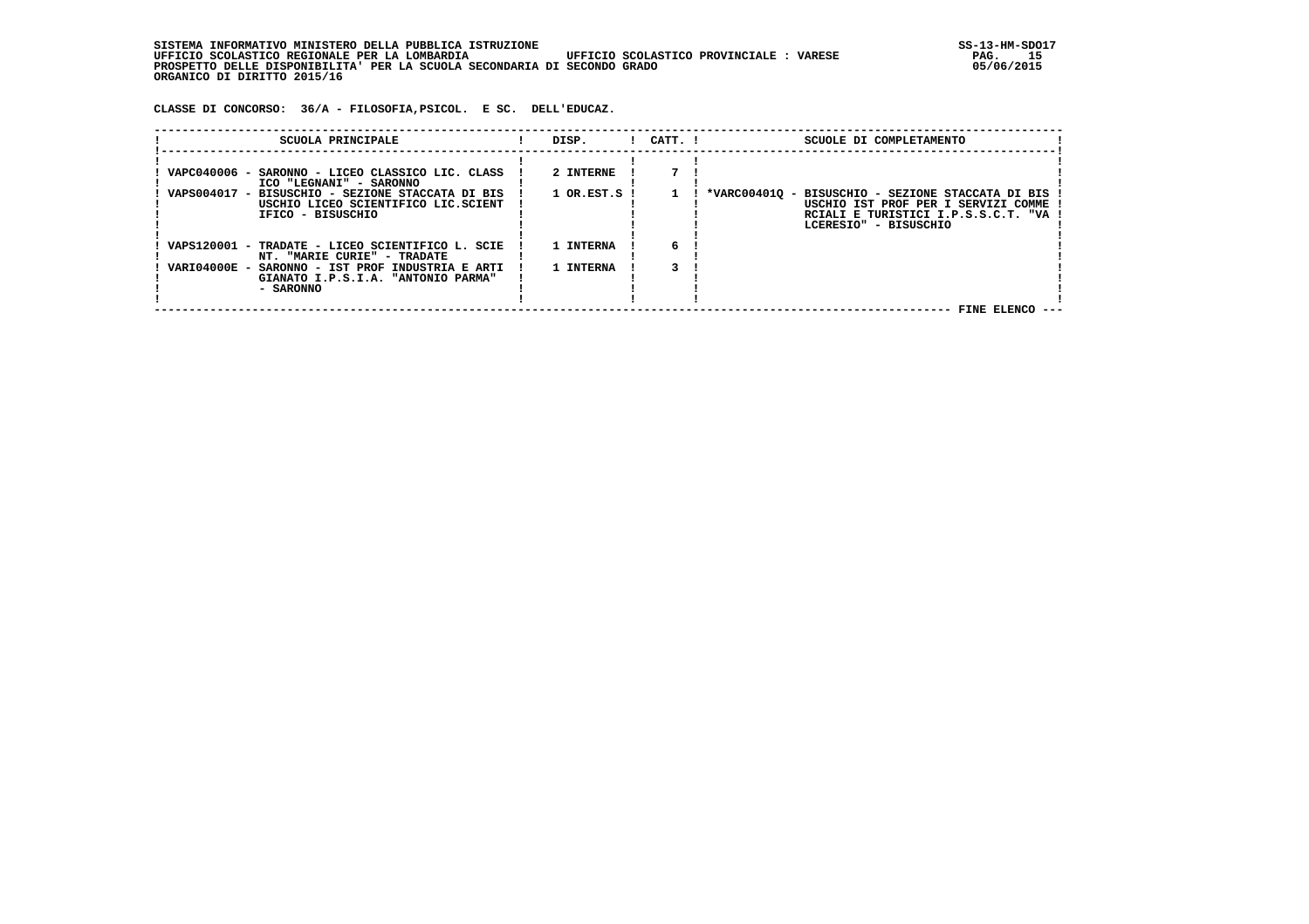**SISTEMA INFORMATIVO MINISTERO DELLA PUBBLICA ISTRUZIONE SS-13-HM-SDO17 UFFICIO SCOLASTICO REGIONALE PER LA LOMBARDIA UFFICIO SCOLASTICO PROVINCIALE : VARESE PAG. 15 PROSPETTO DELLE DISPONIBILITA' PER LA SCUOLA SECONDARIA DI SECONDO GRADO 05/06/2015 ORGANICO DI DIRITTO 2015/16**

 **CLASSE DI CONCORSO: 36/A - FILOSOFIA,PSICOL. E SC. DELL'EDUCAZ.**

| SCUOLA PRINCIPALE                                | DISP.            | $1$ $CATT$ . $1$ | SCUOLE DI COMPLETAMENTO                           |
|--------------------------------------------------|------------------|------------------|---------------------------------------------------|
|                                                  |                  |                  |                                                   |
| VAPC040006 - SARONNO - LICEO CLASSICO LIC. CLASS | 2 INTERNE        |                  |                                                   |
| ICO "LEGNANI" - SARONNO                          |                  |                  |                                                   |
| VAPS004017 - BISUSCHIO - SEZIONE STACCATA DI BIS | $1$ OR.EST.S $1$ |                  | *VARC004010 - BISUSCHIO - SEZIONE STACCATA DI BIS |
| USCHIO LICEO SCIENTIFICO LIC.SCIENT              |                  |                  | USCHIO IST PROF PER I SERVIZI COMME               |
| IFICO - BISUSCHIO                                |                  |                  | RCIALI E TURISTICI I.P.S.S.C.T. "VA               |
|                                                  |                  |                  | LCERESIO" - BISUSCHIO                             |
|                                                  |                  |                  |                                                   |
| VAPS120001 - TRADATE - LICEO SCIENTIFICO L. SCIE | 1 INTERNA        | б.               |                                                   |
| NT. "MARIE CURIE" - TRADATE                      |                  |                  |                                                   |
| VARI04000E - SARONNO - IST PROF INDUSTRIA E ARTI | 1 INTERNA        |                  |                                                   |
| GIANATO I.P.S.I.A. "ANTONIO PARMA"               |                  |                  |                                                   |
| - SARONNO                                        |                  |                  |                                                   |
|                                                  |                  |                  |                                                   |
|                                                  |                  |                  | FINE ELENCO                                       |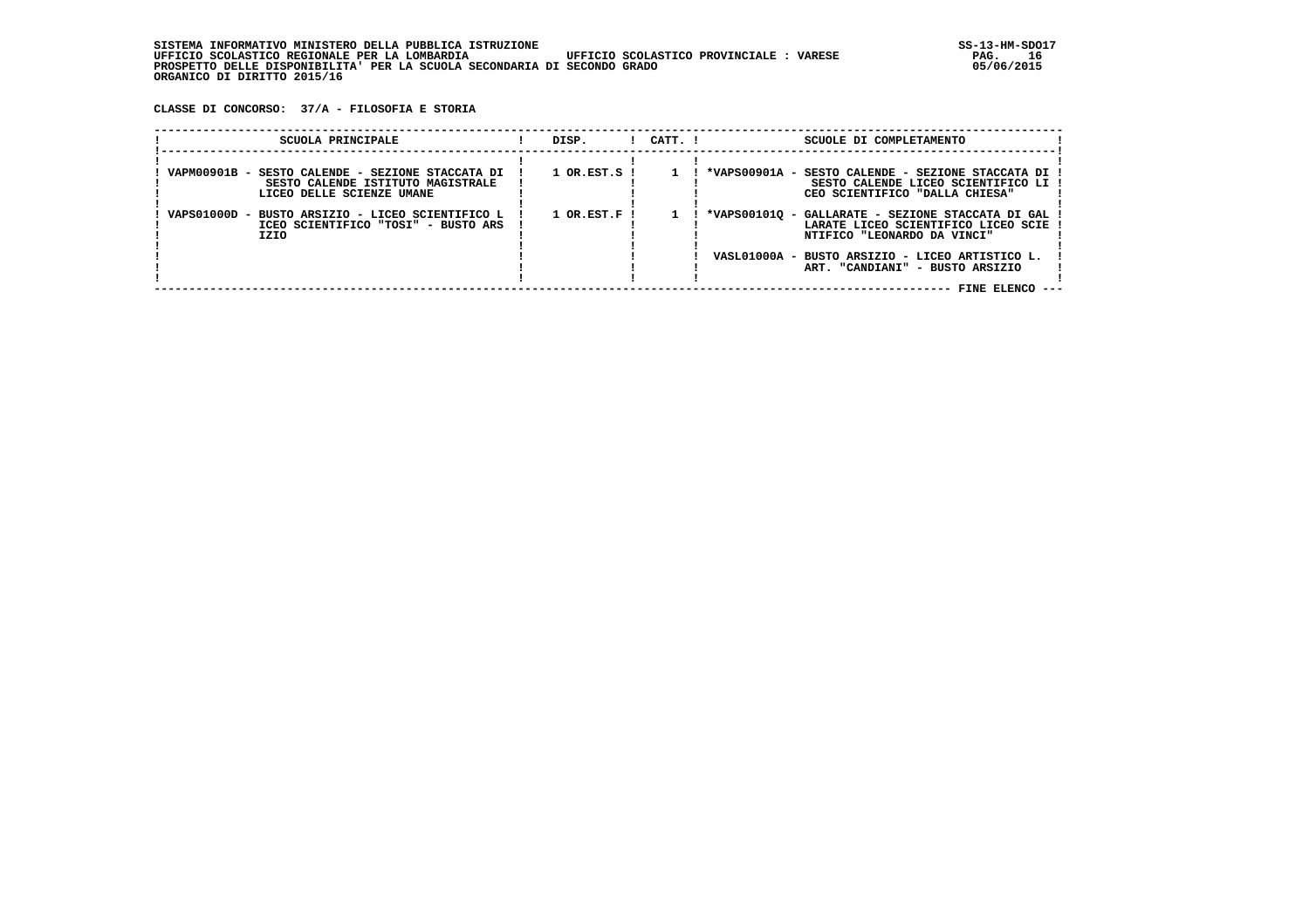**CLASSE DI CONCORSO: 37/A - FILOSOFIA E STORIA**

| SCUOLA PRINCIPALE                                                             |                                     | DISP.                       | $1$ $CATT$ . $1$ |  | SCUOLE DI COMPLETAMENTO                                                                                                                                                                                       |  |
|-------------------------------------------------------------------------------|-------------------------------------|-----------------------------|------------------|--|---------------------------------------------------------------------------------------------------------------------------------------------------------------------------------------------------------------|--|
| VAPM00901B - SESTO CALENDE - SEZIONE STACCATA DI<br>LICEO DELLE SCIENZE UMANE | SESTO CALENDE ISTITUTO MAGISTRALE   | $1$ OR.EST.S $\overline{1}$ |                  |  | *VAPS00901A - SESTO CALENDE - SEZIONE STACCATA DI<br>SESTO CALENDE LICEO SCIENTIFICO LI<br>CEO SCIENTIFICO "DALLA CHIESA"                                                                                     |  |
| VAPS01000D - BUSTO ARSIZIO - LICEO SCIENTIFICO L<br>IZIO                      | ICEO SCIENTIFICO "TOSI" - BUSTO ARS | $1$ OR.EST.F $\overline{1}$ |                  |  | *VAPS001010 - GALLARATE - SEZIONE STACCATA DI GAL<br>LARATE LICEO SCIENTIFICO LICEO SCIE<br>NTIFICO "LEONARDO DA VINCI"<br>VASL01000A - BUSTO ARSIZIO - LICEO ARTISTICO L.<br>ART. "CANDIANI" - BUSTO ARSIZIO |  |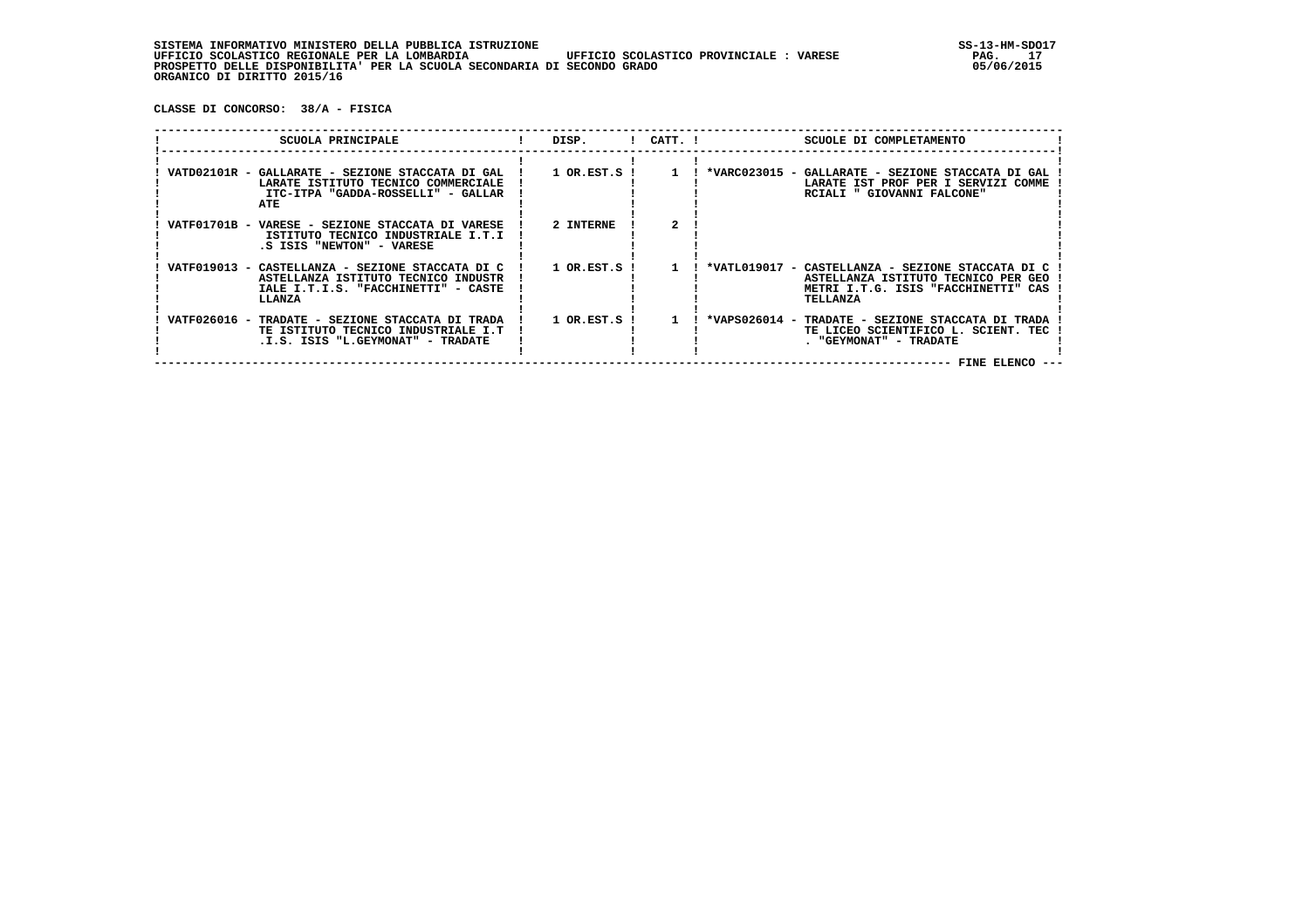**CLASSE DI CONCORSO: 38/A - FISICA**

| SCUOLA PRINCIPALE                                                                                                                        | DISP.                       | $!$ $CATT$ . $!$ | SCUOLE DI COMPLETAMENTO                                                                                                                        |
|------------------------------------------------------------------------------------------------------------------------------------------|-----------------------------|------------------|------------------------------------------------------------------------------------------------------------------------------------------------|
| VATD02101R - GALLARATE - SEZIONE STACCATA DI GAL<br>LARATE ISTITUTO TECNICO COMMERCIALE<br>ITC-ITPA "GADDA-ROSSELLI" - GALLAR<br>ATE     | $1$ OR.EST.S $\overline{1}$ |                  | *VARC023015 - GALLARATE - SEZIONE STACCATA DI GAL<br>LARATE IST PROF PER I SERVIZI COMME<br>RCIALI " GIOVANNI FALCONE"                         |
| VATF01701B - VARESE - SEZIONE STACCATA DI VARESE<br>ISTITUTO TECNICO INDUSTRIALE I.T.I<br>.S ISIS "NEWTON" - VARESE                      | 2 INTERNE                   |                  |                                                                                                                                                |
| VATF019013 - CASTELLANZA - SEZIONE STACCATA DI C<br>ASTELLANZA ISTITUTO TECNICO INDUSTR<br>IALE I.T.I.S. "FACCHINETTI" - CASTE<br>LLANZA | 1 OR.EST.S !                |                  | *VATL019017 - CASTELLANZA - SEZIONE STACCATA DI C<br>ASTELLANZA ISTITUTO TECNICO PER GEO<br>METRI I.T.G. ISIS "FACCHINETTI" CAS<br>TELLANZA    |
| VATF026016 -<br>TRADATE - SEZIONE STACCATA DI TRADA<br>TE ISTITUTO TECNICO INDUSTRIALE I.T<br>.I.S. ISIS "L.GEYMONAT" - TRADATE          | 1 OR.EST.S                  |                  | *VAPS026014 -<br>TRADATE - SEZIONE STACCATA DI TRADA<br>TE LICEO SCIENTIFICO L.<br>SCIENT, TEC<br>. "GEYMONAT" - TRADATE<br><b>FINE ELENCO</b> |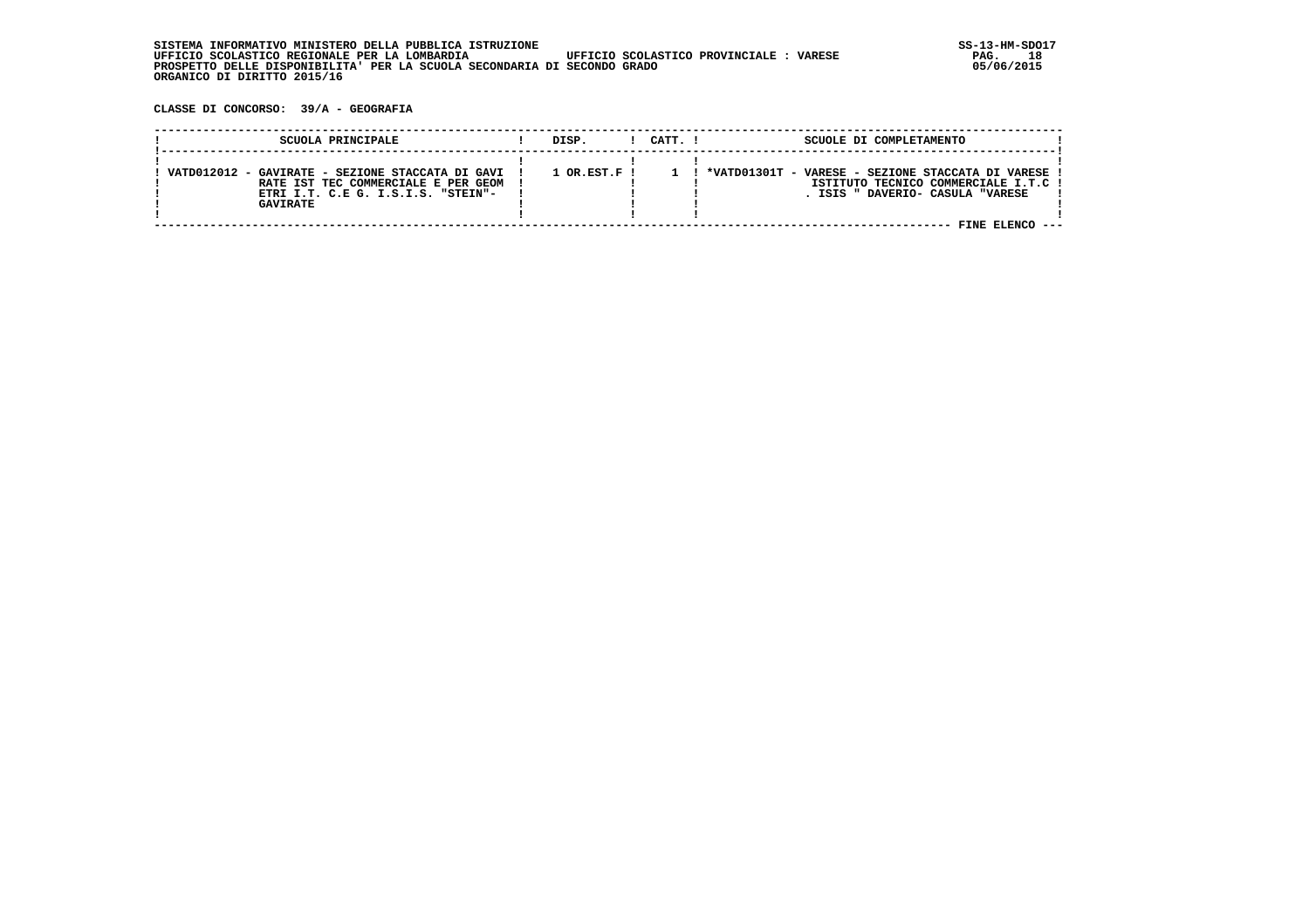**CLASSE DI CONCORSO: 39/A - GEOGRAFIA**

|                 | SCUOLA PRINCIPALE                                                                                                             | DISP.              | CATT. I | SCUOLE DI COMPLETAMENTO                                                                                                        |
|-----------------|-------------------------------------------------------------------------------------------------------------------------------|--------------------|---------|--------------------------------------------------------------------------------------------------------------------------------|
| <b>GAVIRATE</b> | VATD012012 - GAVIRATE - SEZIONE STACCATA DI GAVI<br>RATE IST TEC COMMERCIALE E PER GEOM<br>ETRI I.T. C.E G. I.S.I.S. "STEIN"- | $1$ OR $RST$ $F$ ! |         | *VATD01301T - VARESE - SEZIONE STACCATA DI VARESE<br>ISTITUTO TECNICO COMMERCIALE I.T.C !<br>DAVERIO- CASULA "VARESE<br>TSTS " |
|                 |                                                                                                                               |                    |         | FINE ELENCO                                                                                                                    |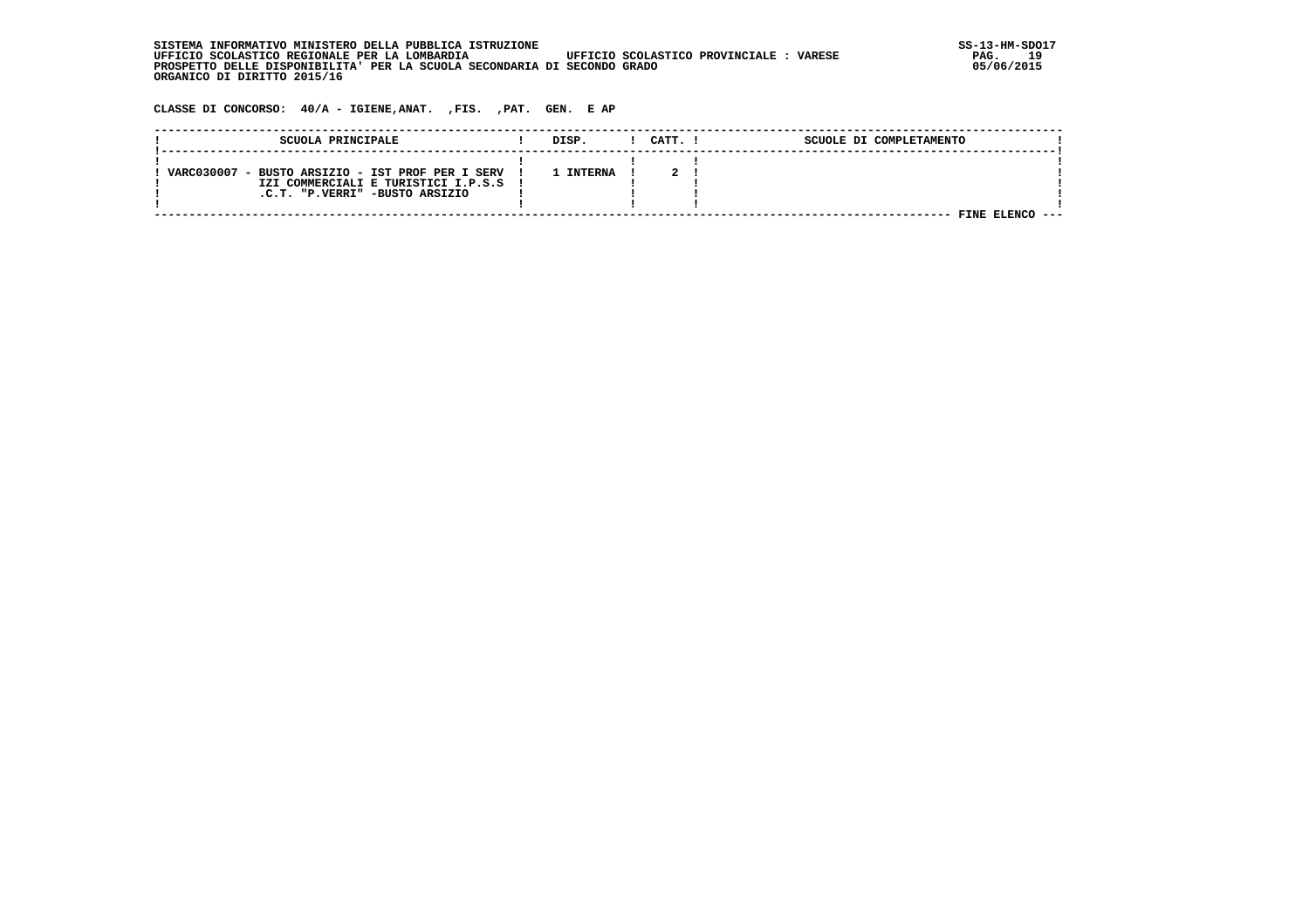| SISTEMA INFORMATIVO MINISTERO DELLA PUBBLICA ISTRUZIONE                                            | $SS-13-HM-SDC$ |
|----------------------------------------------------------------------------------------------------|----------------|
| UFFICIO SCOLASTICO REGIONALE PER LA LOMBARDIA<br>UFFICIO SCOLASTICO PROVINCIALE :<br><b>VARESE</b> | 19<br>PAG.     |
| PROSPETTO DELLE DISPONIBILITA' PER LA SCUOLA SECONDARIA DI SECONDO GRADO                           | 05/06/2015     |
| ORGANICO DI DIRITTO 2015/16                                                                        |                |

 **CLASSE DI CONCORSO: 40/A - IGIENE,ANAT. ,FIS. ,PAT. GEN. E AP**

| SCUOLA PRINCIPALE                                | DISP.          | CATT. | SCUOLE DI COMPLETAMENTO |  |
|--------------------------------------------------|----------------|-------|-------------------------|--|
|                                                  |                |       |                         |  |
| VARC030007 - BUSTO ARSIZIO - IST PROF PER I SERV | <b>INTERNA</b> |       |                         |  |
| IZI COMMERCIALI E TURISTICI I.P.S.S              |                |       |                         |  |
| .C.T. "P.VERRI" -BUSTO ARSIZIO                   |                |       |                         |  |
|                                                  |                |       |                         |  |
|                                                  |                |       | FINE                    |  |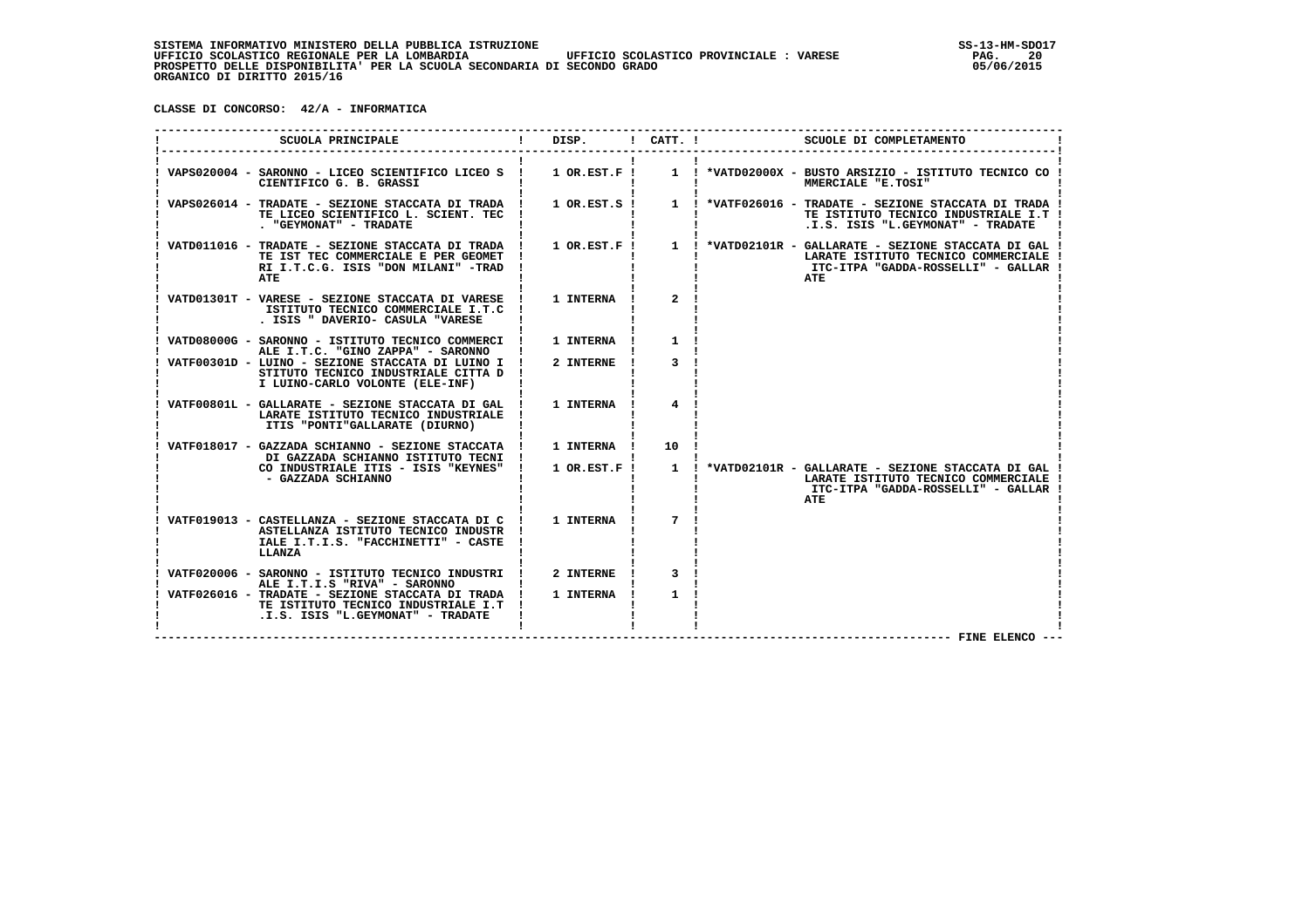**CLASSE DI CONCORSO: 42/A - INFORMATICA**

| SCUOLA PRINCIPALE                                                                                                                                                | DISP.            | $!$ $CATT$ . $!$ | SCUOLE DI COMPLETAMENTO                                                                                                                                |
|------------------------------------------------------------------------------------------------------------------------------------------------------------------|------------------|------------------|--------------------------------------------------------------------------------------------------------------------------------------------------------|
| VAPS020004 - SARONNO - LICEO SCIENTIFICO LICEO S !<br>CIENTIFICO G. B. GRASSI                                                                                    | $1$ OR.EST.F !   |                  | 1 : *VATD02000X - BUSTO ARSIZIO - ISTITUTO TECNICO CO<br>MMERCIALE "E.TOSI"                                                                            |
| VAPS026014 - TRADATE - SEZIONE STACCATA DI TRADA !<br>TE LICEO SCIENTIFICO L. SCIENT. TEC !<br>. "GEYMONAT" - TRADATE                                            |                  |                  | 1 OR.EST.S ! 1 ! *VATF026016 - TRADATE - SEZIONE STACCATA DI TRADA<br>TE ISTITUTO TECNICO INDUSTRIALE I.T<br>.I.S. ISIS "L.GEYMONAT" - TRADATE         |
| VATD011016 - TRADATE - SEZIONE STACCATA DI TRADA !<br>TE IST TEC COMMERCIALE E PER GEOMET<br>RI I.T.C.G. ISIS "DON MILANI" -TRAD<br>ATE                          |                  |                  | 1 OR.EST.F ! 1 ! *VATD02101R - GALLARATE - SEZIONE STACCATA DI GAL<br>LARATE ISTITUTO TECNICO COMMERCIALE<br>ITC-ITPA "GADDA-ROSSELLI" - GALLAR<br>ATE |
| VATD01301T - VARESE - SEZIONE STACCATA DI VARESE !<br>ISTITUTO TECNICO COMMERCIALE I.T.C !<br>. ISIS " DAVERIO- CASULA "VARESE                                   | 1 INTERNA        | $\overline{2}$   |                                                                                                                                                        |
| VATD08000G - SARONNO - ISTITUTO TECNICO COMMERCI !<br>ALE I.T.C. "GINO ZAPPA" - SARONNO                                                                          | <b>1 INTERNA</b> |                  |                                                                                                                                                        |
| VATF00301D - LUINO - SEZIONE STACCATA DI LUINO I ! 2 INTERNE<br>STITUTO TECNICO INDUSTRIALE CITTA D<br>I LUINO-CARLO VOLONTE (ELE-INF)                           |                  |                  |                                                                                                                                                        |
| VATF00801L - GALLARATE - SEZIONE STACCATA DI GAL !<br>LARATE ISTITUTO TECNICO INDUSTRIALE<br>ITIS "PONTI"GALLARATE (DIURNO)                                      | 1 INTERNA        | $\overline{4}$   |                                                                                                                                                        |
| VATF018017 - GAZZADA SCHIANNO - SEZIONE STACCATA !<br>DI GAZZADA SCHIANNO ISTITUTO TECNI !                                                                       | 1 INTERNA        | 10               |                                                                                                                                                        |
| CO INDUSTRIALE ITIS - ISIS "KEYNES" !<br>- GAZZADA SCHIANNO                                                                                                      | $1$ OR. EST. F!  |                  | 1 ! *VATD02101R - GALLARATE - SEZIONE STACCATA DI GAL<br>LARATE ISTITUTO TECNICO COMMERCIALE<br>ITC-ITPA "GADDA-ROSSELLI" - GALLAR<br>ATE              |
| VATF019013 - CASTELLANZA - SEZIONE STACCATA DI C !<br>ASTELLANZA ISTITUTO TECNICO INDUSTR !<br>IALE I.T.I.S. "FACCHINETTI" - CASTE<br>LLANZA                     | 1 INTERNA        | $7\overline{ }$  |                                                                                                                                                        |
| VATF020006 - SARONNO - ISTITUTO TECNICO INDUSTRI !                                                                                                               | 2 INTERNE        |                  |                                                                                                                                                        |
| ALE I.T.I.S "RIVA" - SARONNO<br>VATF026016 - TRADATE - SEZIONE STACCATA DI TRADA !<br>TE ISTITUTO TECNICO INDUSTRIALE I.T !<br>.I.S. ISIS "L.GEYMONAT" - TRADATE | 1 INTERNA        |                  |                                                                                                                                                        |
|                                                                                                                                                                  |                  |                  | - FINE ELENCO -                                                                                                                                        |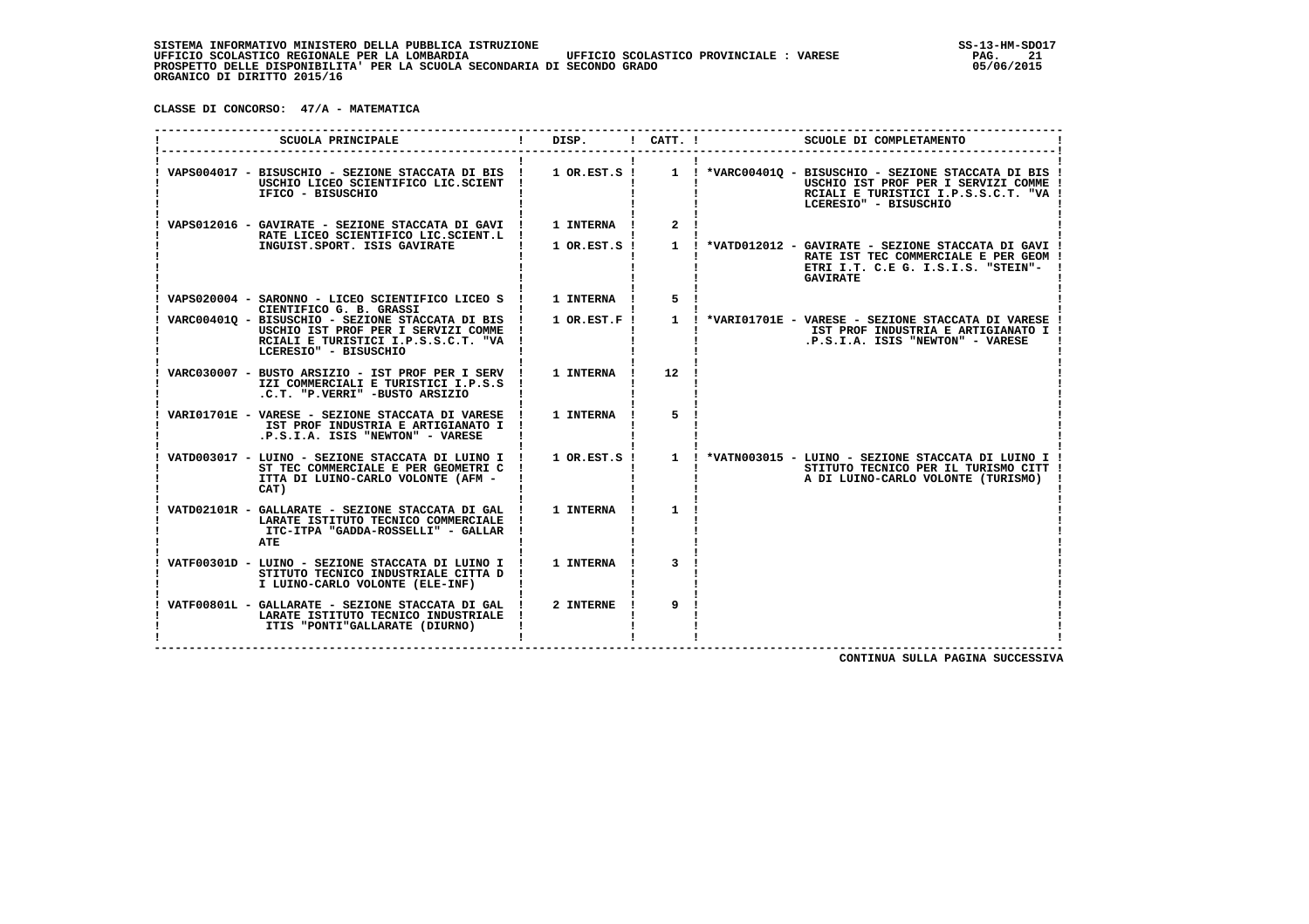**CLASSE DI CONCORSO: 47/A - MATEMATICA**

| SCUOLA PRINCIPALE                                                                                                                                         | DISP. ! CATT. ! |                | SCUOLE DI COMPLETAMENTO                                                                                                                                                                                |
|-----------------------------------------------------------------------------------------------------------------------------------------------------------|-----------------|----------------|--------------------------------------------------------------------------------------------------------------------------------------------------------------------------------------------------------|
| VAPS004017 - BISUSCHIO - SEZIONE STACCATA DI BIS ! 1 OR.EST.S !<br>USCHIO LICEO SCIENTIFICO LIC.SCIENT !<br>IFICO - BISUSCHIO                             |                 |                | USCHIO IST PROF PER I SERVIZI COMME !<br>RCIALI E TURISTICI I.P.S.S.C.T. "VA !<br>LCERESIO" - BISUSCHIO                                                                                                |
| VAPS012016 - GAVIRATE - SEZIONE STACCATA DI GAVI ! 1 INTERNA !<br>RATE LICEO SCIENTIFICO LIC.SCIENT.L !<br>INGUIST.SPORT. ISIS GAVIRATE                   |                 | $2^{\circ}$    | 1 OR.EST.S ! 1 ! *VATD012012 - GAVIRATE - SEZIONE STACCATA DI GAVI !<br>RATE IST TEC COMMERCIALE E PER GEOM !<br>ETRI I.T. C.E G. I.S.I.S. "STEIN"-<br><b>GAVIRATE</b>                                 |
| VAPS020004 - SARONNO - LICEO SCIENTIFICO LICEO S ! 1 INTERNA !<br>CIENTIFICO G. B. GRASSI                                                                 |                 | 5 <sup>1</sup> |                                                                                                                                                                                                        |
| VARC004010 - BISUSCHIO - SEZIONE STACCATA DI BIS !<br>USCHIO IST PROF PER I SERVIZI COMME<br>RCIALI E TURISTICI I.P.S.S.C.T. "VA<br>LCERESIO" - BISUSCHIO | 1 OR.EST.F !    |                | IST PROF INDUSTRIA E ARTIGIANATO I !<br>.P.S.I.A. ISIS "NEWTON" - VARESE                                                                                                                               |
| VARC030007 - BUSTO ARSIZIO - IST PROF PER I SERV ! 1 INTERNA !<br>IZI COMMERCIALI E TURISTICI I.P.S.S !<br>.C.T. "P.VERRI" -BUSTO ARSIZIO                 |                 | 12             |                                                                                                                                                                                                        |
| VARIO1701E - VARESE - SEZIONE STACCATA DI VARESE ! 1 INTERNA !<br>IST PROF INDUSTRIA E ARTIGIANATO I !<br>.P.S.I.A. ISIS "NEWTON" - VARESE                |                 | 5              |                                                                                                                                                                                                        |
| ST TEC COMMERCIALE E PER GEOMETRI C<br>ITTA DI LUINO-CARLO VOLONTE (AFM -<br>CAT)                                                                         |                 |                | VATD003017 - LUINO - SEZIONE STACCATA DI LUINO I ! 1 OR.EST.S ! 1 ! *VATN003015 - LUINO - SEZIONE STACCATA DI LUINO I !<br>STITUTO TECNICO PER IL TURISMO CITT !<br>A DI LUINO-CARLO VOLONTE (TURISMO) |
| VATD02101R - GALLARATE - SEZIONE STACCATA DI GAL !<br>LARATE ISTITUTO TECNICO COMMERCIALE !<br>ITC-ITPA "GADDA-ROSSELLI" - GALLAR<br><b>ATE</b>           | 1 INTERNA       | $\mathbf{1}$   |                                                                                                                                                                                                        |
| VATF00301D - LUINO - SEZIONE STACCATA DI LUINO I ! 1 INTERNA !<br>STITUTO TECNICO INDUSTRIALE CITTA D<br>I LUINO-CARLO VOLONTE (ELE-INF)                  |                 | 3              |                                                                                                                                                                                                        |
| VATF00801L - GALLARATE - SEZIONE STACCATA DI GAL ! 2 INTERNE !<br>LARATE ISTITUTO TECNICO INDUSTRIALE !<br>ITIS "PONTI"GALLARATE (DIURNO)                 |                 | 9              |                                                                                                                                                                                                        |

 **CONTINUA SULLA PAGINA SUCCESSIVA**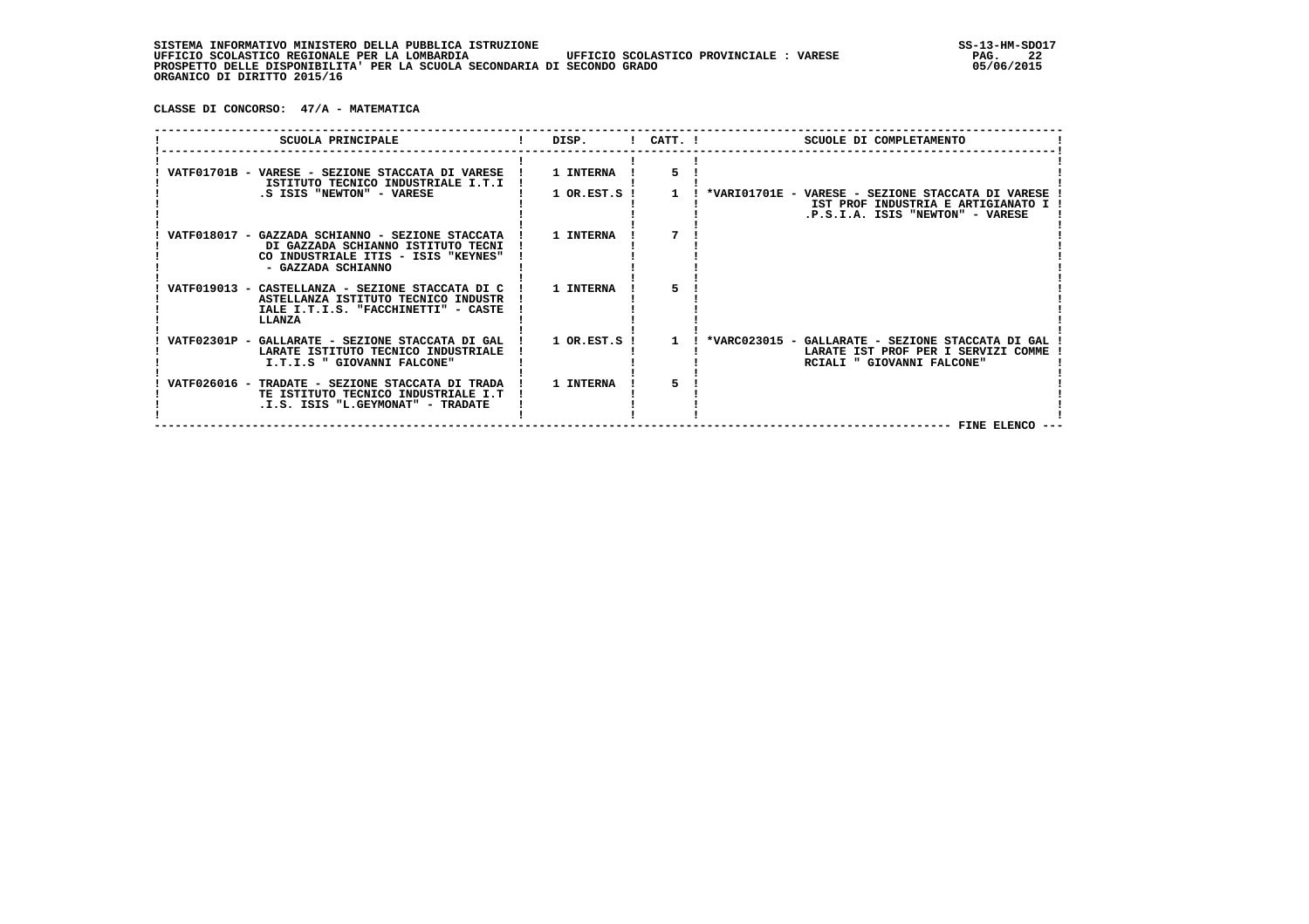**CLASSE DI CONCORSO: 47/A - MATEMATICA**

| SCUOLA PRINCIPALE                                                                                                                                               | DISP.        |              | $!$ CATT. $!$<br>SCUOLE DI COMPLETAMENTO                                                                                                                                                   |
|-----------------------------------------------------------------------------------------------------------------------------------------------------------------|--------------|--------------|--------------------------------------------------------------------------------------------------------------------------------------------------------------------------------------------|
| VATF01701B - VARESE - SEZIONE STACCATA DI VARESE ! 1 INTERNA !<br>ISTITUTO TECNICO INDUSTRIALE I.T.I !                                                          |              |              |                                                                                                                                                                                            |
| .S ISIS "NEWTON" - VARESE                                                                                                                                       | 1 OR.EST.S ! | $\mathbf{1}$ | ! *VARIO1701E - VARESE - SEZIONE STACCATA DI VARESE<br>IST PROF INDUSTRIA E ARTIGIANATO I<br>.P.S.I.A. ISIS "NEWTON" - VARESE                                                              |
| VATF018017 - GAZZADA SCHIANNO - SEZIONE STACCATA ! 1 INTERNA<br>DI GAZZADA SCHIANNO ISTITUTO TECNI<br>CO INDUSTRIALE ITIS - ISIS "KEYNES"<br>- GAZZADA SCHIANNO |              |              |                                                                                                                                                                                            |
| VATF019013 - CASTELLANZA - SEZIONE STACCATA DI C<br>ASTELLANZA ISTITUTO TECNICO INDUSTR<br>IALE I.T.I.S. "FACCHINETTI" - CASTE<br>LLANZA                        | ! 1 INTERNA  | 5            |                                                                                                                                                                                            |
| LARATE ISTITUTO TECNICO INDUSTRIALE<br>I.T.I.S " GIOVANNI FALCONE"                                                                                              |              |              | VATF02301P - GALLARATE - SEZIONE STACCATA DI GAL ! 1 OR.EST.S ! 1 ! *VARC023015 - GALLARATE - SEZIONE STACCATA DI GAL<br>LARATE IST PROF PER I SERVIZI COMME<br>RCIALI " GIOVANNI FALCONE" |
| VATF026016 - TRADATE - SEZIONE STACCATA DI TRADA !<br>TE ISTITUTO TECNICO INDUSTRIALE I.T<br>.I.S. ISIS "L.GEYMONAT" - TRADATE                                  | 1 INTERNA    | 5.           | FINE ELENCO --                                                                                                                                                                             |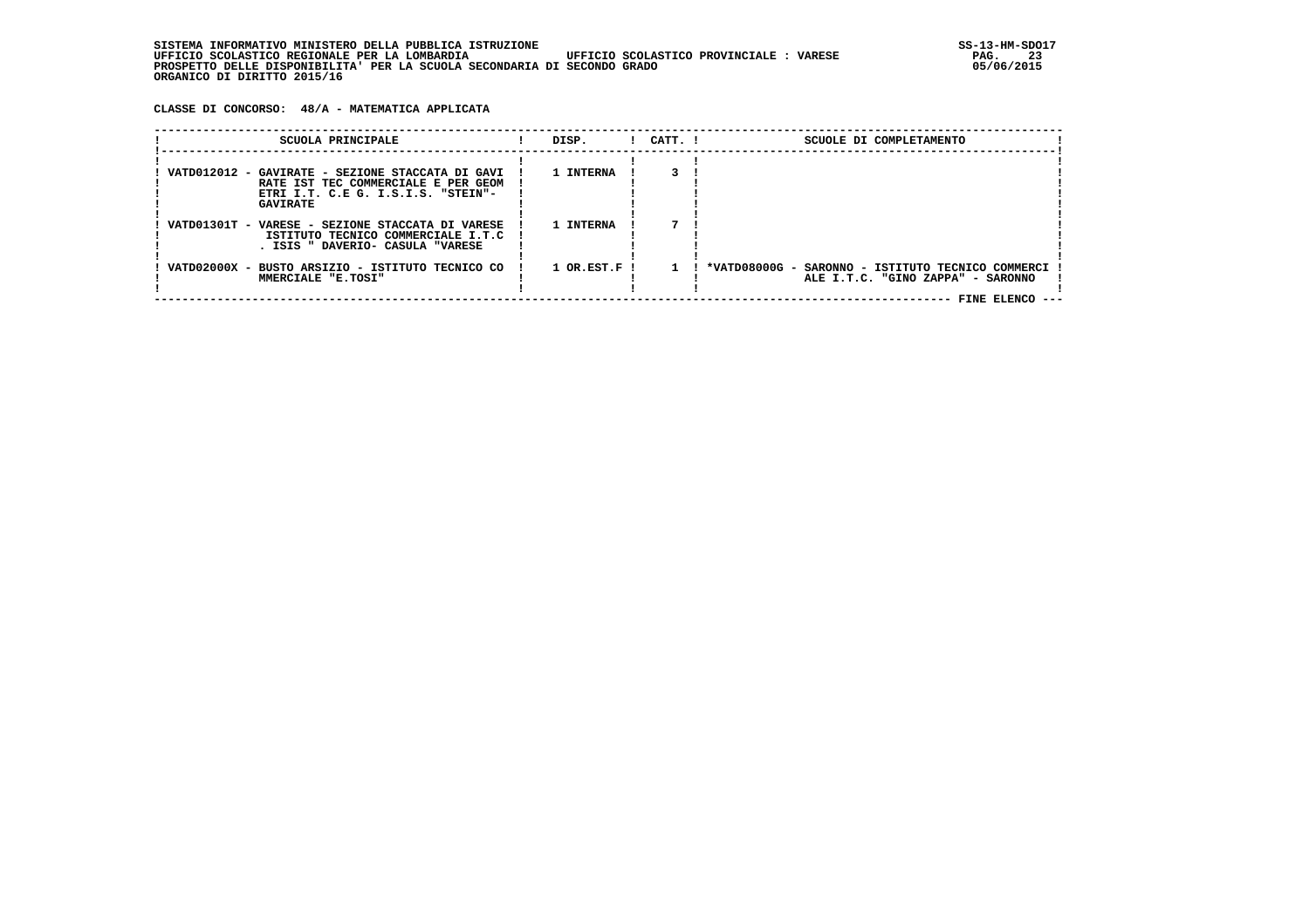**CLASSE DI CONCORSO: 48/A - MATEMATICA APPLICATA**

| SCUOLA PRINCIPALE                                                                                                                                | DISP.          | $1$ $CATT$ . $1$ | SCUOLE DI COMPLETAMENTO                                                                                  |
|--------------------------------------------------------------------------------------------------------------------------------------------------|----------------|------------------|----------------------------------------------------------------------------------------------------------|
| VATD012012 - GAVIRATE - SEZIONE STACCATA DI GAVI<br>RATE IST TEC COMMERCIALE E PER GEOM<br>ETRI I.T. C.E G. I.S.I.S. "STEIN"-<br><b>GAVIRATE</b> | 1 INTERNA      |                  |                                                                                                          |
| VATD01301T - VARESE - SEZIONE STACCATA DI VARESE<br>ISTITUTO TECNICO COMMERCIALE I.T.C<br>. ISIS " DAVERIO- CASULA "VARESE                       | 1 INTERNA      |                  |                                                                                                          |
| VATD02000X - BUSTO ARSIZIO - ISTITUTO TECNICO CO<br>MMERCIALE "E.TOSI"                                                                           | $1$ OR.EST.F ! |                  | *VATD08000G - SARONNO - ISTITUTO TECNICO COMMERCI<br>ALE I.T.C. "GINO ZAPPA" - SARONNO<br>FINE ELENCO -- |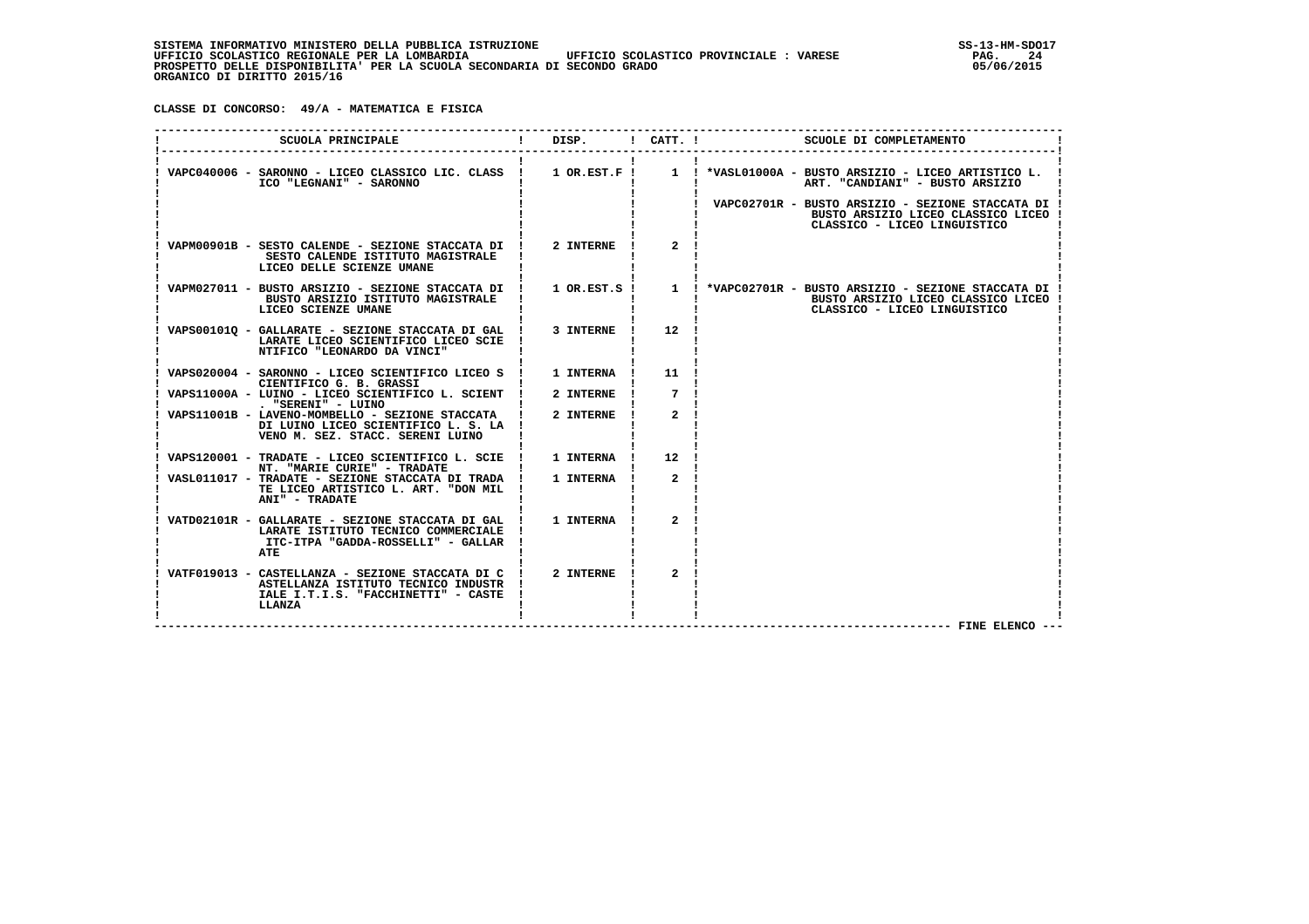**CLASSE DI CONCORSO: 49/A - MATEMATICA E FISICA**

| SCUOLA PRINCIPALE                                                                                                                          | DISP. ! CATT. !  |                  | SCUOLE DI COMPLETAMENTO                                                                                                                                                                     |
|--------------------------------------------------------------------------------------------------------------------------------------------|------------------|------------------|---------------------------------------------------------------------------------------------------------------------------------------------------------------------------------------------|
| ICO "LEGNANI" - SARONNO                                                                                                                    |                  |                  | VAPC040006 - SARONNO - LICEO CLASSICO LIC. CLASS ! 1 OR.EST.F ! 1 ! *VASL01000A - BUSTO ARSIZIO - LICEO ARTISTICO L.<br>ART. "CANDIANI" - BUSTO ARSIZIO                                     |
|                                                                                                                                            |                  |                  | VAPC02701R - BUSTO ARSIZIO - SEZIONE STACCATA DI !<br>BUSTO ARSIZIO LICEO CLASSICO LICEO !<br>CLASSICO - LICEO LINGUISTICO                                                                  |
| VAPM00901B - SESTO CALENDE - SEZIONE STACCATA DI !<br>SESTO CALENDE ISTITUTO MAGISTRALE<br>LICEO DELLE SCIENZE UMANE                       | 2 INTERNE        | $\mathbf{2}$     |                                                                                                                                                                                             |
| BUSTO ARSIZIO ISTITUTO MAGISTRALE<br>LICEO SCIENZE UMANE                                                                                   |                  |                  | VAPM027011 - BUSTO ARSIZIO - SEZIONE STACCATA DI ! 1 OR.EST.S ! 1 ! *VAPC02701R - BUSTO ARSIZIO - SEZIONE STACCATA DI<br>BUSTO ARSIZIO LICEO CLASSICO LICEO<br>CLASSICO - LICEO LINGUISTICO |
| VAPS001010 - GALLARATE - SEZIONE STACCATA DI GAL !<br>LARATE LICEO SCIENTIFICO LICEO SCIE<br>NTIFICO "LEONARDO DA VINCI"                   | 3 INTERNE        | 12               |                                                                                                                                                                                             |
| VAPS020004 - SARONNO - LICEO SCIENTIFICO LICEO S<br>CIENTIFICO G. B. GRASSI                                                                | <b>1 INTERNA</b> | 11               |                                                                                                                                                                                             |
| VAPS11000A - LUINO - LICEO SCIENTIFICO L. SCIENT !<br>. "SERENI" - LUINO                                                                   | 2 INTERNE        | 7                |                                                                                                                                                                                             |
| VAPS11001B - LAVENO-MOMBELLO - SEZIONE STACCATA   2 INTERNE<br>DI LUINO LICEO SCIENTIFICO L. S. LA !<br>VENO M. SEZ. STACC. SERENI LUINO   |                  | $\mathbf{2}$     |                                                                                                                                                                                             |
| VAPS120001 - TRADATE - LICEO SCIENTIFICO L. SCIE ! 1 INTERNA !<br>NT. "MARIE CURIE" - TRADATE                                              |                  | 12 <sup>12</sup> |                                                                                                                                                                                             |
| VASL011017 - TRADATE - SEZIONE STACCATA DI TRADA !<br>TE LICEO ARTISTICO L. ART. "DON MIL<br>ANI" - TRADATE                                | 1 INTERNA        | $\mathbf{2}$     |                                                                                                                                                                                             |
| VATD02101R - GALLARATE - SEZIONE STACCATA DI GAL !<br>LARATE ISTITUTO TECNICO COMMERCIALE<br>ITC-ITPA "GADDA-ROSSELLI" - GALLAR<br>ATE     | 1 INTERNA        | $\overline{a}$   |                                                                                                                                                                                             |
| VATF019013 - CASTELLANZA - SEZIONE STACCATA DI C !<br>ASTELLANZA ISTITUTO TECNICO INDUSTR<br>IALE I.T.I.S. "FACCHINETTI" - CASTE<br>LLANZA | 2 INTERNE        | $\overline{a}$   |                                                                                                                                                                                             |
|                                                                                                                                            |                  |                  | FINE ELENCO --                                                                                                                                                                              |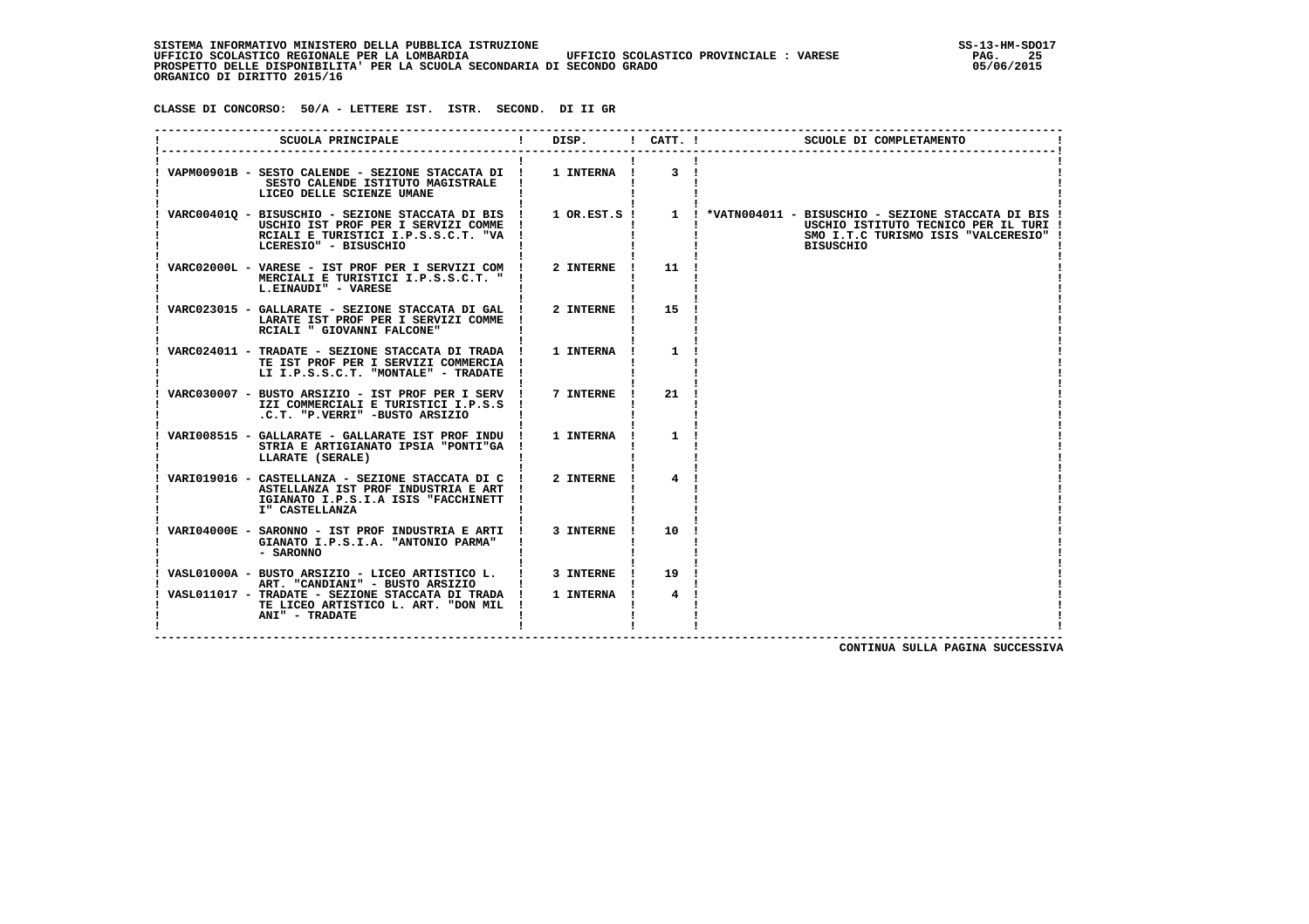SISTEMA INFORMATIVO MINISTERO DELLA PUBBLICA ISTRUZIONE<br>1954 - UFFICIO SCOLASTICO REGIONALE PER LA LOMBARDIA UFFICIO SCOLASTICO PROVINCIALE : VARESE  **UFFICIO SCOLASTICO REGIONALE PER LA LOMBARDIA UFFICIO SCOLASTICO PROVINCIALE : VARESE PAG. 25 PROSPETTO DELLE DISPONIBILITA' PER LA SCUOLA SECONDARIA DI SECONDO GRADO 05/06/2015 ORGANICO DI DIRITTO 2015/16**

 **CLASSE DI CONCORSO: 50/A - LETTERE IST. ISTR. SECOND. DI II GR**

| SCUOLA PRINCIPALE                                                                                                                                         | DISP.       | $!$ $CATT$ . $!$ | SCUOLE DI COMPLETAMENTO                                                                                                                                                  |
|-----------------------------------------------------------------------------------------------------------------------------------------------------------|-------------|------------------|--------------------------------------------------------------------------------------------------------------------------------------------------------------------------|
| VAPM00901B - SESTO CALENDE - SEZIONE STACCATA DI !<br>SESTO CALENDE ISTITUTO MAGISTRALE<br>LICEO DELLE SCIENZE UMANE                                      | 1 INTERNA ! | 3                |                                                                                                                                                                          |
| VARC004010 - BISUSCHIO - SEZIONE STACCATA DI BIS !<br>USCHIO IST PROF PER I SERVIZI COMME<br>RCIALI E TURISTICI I.P.S.S.C.T. "VA<br>LCERESIO" - BISUSCHIO |             |                  | 1 OR.EST.S ! 1 ! *VATN004011 - BISUSCHIO - SEZIONE STACCATA DI BIS !<br>USCHIO ISTITUTO TECNICO PER IL TURI !<br>SMO I.T.C TURISMO ISIS "VALCERESIO"<br><b>BISUSCHIO</b> |
| VARC02000L - VARESE - IST PROF PER I SERVIZI COM !<br>MERCIALI E TURISTICI I.P.S.S.C.T. "<br>L.EINAUDI" - VARESE                                          | 2 INTERNE   | 11               |                                                                                                                                                                          |
| VARC023015 - GALLARATE - SEZIONE STACCATA DI GAL<br>LARATE IST PROF PER I SERVIZI COMME<br>RCIALI " GIOVANNI FALCONE"                                     | 2 INTERNE   | 15               |                                                                                                                                                                          |
| VARC024011 - TRADATE - SEZIONE STACCATA DI TRADA !<br>TE IST PROF PER I SERVIZI COMMERCIA<br>LI I.P.S.S.C.T. "MONTALE" - TRADATE                          | 1 INTERNA   | $\mathbf{1}$     |                                                                                                                                                                          |
| VARC030007 - BUSTO ARSIZIO - IST PROF PER I SERV !<br>IZI COMMERCIALI E TURISTICI I.P.S.S<br>.C.T. "P.VERRI" -BUSTO ARSIZIO                               | 7 INTERNE   | 21               |                                                                                                                                                                          |
| VARI008515 - GALLARATE - GALLARATE IST PROF INDU !<br>STRIA E ARTIGIANATO IPSIA "PONTI"GA<br>LLARATE (SERALE)                                             | 1 INTERNA   | $\mathbf{1}$     |                                                                                                                                                                          |
| VARI019016 - CASTELLANZA - SEZIONE STACCATA DI C<br>ASTELLANZA IST PROF INDUSTRIA E ART<br>IGIANATO I.P.S.I.A ISIS "FACCHINETT<br>I" CASTELLANZA          | 2 INTERNE   |                  |                                                                                                                                                                          |
| VARI04000E - SARONNO - IST PROF INDUSTRIA E ARTI !<br>GIANATO I.P.S.I.A. "ANTONIO PARMA"<br>- SARONNO                                                     | 3 INTERNE   | 10               |                                                                                                                                                                          |
| VASL01000A - BUSTO ARSIZIO - LICEO ARTISTICO L.<br>ART. "CANDIANI" - BUSTO ARSIZIO                                                                        | 3 INTERNE   | 19               |                                                                                                                                                                          |
| VASL011017 - TRADATE - SEZIONE STACCATA DI TRADA !<br>TE LICEO ARTISTICO L. ART. "DON MIL<br>ANI" - TRADATE                                               | 1 INTERNA   | 4                |                                                                                                                                                                          |
|                                                                                                                                                           |             |                  |                                                                                                                                                                          |

 **CONTINUA SULLA PAGINA SUCCESSIVA**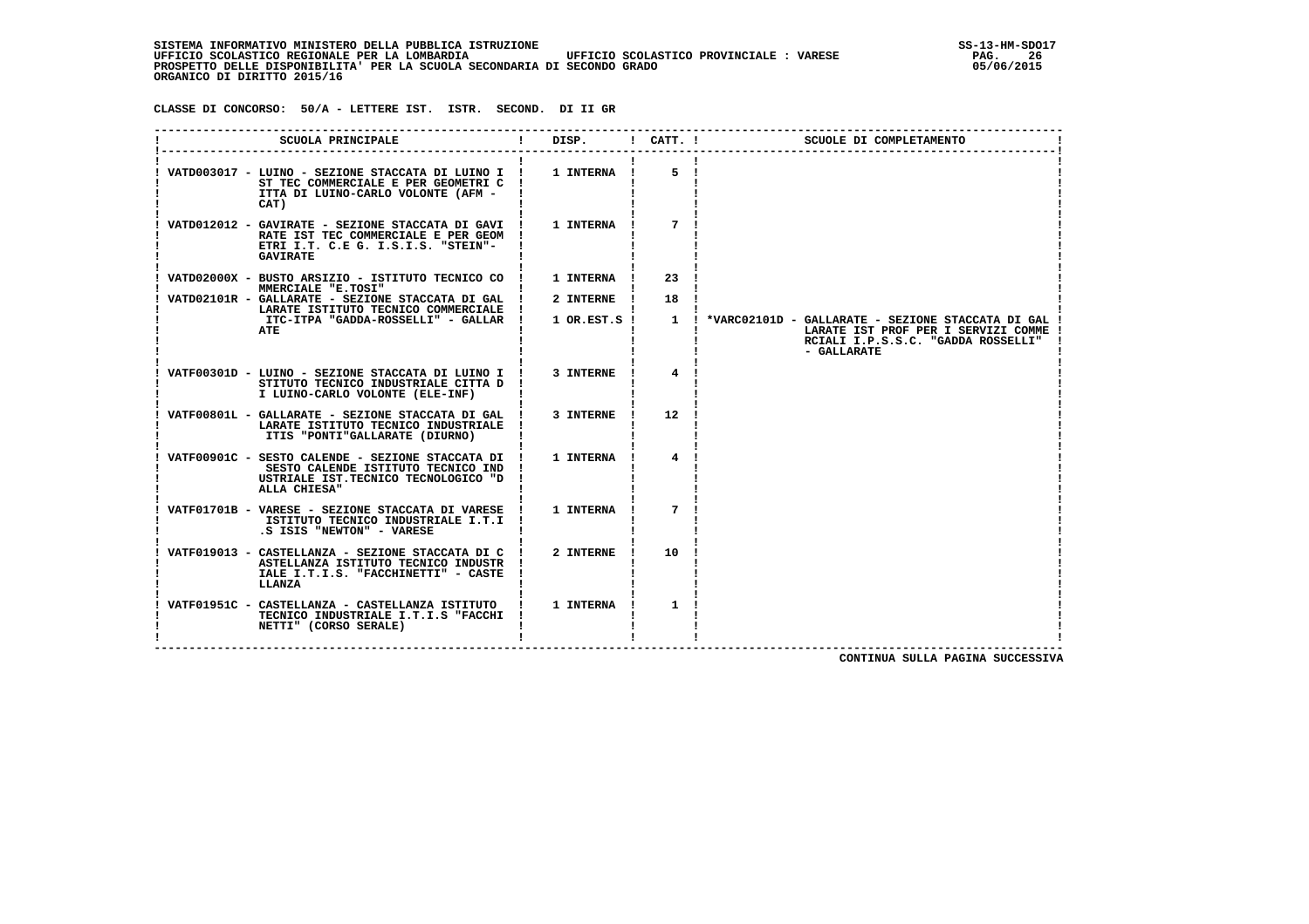SISTEMA INFORMATIVO MINISTERO DELLA PUBBLICA ISTRUZIONE<br>16 UFFICIO SCOLASTICO REGIONALE PER LA LOMBARDIA UFFICIO SCOLASTICO PROVINCIALE : VARESE  **UFFICIO SCOLASTICO REGIONALE PER LA LOMBARDIA UFFICIO SCOLASTICO PROVINCIALE : VARESE PAG. 26 PROSPETTO DELLE DISPONIBILITA' PER LA SCUOLA SECONDARIA DI SECONDO GRADO 05/06/2015 ORGANICO DI DIRITTO 2015/16**

 **CLASSE DI CONCORSO: 50/A - LETTERE IST. ISTR. SECOND. DI II GR**

| SCUOLA PRINCIPALE                                                                                                                                  | DISP.            | $!$ $CATT$ . $!$ | SCUOLE DI COMPLETAMENTO                                                                                                                       |
|----------------------------------------------------------------------------------------------------------------------------------------------------|------------------|------------------|-----------------------------------------------------------------------------------------------------------------------------------------------|
| VATD003017 - LUINO - SEZIONE STACCATA DI LUINO I !<br>ST TEC COMMERCIALE E PER GEOMETRI C<br>ITTA DI LUINO-CARLO VOLONTE (AFM -<br>CAT)            | 1 INTERNA !      | 5                |                                                                                                                                               |
| VATD012012 - GAVIRATE - SEZIONE STACCATA DI GAVI !<br>RATE IST TEC COMMERCIALE E PER GEOM<br>ETRI I.T. C.E G. I.S.I.S. "STEIN"-<br><b>GAVIRATE</b> | 1 INTERNA        |                  |                                                                                                                                               |
| VATD02000X - BUSTO ARSIZIO - ISTITUTO TECNICO CO<br>MMERCIALE "E.TOSI"                                                                             | 1 INTERNA        | 23               |                                                                                                                                               |
| VATD02101R - GALLARATE - SEZIONE STACCATA DI GAL<br>LARATE ISTITUTO TECNICO COMMERCIALE                                                            | 2 INTERNE        | 18               |                                                                                                                                               |
| ITC-ITPA "GADDA-ROSSELLI" - GALLAR<br>ATE                                                                                                          | 1 OR.EST.S !     | $\mathbf{1}$     | *VARC02101D - GALLARATE - SEZIONE STACCATA DI GAL<br>LARATE IST PROF PER I SERVIZI COMME<br>RCIALI I.P.S.S.C. "GADDA ROSSELLI"<br>- GALLARATE |
| VATF00301D - LUINO - SEZIONE STACCATA DI LUINO I !<br>STITUTO TECNICO INDUSTRIALE CITTA D<br>I LUINO-CARLO VOLONTE (ELE-INF)                       | 3 INTERNE        | 4                |                                                                                                                                               |
| VATF00801L - GALLARATE - SEZIONE STACCATA DI GAL !<br>LARATE ISTITUTO TECNICO INDUSTRIALE<br>ITIS "PONTI"GALLARATE (DIURNO)                        | 3 INTERNE        | 12               |                                                                                                                                               |
| VATF00901C - SESTO CALENDE - SEZIONE STACCATA DI !<br>SESTO CALENDE ISTITUTO TECNICO IND<br>USTRIALE IST. TECNICO TECNOLOGICO "D<br>ALLA CHIESA"   | 1 INTERNA        | 4                |                                                                                                                                               |
| VATF01701B - VARESE - SEZIONE STACCATA DI VARESE<br>ISTITUTO TECNICO INDUSTRIALE I.T.I<br>.S ISIS "NEWTON" - VARESE                                | 1 INTERNA        | 7                |                                                                                                                                               |
| VATF019013 - CASTELLANZA - SEZIONE STACCATA DI C<br>ASTELLANZA ISTITUTO TECNICO INDUSTR<br>IALE I.T.I.S. "FACCHINETTI" - CASTE<br>LLANZA           | 2 INTERNE        | 10               |                                                                                                                                               |
| VATF01951C - CASTELLANZA - CASTELLANZA ISTITUTO<br>TECNICO INDUSTRIALE I.T.I.S "FACCHI<br>NETTI" (CORSO SERALE)                                    | <b>1 INTERNA</b> | 1                |                                                                                                                                               |

 **CONTINUA SULLA PAGINA SUCCESSIVA**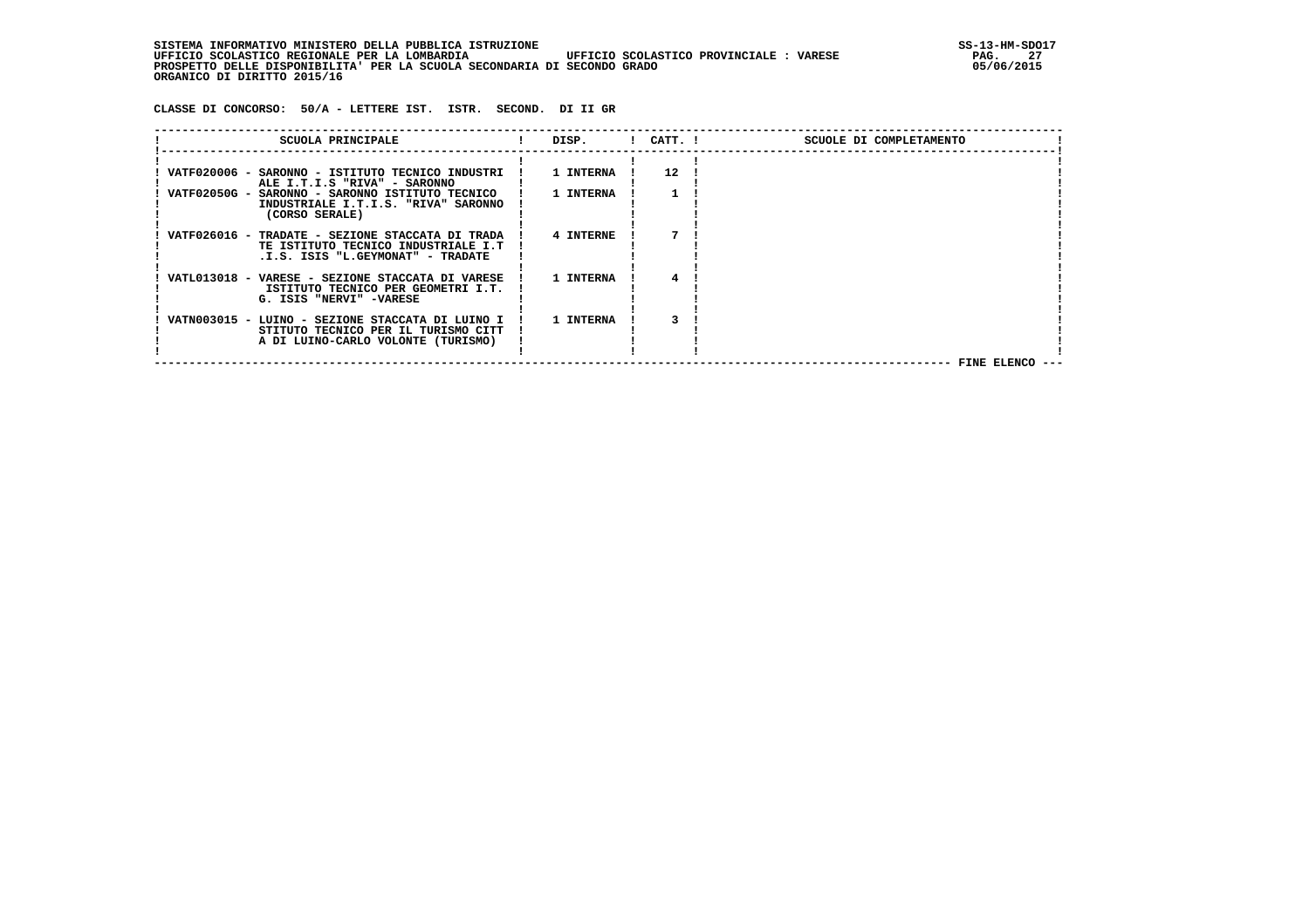SISTEMA INFORMATIVO MINISTERO DELLA PUBBLICA ISTRUZIONE<br>17 UFFICIO SCOLASTICO REGIONALE PER LA LOMBARDIA UFFICIO SCOLASTICO PROVINCIALE : VARESE  **UFFICIO SCOLASTICO REGIONALE PER LA LOMBARDIA UFFICIO SCOLASTICO PROVINCIALE : VARESE PAG. 27 PROSPETTO DELLE DISPONIBILITA' PER LA SCUOLA SECONDARIA DI SECONDO GRADO 05/06/2015 ORGANICO DI DIRITTO 2015/16**

 **CLASSE DI CONCORSO: 50/A - LETTERE IST. ISTR. SECOND. DI II GR**

| SCUOLA PRINCIPALE                                                                      | DISP.     | $!$ $CATT$ . $!$  | SCUOLE DI COMPLETAMENTO |  |
|----------------------------------------------------------------------------------------|-----------|-------------------|-------------------------|--|
|                                                                                        |           | $12 \overline{ }$ |                         |  |
| VATF020006 - SARONNO - ISTITUTO TECNICO INDUSTRI<br>ALE I.T.I.S "RIVA" - SARONNO       | 1 INTERNA |                   |                         |  |
| VATF02050G - SARONNO - SARONNO ISTITUTO TECNICO                                        | 1 INTERNA |                   |                         |  |
| INDUSTRIALE I.T.I.S. "RIVA" SARONNO<br>(CORSO SERALE)                                  |           |                   |                         |  |
| VATF026016 - TRADATE - SEZIONE STACCATA DI TRADA                                       | 4 INTERNE |                   |                         |  |
| TE ISTITUTO TECNICO INDUSTRIALE I.T                                                    |           |                   |                         |  |
| .I.S. ISIS "L.GEYMONAT" - TRADATE                                                      |           |                   |                         |  |
| VATL013018 - VARESE - SEZIONE STACCATA DI VARESE<br>ISTITUTO TECNICO PER GEOMETRI I.T. | 1 INTERNA |                   |                         |  |
| G. ISIS "NERVI" -VARESE                                                                |           |                   |                         |  |
| VATN003015 - LUINO - SEZIONE STACCATA DI LUINO I                                       | 1 INTERNA |                   |                         |  |
| STITUTO TECNICO PER IL TURISMO CITT                                                    |           |                   |                         |  |
| A DI LUINO-CARLO VOLONTE (TURISMO)                                                     |           |                   |                         |  |
|                                                                                        |           |                   | FINE ELENCO ---         |  |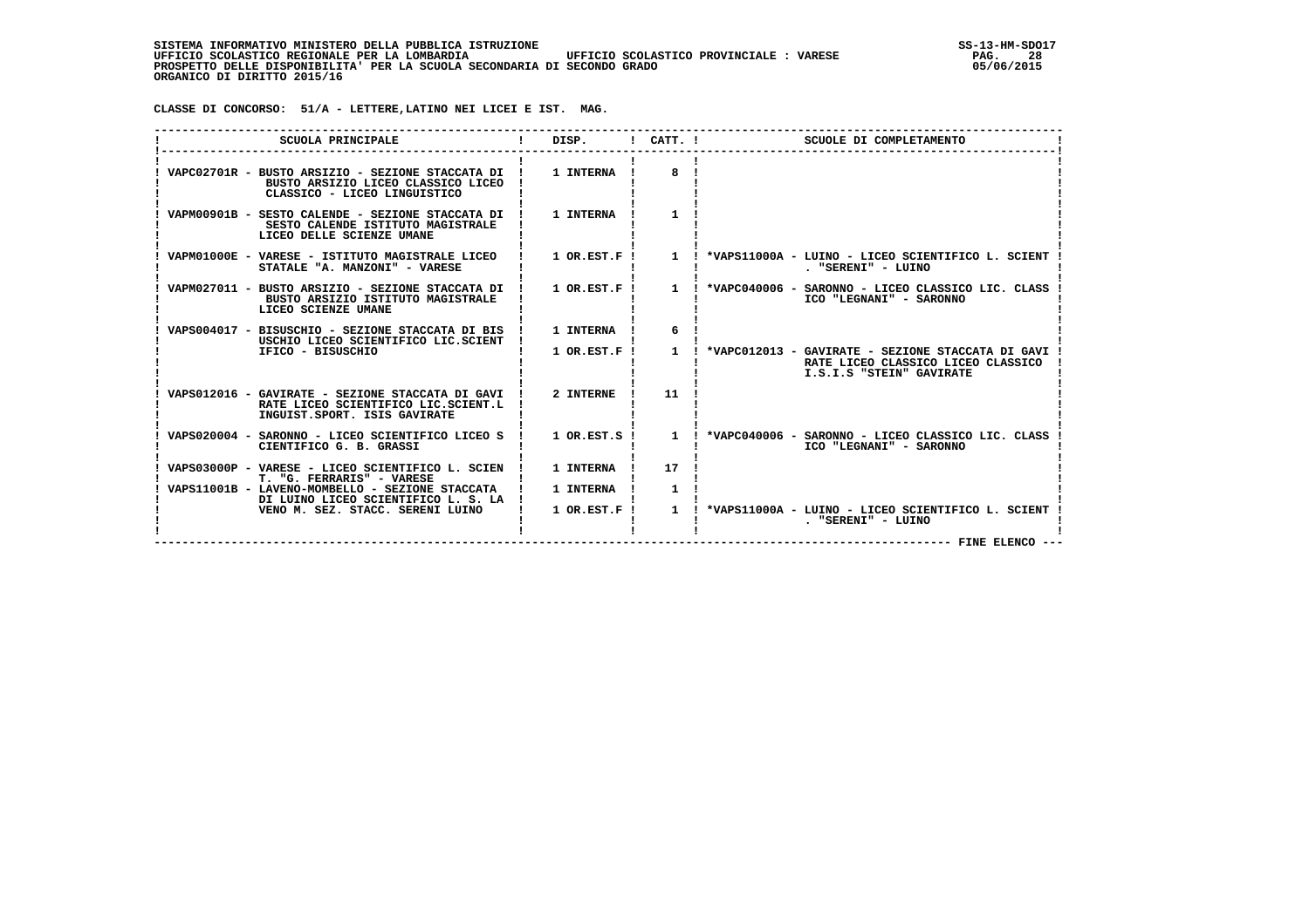**CLASSE DI CONCORSO: 51/A - LETTERE,LATINO NEI LICEI E IST. MAG.**

| SCUOLA PRINCIPALE                                                                                                          | DISP.            |              | $1$ CATT. $1$<br>SCUOLE DI COMPLETAMENTO                                                                                |
|----------------------------------------------------------------------------------------------------------------------------|------------------|--------------|-------------------------------------------------------------------------------------------------------------------------|
| VAPC02701R - BUSTO ARSIZIO - SEZIONE STACCATA DI !<br>BUSTO ARSIZIO LICEO CLASSICO LICEO<br>CLASSICO - LICEO LINGUISTICO   | 1 INTERNA !      | 8            |                                                                                                                         |
| VAPM00901B - SESTO CALENDE - SEZIONE STACCATA DI !<br>SESTO CALENDE ISTITUTO MAGISTRALE<br>LICEO DELLE SCIENZE UMANE       | 1 INTERNA        |              |                                                                                                                         |
| VAPM01000E - VARESE - ISTITUTO MAGISTRALE LICEO<br>STATALE "A. MANZONI" - VARESE                                           | $1$ OR.EST.F !   |              | 1 : *VAPS11000A - LUINO - LICEO SCIENTIFICO L. SCIENT<br>. "SERENI" - LUINO                                             |
| VAPM027011 - BUSTO ARSIZIO - SEZIONE STACCATA DI !<br>BUSTO ARSIZIO ISTITUTO MAGISTRALE<br>LICEO SCIENZE UMANE             | $1$ OR.EST.F!    |              | 1 ! *VAPC040006 - SARONNO - LICEO CLASSICO LIC. CLASS<br>ICO "LEGNANI" - SARONNO                                        |
| VAPS004017 - BISUSCHIO - SEZIONE STACCATA DI BIS<br>USCHIO LICEO SCIENTIFICO LIC.SCIENT                                    | 1 INTERNA        | 6            |                                                                                                                         |
| IFICO - BISUSCHIO                                                                                                          | $1$ OR. EST. F!  |              | 1 ! *VAPC012013 - GAVIRATE - SEZIONE STACCATA DI GAVI<br>RATE LICEO CLASSICO LICEO CLASSICO<br>I.S.I.S "STEIN" GAVIRATE |
| VAPS012016 - GAVIRATE - SEZIONE STACCATA DI GAVI !<br>RATE LICEO SCIENTIFICO LIC.SCIENT.L<br>INGUIST. SPORT. ISIS GAVIRATE | 2 INTERNE        | 11           |                                                                                                                         |
| VAPS020004 - SARONNO - LICEO SCIENTIFICO LICEO S<br>CIENTIFICO G. B. GRASSI                                                | $1$ OR.EST.S $1$ |              | 1 ! *VAPC040006 - SARONNO - LICEO CLASSICO LIC. CLASS<br>ICO "LEGNANI" - SARONNO                                        |
| VAPS03000P - VARESE - LICEO SCIENTIFICO L. SCIEN<br>T. "G. FERRARIS" - VARESE                                              | 1 INTERNA        | 17           |                                                                                                                         |
| VAPS11001B - LAVENO-MOMBELLO - SEZIONE STACCATA<br>DI LUINO LICEO SCIENTIFICO L. S. LA                                     | 1 INTERNA        | $\mathbf{1}$ |                                                                                                                         |
| VENO M. SEZ. STACC. SERENI LUINO                                                                                           | $1$ OR. EST. F!  |              | 1 : *VAPS11000A - LUINO - LICEO SCIENTIFICO L. SCIENT<br>. "SERENI" - LUINO<br>$------$ FINE ELENCO $---$               |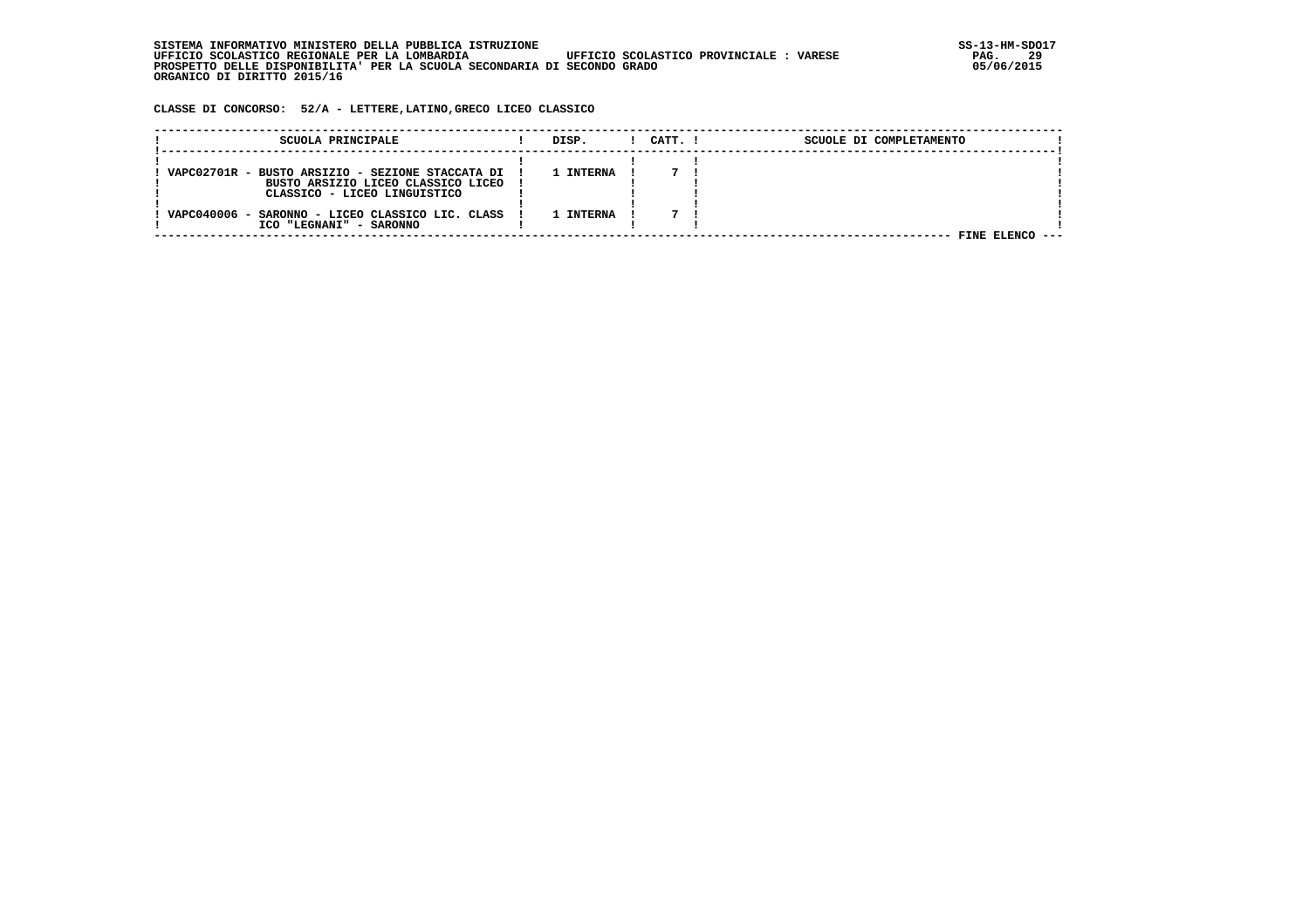**CLASSE DI CONCORSO: 52/A - LETTERE,LATINO,GRECO LICEO CLASSICO**

| SCUOLA PRINCIPALE                                                                        | DISP.     | CATT. I | SCUOLE DI COMPLETAMENTO |  |
|------------------------------------------------------------------------------------------|-----------|---------|-------------------------|--|
|                                                                                          |           |         |                         |  |
| VAPC02701R - BUSTO ARSIZIO - SEZIONE STACCATA DI !<br>BUSTO ARSIZIO LICEO CLASSICO LICEO | 1 INTERNA |         |                         |  |
| CLASSICO - LICEO LINGUISTICO                                                             |           |         |                         |  |
| VAPC040006 - SARONNO - LICEO CLASSICO LIC. CLASS                                         | 1 INTERNA |         |                         |  |
| ICO "LEGNANI" - SARONNO                                                                  |           |         | FINE ELENCO             |  |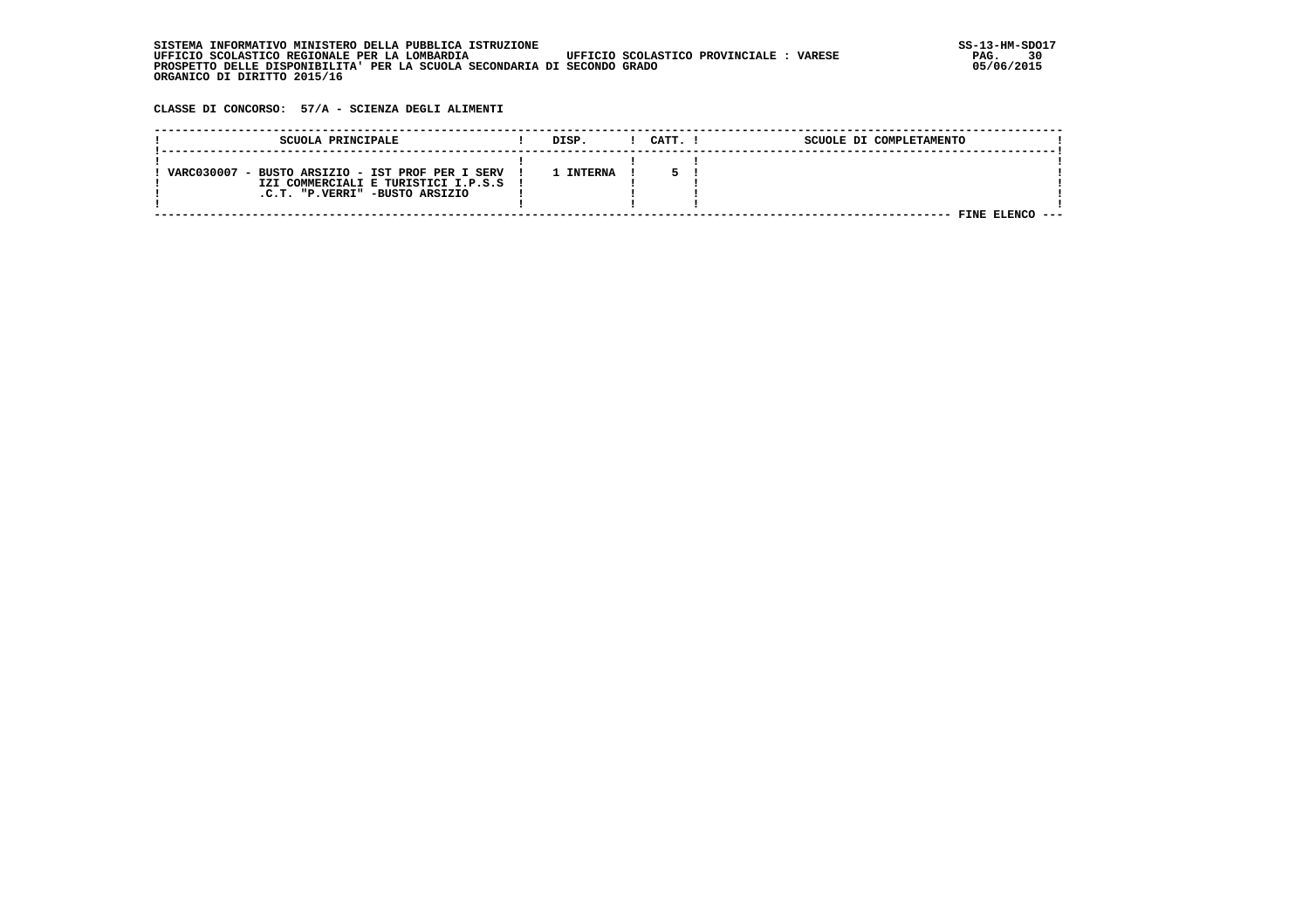| . INFORMATIVO MINISTERO DELLA PUBBLICA ISTRUZIONE<br>STSTEMA                                       | SS-13-HM-SDC |
|----------------------------------------------------------------------------------------------------|--------------|
| UFFICIO SCOLASTICO REGIONALE PER LA LOMBARDIA<br>UFFICIO SCOLASTICO PROVINCIALE :<br><b>VARESE</b> | 30<br>PAG.   |
| PROSPETTO DELLE DISPONIBILITA' PER LA SCUOLA SECONDARIA DI SECONDO GRADO                           | 05/06/2015   |
| ORGANICO DI DIRITTO 2015/16                                                                        |              |

 **CLASSE DI CONCORSO: 57/A - SCIENZA DEGLI ALIMENTI**

| SCUOLA PRINCIPALE                                | DISP.          | CATT. | SCUOLE DI COMPLETAMENTO |  |
|--------------------------------------------------|----------------|-------|-------------------------|--|
|                                                  |                |       |                         |  |
| VARC030007 - BUSTO ARSIZIO - IST PROF PER I SERV | <b>INTERNA</b> |       |                         |  |
| IZI COMMERCIALI E TURISTICI I.P.S.S              |                |       |                         |  |
| .C.T. "P.VERRI" -BUSTO ARSIZIO                   |                |       |                         |  |
|                                                  |                |       |                         |  |
|                                                  |                |       | FINE                    |  |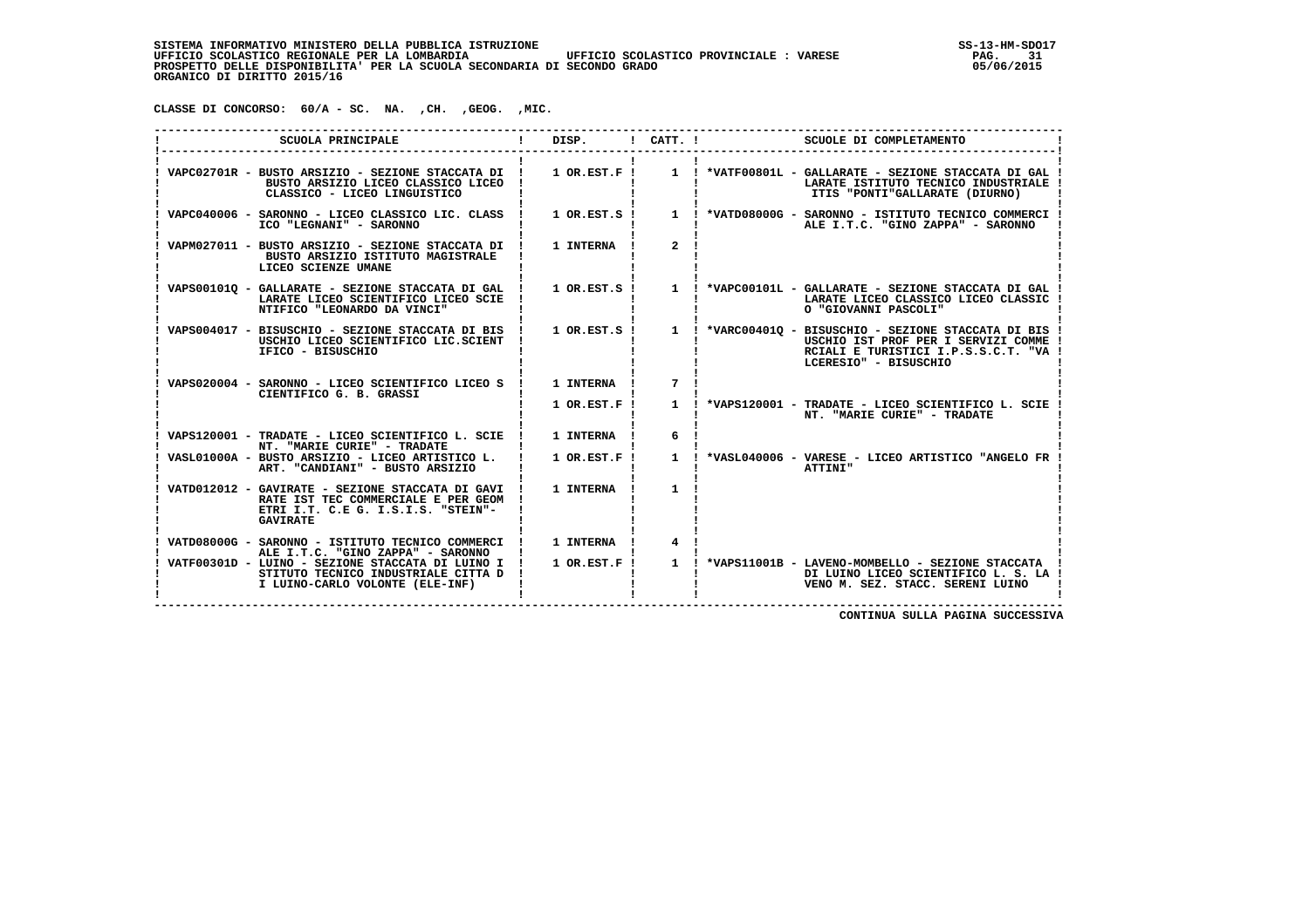**CLASSE DI CONCORSO: 60/A - SC. NA. ,CH. ,GEOG. ,MIC.**

| SCUOLA PRINCIPALE                                                                                                                                  | DISP.            | $1$ CATT. $1$  | SCUOLE DI COMPLETAMENTO                                                                                                                                                                        |
|----------------------------------------------------------------------------------------------------------------------------------------------------|------------------|----------------|------------------------------------------------------------------------------------------------------------------------------------------------------------------------------------------------|
| BUSTO ARSIZIO LICEO CLASSICO LICEO<br>CLASSICO - LICEO LINGUISTICO                                                                                 |                  |                | VAPC02701R - BUSTO ARSIZIO - SEZIONE STACCATA DI ! 1 OR.EST.F ! 1 ! *VATF00801L - GALLARATE - SEZIONE STACCATA DI GAL<br>LARATE ISTITUTO TECNICO INDUSTRIALE<br>ITIS "PONTI"GALLARATE (DIURNO) |
| VAPC040006 - SARONNO - LICEO CLASSICO LIC. CLASS<br>ICO "LEGNANI" - SARONNO                                                                        |                  |                | 1 OR.EST.S ! 1 ! *VATD08000G - SARONNO - ISTITUTO TECNICO COMMERCI<br>ALE I.T.C. "GINO ZAPPA" - SARONNO                                                                                        |
| VAPM027011 - BUSTO ARSIZIO - SEZIONE STACCATA DI<br>BUSTO ARSIZIO ISTITUTO MAGISTRALE<br>LICEO SCIENZE UMANE                                       | 1 INTERNA        | 2 <sub>1</sub> |                                                                                                                                                                                                |
| VAPS001010 - GALLARATE - SEZIONE STACCATA DI GAL<br>LARATE LICEO SCIENTIFICO LICEO SCIE<br>NTIFICO "LEONARDO DA VINCI"                             |                  |                | 1 OR.EST.S ! 1 ! *VAPC00101L - GALLARATE - SEZIONE STACCATA DI GAL<br>LARATE LICEO CLASSICO LICEO CLASSIC<br>O "GIOVANNI PASCOLI"                                                              |
| VAPS004017 - BISUSCHIO - SEZIONE STACCATA DI BIS !<br>USCHIO LICEO SCIENTIFICO LIC.SCIENT<br>IFICO - BISUSCHIO                                     |                  |                | 1 OR.EST.S ! 1 ! *VARC00401Q - BISUSCHIO - SEZIONE STACCATA DI BIS !<br>USCHIO IST PROF PER I SERVIZI COMME<br>RCIALI E TURISTICI I.P.S.S.C.T. "VA<br>LCERESIO" - BISUSCHIO                    |
| VAPS020004 - SARONNO - LICEO SCIENTIFICO LICEO S !<br>CIENTIFICO G. B. GRASSI                                                                      | 1 INTERNA !      | $7^{\circ}$    |                                                                                                                                                                                                |
|                                                                                                                                                    | $1$ OR. EST. F!  |                | 1 : *VAPS120001 - TRADATE - LICEO SCIENTIFICO L. SCIE<br>NT. "MARIE CURIE" - TRADATE                                                                                                           |
| VAPS120001 - TRADATE - LICEO SCIENTIFICO L. SCIE !<br>NT. "MARIE CURIE" - TRADATE                                                                  | 1 INTERNA        | 6              |                                                                                                                                                                                                |
| VASL01000A - BUSTO ARSIZIO - LICEO ARTISTICO L.<br>ART. "CANDIANI" - BUSTO ARSIZIO                                                                 | $1$ OR. EST. F!  |                | 1 ! *VASL040006 - VARESE - LICEO ARTISTICO "ANGELO FR<br><b>ATTINI"</b>                                                                                                                        |
| VATD012012 - GAVIRATE - SEZIONE STACCATA DI GAVI !<br>RATE IST TEC COMMERCIALE E PER GEOM<br>ETRI I.T. C.E G. I.S.I.S. "STEIN"-<br><b>GAVIRATE</b> | 1 INTERNA        | $\mathbf{1}$   |                                                                                                                                                                                                |
| VATD08000G - SARONNO - ISTITUTO TECNICO COMMERCI !<br>ALE I.T.C. "GINO ZAPPA" - SARONNO                                                            | <b>1 INTERNA</b> | $\overline{4}$ |                                                                                                                                                                                                |
| VATF00301D - LUINO - SEZIONE STACCATA DI LUINO I !<br>STITUTO TECNICO INDUSTRIALE CITTA D<br>I LUINO-CARLO VOLONTE (ELE-INF)                       | $1$ OR. EST. F!  |                | 1 ! *VAPS11001B - LAVENO-MOMBELLO - SEZIONE STACCATA<br>DI LUINO LICEO SCIENTIFICO L. S. LA !<br>VENO M. SEZ. STACC. SERENI LUINO                                                              |

 **CONTINUA SULLA PAGINA SUCCESSIVA**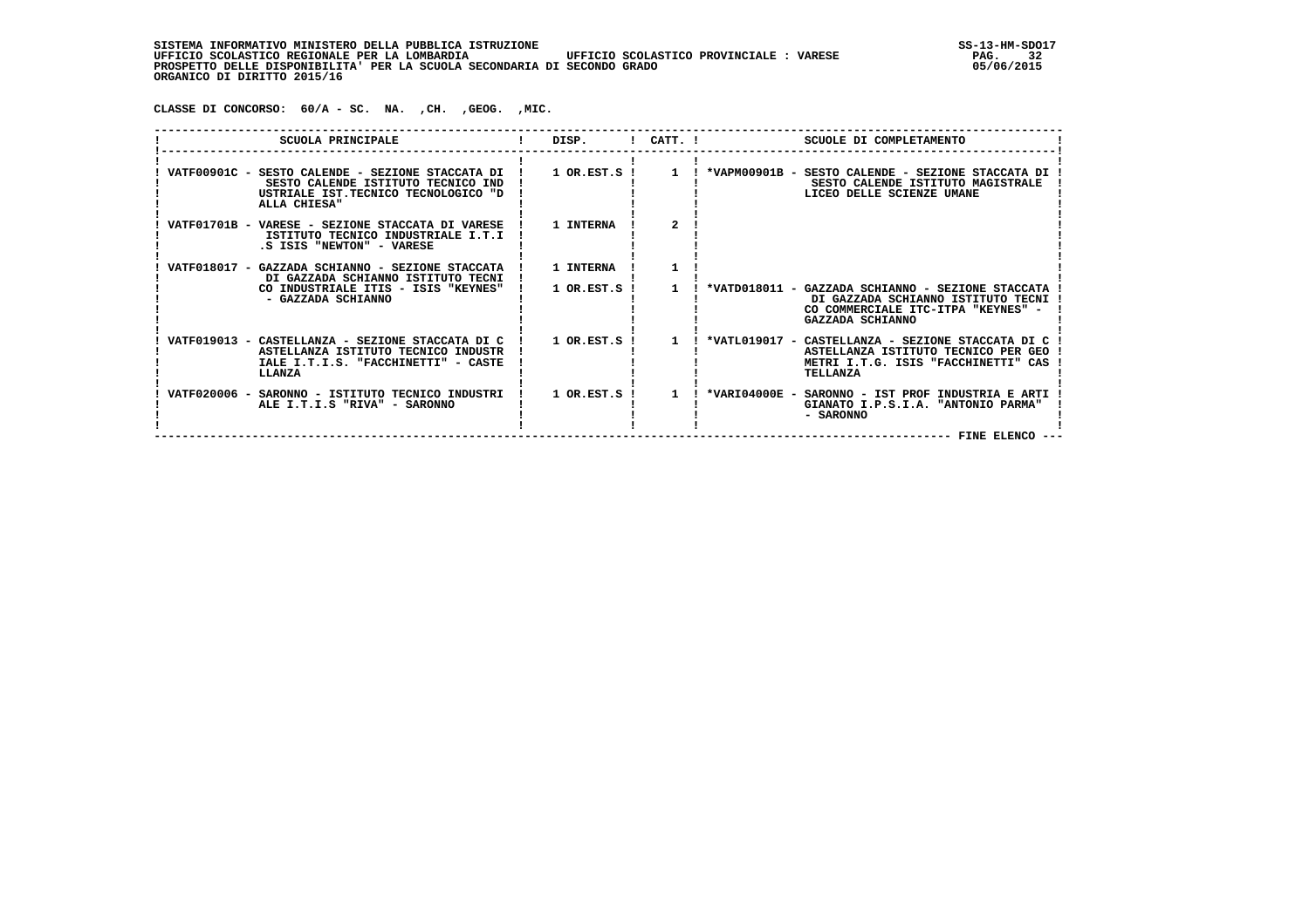**CLASSE DI CONCORSO: 60/A - SC. NA. ,CH. ,GEOG. ,MIC.**

| SCUOLA PRINCIPALE                                                                                                                               | DISP.                         | $!$ $CATT$ . $!$ |               | SCUOLE DI COMPLETAMENTO                                                                                                                     |
|-------------------------------------------------------------------------------------------------------------------------------------------------|-------------------------------|------------------|---------------|---------------------------------------------------------------------------------------------------------------------------------------------|
| VATF00901C - SESTO CALENDE - SEZIONE STACCATA DI !<br>SESTO CALENDE ISTITUTO TECNICO IND<br>USTRIALE IST.TECNICO TECNOLOGICO "D<br>ALLA CHIESA" | $1$ OR.EST.S $1$              |                  |               | 1 ! *VAPM00901B - SESTO CALENDE - SEZIONE STACCATA DI<br>SESTO CALENDE ISTITUTO MAGISTRALE<br>LICEO DELLE SCIENZE UMANE                     |
| VATF01701B - VARESE - SEZIONE STACCATA DI VARESE<br>ISTITUTO TECNICO INDUSTRIALE I.T.I<br>.S ISIS "NEWTON" - VARESE                             | 1 INTERNA                     |                  |               |                                                                                                                                             |
| VATF018017 - GAZZADA SCHIANNO - SEZIONE STACCATA<br>DI GAZZADA SCHIANNO ISTITUTO TECNI<br>CO INDUSTRIALE ITIS - ISIS "KEYNES"                   | 1 INTERNA<br>$1$ OR.EST.S $1$ | $\mathbf{1}$     |               | *VATD018011 - GAZZADA SCHIANNO - SEZIONE STACCATA                                                                                           |
| - GAZZADA SCHIANNO                                                                                                                              |                               |                  |               | DI GAZZADA SCHIANNO ISTITUTO TECNI<br>CO COMMERCIALE ITC-ITPA "KEYNES" -<br>GAZZADA SCHIANNO                                                |
| VATF019013 - CASTELLANZA - SEZIONE STACCATA DI C<br>ASTELLANZA ISTITUTO TECNICO INDUSTR<br>IALE I.T.I.S. "FACCHINETTI" - CASTE<br>LLANZA        | $1$ OR.EST.S $1$              | $\mathbf{1}$     |               | *VATL019017 - CASTELLANZA - SEZIONE STACCATA DI C<br>ASTELLANZA ISTITUTO TECNICO PER GEO<br>METRI I.T.G. ISIS "FACCHINETTI" CAS<br>TELLANZA |
| VATF020006 - SARONNO - ISTITUTO TECNICO INDUSTRI<br>ALE I.T.I.S "RIVA" - SARONNO                                                                | $1$ OR.EST.S !                | $1 \quad 1$      | *VARI04000E - | SARONNO - IST PROF INDUSTRIA E ARTI<br>GIANATO I.P.S.I.A. "ANTONIO PARMA"<br>- SARONNO<br>--- FINE ELENCO --                                |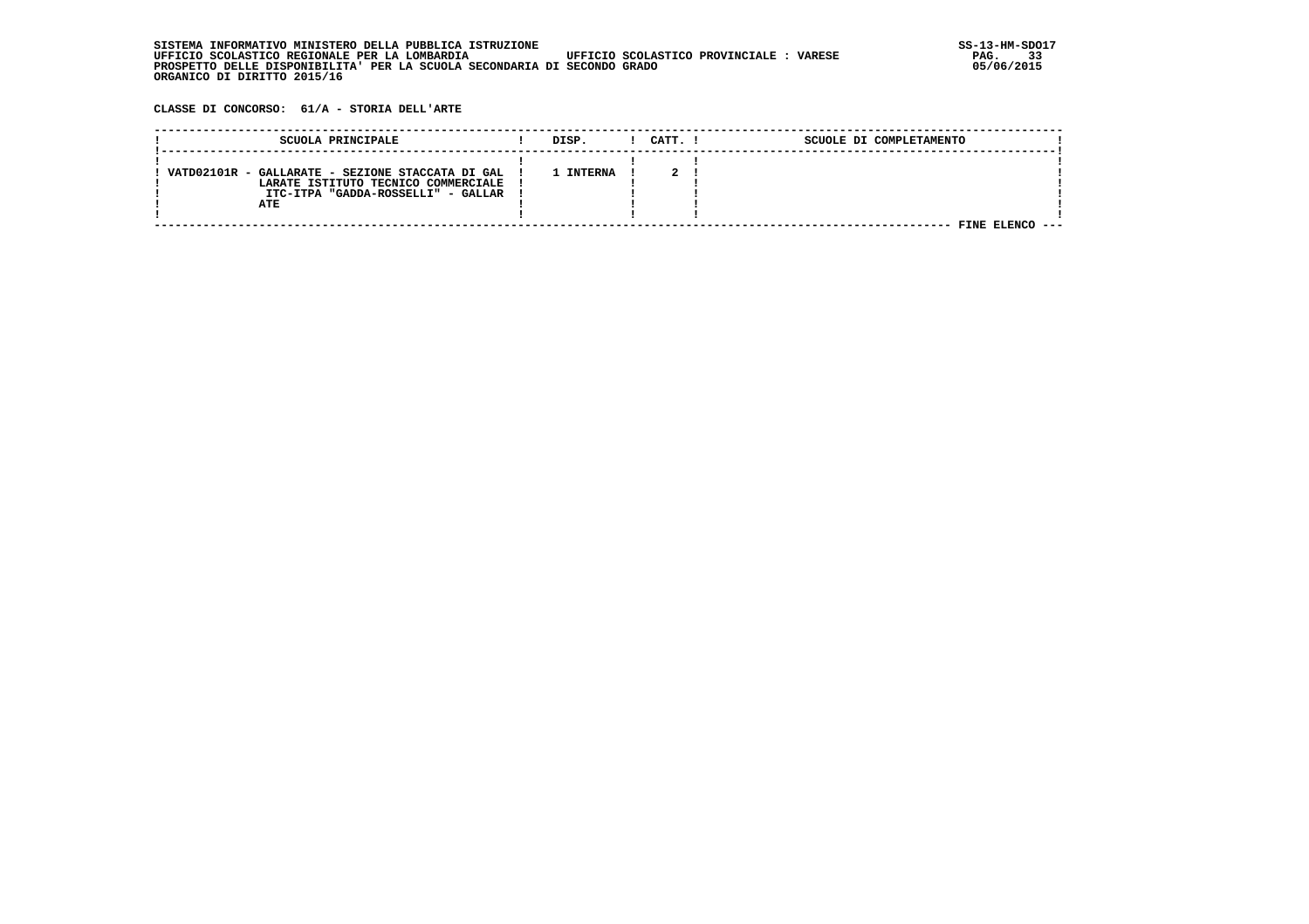| . INFORMATIVO MINISTERO DELLA PUBBLICA ISTRUZIONE<br>STSTEMA                                       | SS-13-HM-SDC |
|----------------------------------------------------------------------------------------------------|--------------|
| UFFICIO SCOLASTICO PROVINCIALE :<br>UFFICIO SCOLASTICO REGIONALE PER LA LOMBARDIA<br><b>VARESE</b> | 33<br>PAG.   |
| PROSPETTO DELLE DISPONIBILITA' PER LA SCUOLA SECONDARIA DI SECONDO GRADO                           | 05/06/2015   |
| ORGANICO DI DIRITTO 2015/16                                                                        |              |

 **CLASSE DI CONCORSO: 61/A - STORIA DELL'ARTE**

| SCUOLA PRINCIPALE                                | DISP.     | CATT. ! | SCUOLE DI COMPLETAMENTO |  |
|--------------------------------------------------|-----------|---------|-------------------------|--|
|                                                  |           |         |                         |  |
|                                                  |           |         |                         |  |
| VATD02101R - GALLARATE - SEZIONE STACCATA DI GAL | 1 INTERNA |         |                         |  |
| LARATE ISTITUTO TECNICO COMMERCIALE              |           |         |                         |  |
| ITC-ITPA "GADDA-ROSSELLI" - GALLAR               |           |         |                         |  |
| ATE                                              |           |         |                         |  |
|                                                  |           |         |                         |  |
|                                                  |           |         | <b>FINE ELENCO</b>      |  |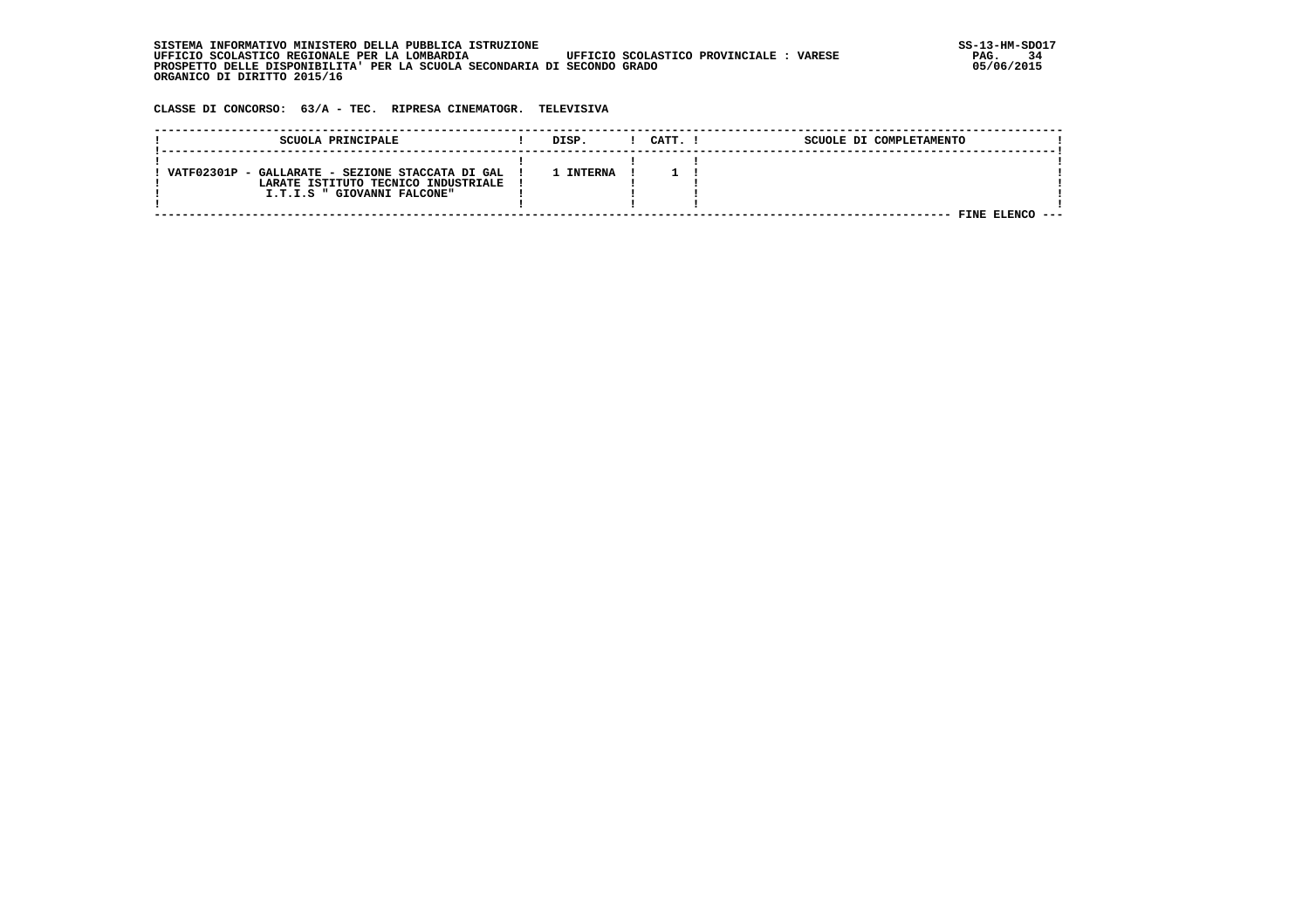| . INFORMATIVO MINISTERO DELLA PUBBLICA ISTRUZIONE<br>STSTEMA                                       | SS-13-HM-SDC |
|----------------------------------------------------------------------------------------------------|--------------|
| UFFICIO SCOLASTICO REGIONALE PER LA LOMBARDIA<br>UFFICIO SCOLASTICO PROVINCIALE :<br><b>VARESE</b> | 34<br>PAG.   |
| PROSPETTO DELLE DISPONIBILITA' PER LA SCUOLA SECONDARIA DI SECONDO GRADO                           | 05/06/2015   |
| ORGANICO DI DIRITTO 2015/16                                                                        |              |

 **CLASSE DI CONCORSO: 63/A - TEC. RIPRESA CINEMATOGR. TELEVISIVA**

| SCUOLA PRINCIPALE                                | DISP.          | CATT. | SCUOLE DI COMPLETAMENTO |  |
|--------------------------------------------------|----------------|-------|-------------------------|--|
|                                                  |                |       |                         |  |
| VATF02301P - GALLARATE - SEZIONE STACCATA DI GAL | <b>INTERNA</b> |       |                         |  |
| LARATE ISTITUTO TECNICO INDUSTRIALE              |                |       |                         |  |
| I.T.I.S " GIOVANNI FALCONE"                      |                |       |                         |  |
|                                                  |                |       |                         |  |
|                                                  |                |       | FINE                    |  |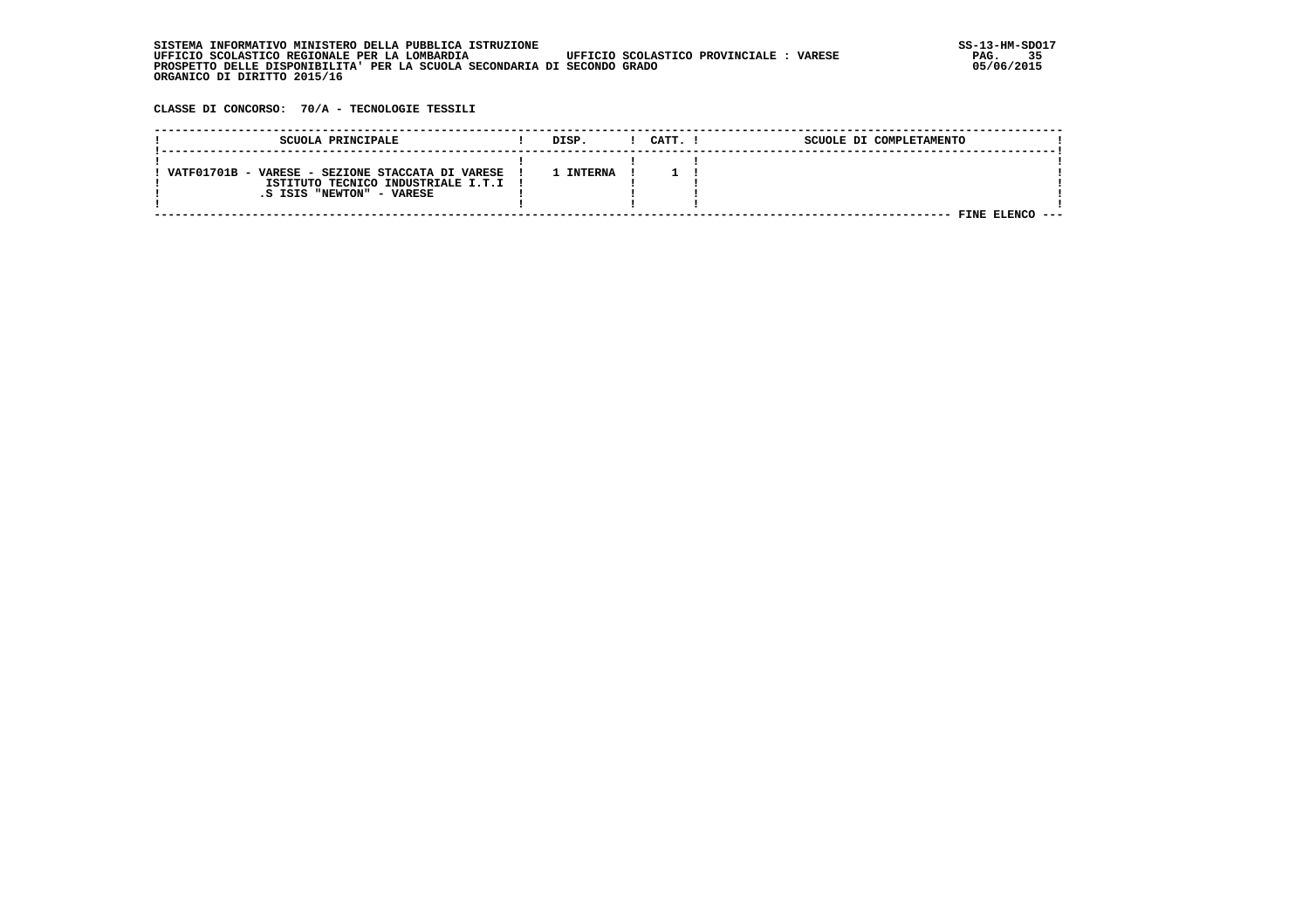| . INFORMATIVO MINISTERO DELLA PUBBLICA ISTRUZIONE<br>STSTEMA                                       | SS-13-HM-SDC |
|----------------------------------------------------------------------------------------------------|--------------|
| UFFICIO SCOLASTICO REGIONALE PER LA LOMBARDIA<br>UFFICIO SCOLASTICO PROVINCIALE :<br><b>VARESE</b> | 35<br>PAG.   |
| PROSPETTO DELLE DISPONIBILITA' PER LA SCUOLA SECONDARIA DI SECONDO GRADO                           | 05/06/2015   |
| ORGANICO DI DIRITTO 2015/16                                                                        |              |

 **CLASSE DI CONCORSO: 70/A - TECNOLOGIE TESSILI**

| SCUOLA PRINCIPALE                                | DISP.          | CATT. I | SCUOLE DI COMPLETAMENTO |
|--------------------------------------------------|----------------|---------|-------------------------|
|                                                  |                |         |                         |
| VATF01701B - VARESE - SEZIONE STACCATA DI VARESE | <b>INTERNA</b> |         |                         |
| ISTITUTO TECNICO INDUSTRIALE I.T.I !             |                |         |                         |
| .S ISIS "NEWTON" - VARESE                        |                |         |                         |
|                                                  |                |         |                         |
|                                                  |                |         | FINE                    |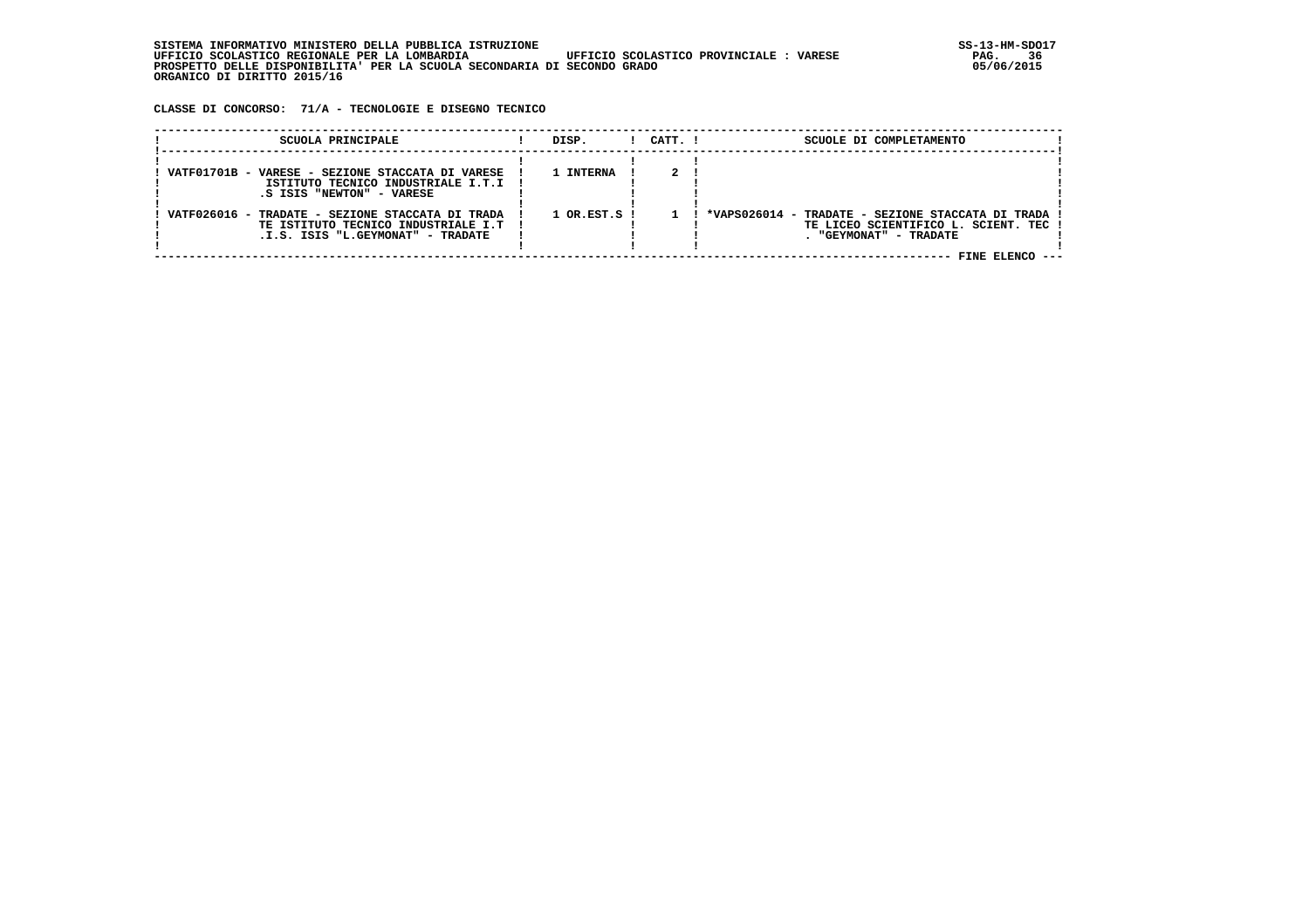**CLASSE DI CONCORSO: 71/A - TECNOLOGIE E DISEGNO TECNICO**

| SCUOLA PRINCIPALE                                                                                                            | DISP.                       | $1$ $CATT$ . $1$ | SCUOLE DI COMPLETAMENTO                                                                                                                 |
|------------------------------------------------------------------------------------------------------------------------------|-----------------------------|------------------|-----------------------------------------------------------------------------------------------------------------------------------------|
| VATF01701B - VARESE - SEZIONE STACCATA DI VARESE<br>ISTITUTO TECNICO INDUSTRIALE I.T.I !<br>S ISIS "NEWTON" - VARESE.        | 1 INTERNA                   |                  |                                                                                                                                         |
| VATF026016 - TRADATE - SEZIONE STACCATA DI TRADA<br>TE ISTITUTO TECNICO INDUSTRIALE I.T<br>.I.S. ISIS "L.GEYMONAT" - TRADATE | $1$ OR.EST.S $\overline{1}$ |                  | ! *VAPS026014 - TRADATE - SEZIONE STACCATA DI TRADA !<br>TE LICEO SCIENTIFICO L. SCIENT. TEC !<br>. "GEYMONAT" - TRADATE<br>FINE ELENCO |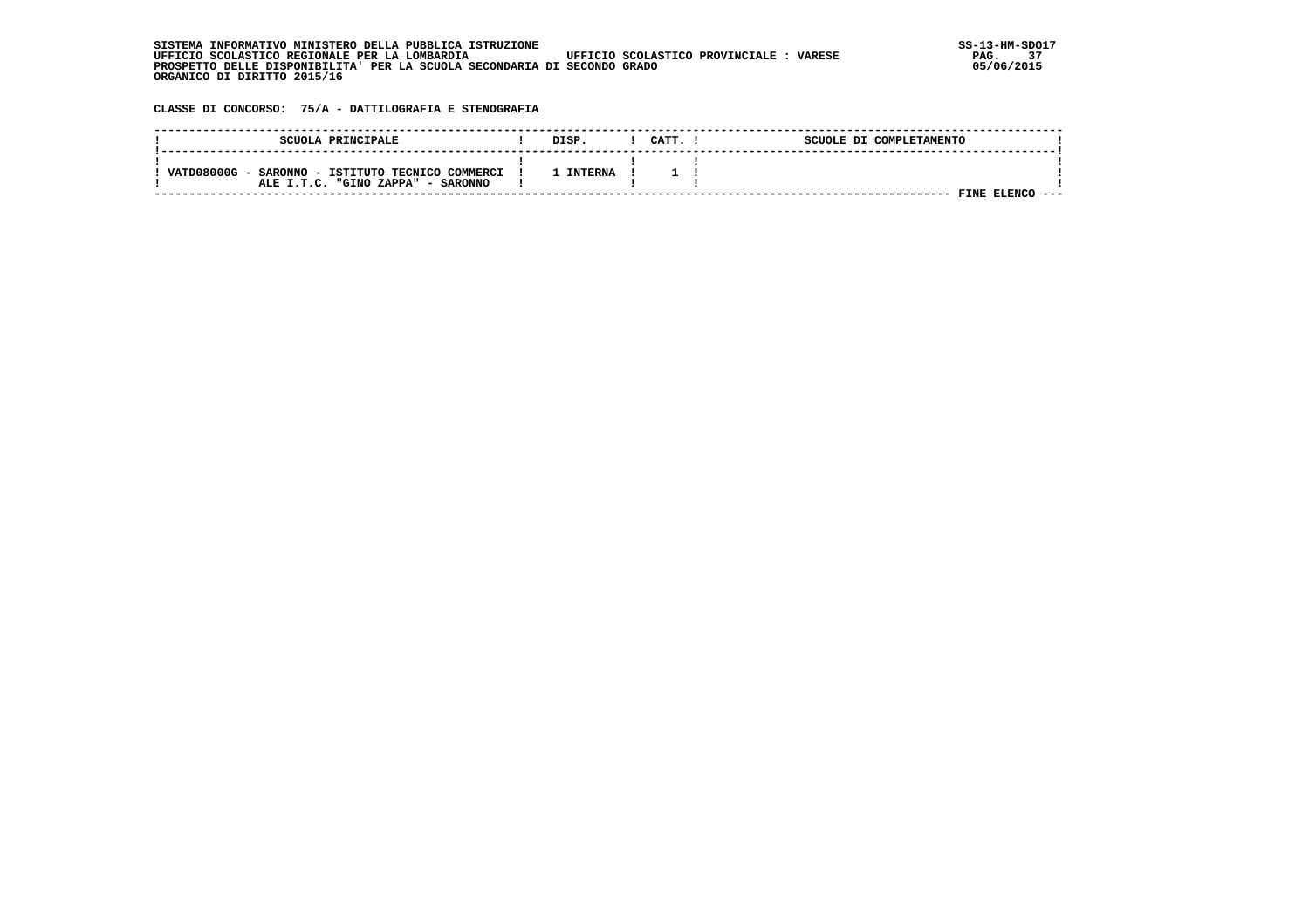| . INFORMATIVO MINISTERO DELLA PUBBLICA ISTRUZIONE<br>STSTEMA                                       | SS-13-HM-SDC |
|----------------------------------------------------------------------------------------------------|--------------|
| UFFICIO SCOLASTICO PROVINCIALE :<br>UFFICIO SCOLASTICO REGIONALE PER LA LOMBARDIA<br><b>VARESE</b> | 37<br>PAG.   |
| PROSPETTO DELLE DISPONIBILITA' PER LA SCUOLA SECONDARIA DI SECONDO GRADO                           | 05/06/2015   |
| ORGANICO DI DIRITTO 2015/16                                                                        |              |

 **CLASSE DI CONCORSO: 75/A - DATTILOGRAFIA E STENOGRAFIA**

| SCUOLA PRINCIPALE                                                                        | DISP.          | CATT. | SCUOLE DI COMPLETAMENTO |
|------------------------------------------------------------------------------------------|----------------|-------|-------------------------|
| VATD08000G -<br>SARONNO - ISTITUTO TECNICO COMMERCI<br>ALE I.T.C. "GINO ZAPPA" - SARONNO | <b>INTERNA</b> |       |                         |
|                                                                                          |                |       | <b>FINE ELENC</b>       |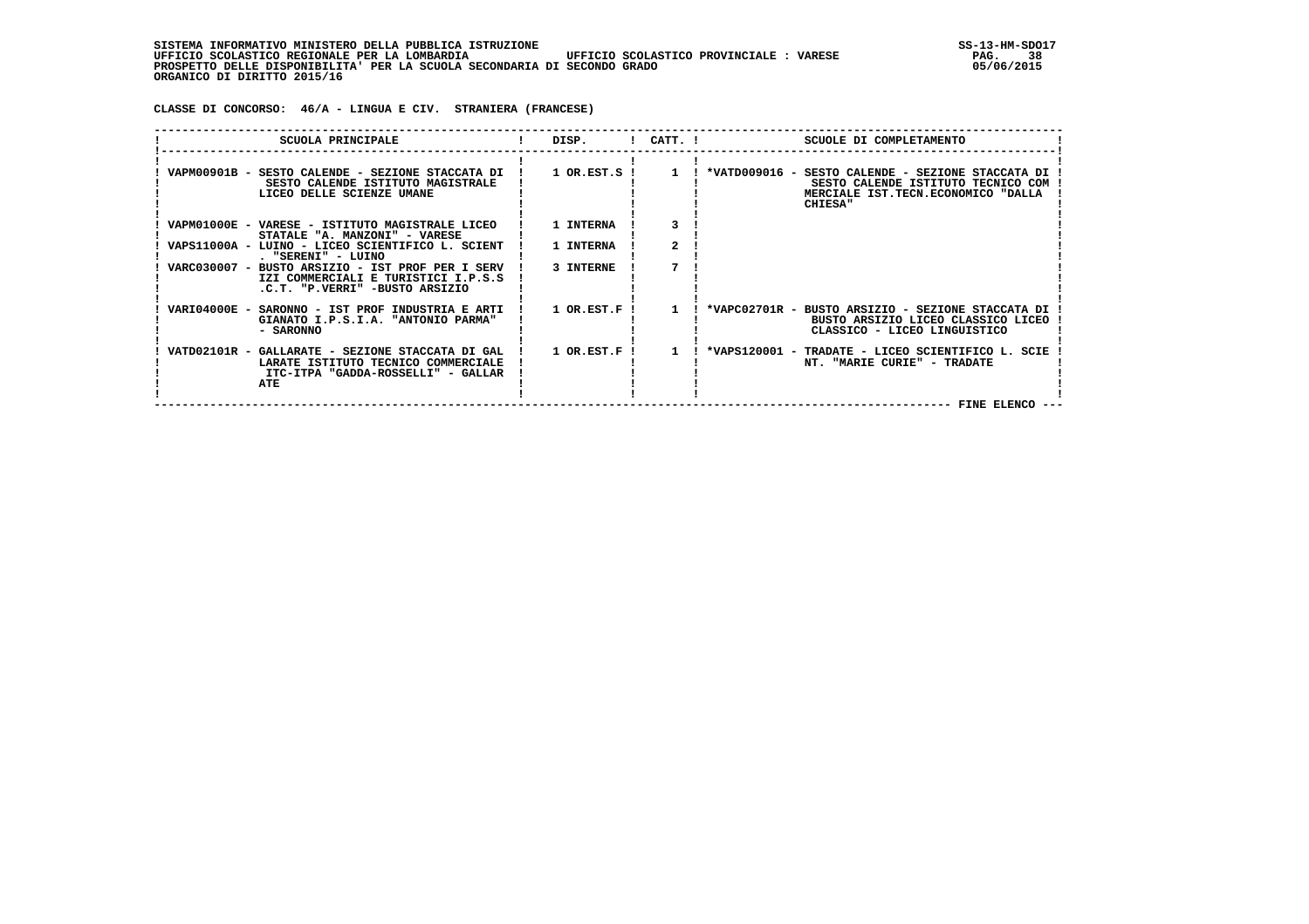**CLASSE DI CONCORSO: 46/A - LINGUA E CIV. STRANIERA (FRANCESE)**

| SCUOLA PRINCIPALE                                                                                                                      | DISP.          |              | $!$ CATT. $!$<br>SCUOLE DI COMPLETAMENTO                                                                                                                                                                            |
|----------------------------------------------------------------------------------------------------------------------------------------|----------------|--------------|---------------------------------------------------------------------------------------------------------------------------------------------------------------------------------------------------------------------|
| SESTO CALENDE ISTITUTO MAGISTRALE<br>LICEO DELLE SCIENZE UMANE                                                                         |                |              | VAPM00901B - SESTO CALENDE - SEZIONE STACCATA DI ! 1 OR.EST.S ! 1 ! *VATD009016 - SESTO CALENDE - SEZIONE STACCATA DI<br>SESTO CALENDE ISTITUTO TECNICO COM<br>MERCIALE IST.TECN.ECONOMICO "DALLA<br><b>CHIESA"</b> |
| VAPM01000E - VARESE - ISTITUTO MAGISTRALE LICEO<br>STATALE "A. MANZONI" - VARESE                                                       | 1 INTERNA      |              |                                                                                                                                                                                                                     |
| VAPS11000A - LUINO - LICEO SCIENTIFICO L. SCIENT !<br>. "SERENI" - LUINO                                                               | 1 INTERNA      |              |                                                                                                                                                                                                                     |
| VARC030007 - BUSTO ARSIZIO - IST PROF PER I SERV<br>IZI COMMERCIALI E TURISTICI I.P.S.S<br>.C.T. "P.VERRI" -BUSTO ARSIZIO              | 3 INTERNE      |              |                                                                                                                                                                                                                     |
| VARI04000E - SARONNO - IST PROF INDUSTRIA E ARTI<br>GIANATO I.P.S.I.A. "ANTONIO PARMA"<br>- SARONNO                                    | 1 OR.EST.F !   | $\mathbf{1}$ | ! *VAPC02701R - BUSTO ARSIZIO - SEZIONE STACCATA DI<br>BUSTO ARSIZIO LICEO CLASSICO LICEO<br>CLASSICO - LICEO LINGUISTICO                                                                                           |
| VATD02101R - GALLARATE - SEZIONE STACCATA DI GAL !<br>LARATE ISTITUTO TECNICO COMMERCIALE<br>ITC-ITPA "GADDA-ROSSELLI" - GALLAR<br>ATE | $1$ OR.EST.F ! |              | 1 : *VAPS120001 - TRADATE - LICEO SCIENTIFICO L. SCIE<br>NT. "MARIE CURIE" - TRADATE<br><b>FINE ELENCO</b>                                                                                                          |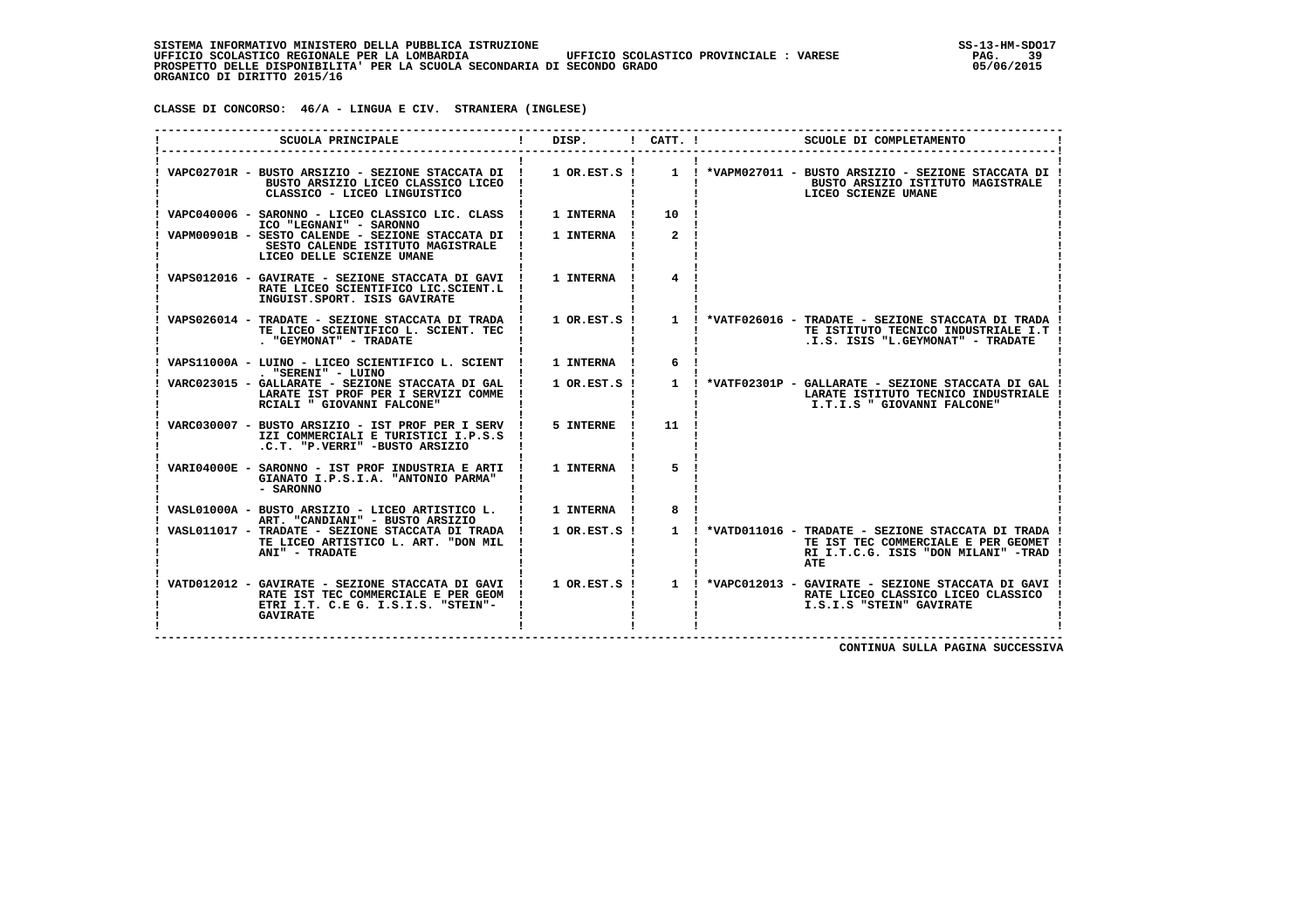**CLASSE DI CONCORSO: 46/A - LINGUA E CIV. STRANIERA (INGLESE)**

| SCUOLA PRINCIPALE                                                                                                                                  |                    | DISP. ! CATT. ! | SCUOLE DI COMPLETAMENTO                                                                                                                                        |
|----------------------------------------------------------------------------------------------------------------------------------------------------|--------------------|-----------------|----------------------------------------------------------------------------------------------------------------------------------------------------------------|
| VAPC02701R - BUSTO ARSIZIO - SEZIONE STACCATA DI !<br>BUSTO ARSIZIO LICEO CLASSICO LICEO<br>CLASSICO - LICEO LINGUISTICO                           |                    |                 | 1 OR.EST.S ! 1 ! *VAPM027011 - BUSTO ARSIZIO - SEZIONE STACCATA DI !<br>BUSTO ARSIZIO ISTITUTO MAGISTRALE<br>LICEO SCIENZE UMANE                               |
| VAPC040006 - SARONNO - LICEO CLASSICO LIC. CLASS !<br>ICO "LEGNANI" - SARONNO                                                                      | 1 INTERNA !        | 10 !            |                                                                                                                                                                |
| VAPM00901B - SESTO CALENDE - SEZIONE STACCATA DI !<br>SESTO CALENDE ISTITUTO MAGISTRALE<br>LICEO DELLE SCIENZE UMANE                               | 1 INTERNA          | 2 <sup>1</sup>  |                                                                                                                                                                |
| VAPS012016 - GAVIRATE - SEZIONE STACCATA DI GAVI ! 1 INTERNA !<br>RATE LICEO SCIENTIFICO LIC.SCIENT.L !<br>INGUIST.SPORT. ISIS GAVIRATE            |                    |                 |                                                                                                                                                                |
| VAPS026014 - TRADATE - SEZIONE STACCATA DI TRADA ! 1 OR.EST.S !<br>TE LICEO SCIENTIFICO L. SCIENT. TEC<br>. "GEYMONAT" - TRADATE                   |                    |                 | 1 ! *VATF026016 - TRADATE - SEZIONE STACCATA DI TRADA !<br>TE ISTITUTO TECNICO INDUSTRIALE I.T !<br>.I.S. ISIS "L.GEYMONAT" - TRADATE                          |
| VAPS11000A - LUINO - LICEO SCIENTIFICO L. SCIENT !<br>. "SERENI" - LUINO                                                                           | 1 INTERNA !        | 6               |                                                                                                                                                                |
| VARC023015 - GALLARATE - SEZIONE STACCATA DI GAL !<br>LARATE IST PROF PER I SERVIZI COMME<br>RCIALI " GIOVANNI FALCONE"                            | $1$ OR. EST. $S$ ! |                 | LARATE ISTITUTO TECNICO INDUSTRIALE<br>I.T.I.S " GIOVANNI FALCONE"                                                                                             |
| VARC030007 - BUSTO ARSIZIO - IST PROF PER I SERV !<br>IZI COMMERCIALI E TURISTICI I.P.S.S !<br>.C.T. "P.VERRI" -BUSTO ARSIZIO                      | 5 INTERNE          | $11 \quad 1$    |                                                                                                                                                                |
| VARI04000E - SARONNO - IST PROF INDUSTRIA E ARTI !<br>GIANATO I.P.S.I.A. "ANTONIO PARMA"<br>- SARONNO                                              | 1 INTERNA 1        | 5               |                                                                                                                                                                |
| VASL01000A - BUSTO ARSIZIO - LICEO ARTISTICO L.   1 INTERNA  <br>ART. "CANDIANI" - BUSTO ARSIZIO                                                   |                    | 8               |                                                                                                                                                                |
| VASL011017 - TRADATE - SEZIONE STACCATA DI TRADA ! 1 OR.EST.S !<br>TE LICEO ARTISTICO L. ART. "DON MIL !<br>ANI" - TRADATE                         |                    |                 | 1 ! *VATD011016 - TRADATE - SEZIONE STACCATA DI TRADA<br>TE IST TEC COMMERCIALE E PER GEOMET<br>RI I.T.C.G. ISIS "DON MILANI" -TRAD<br>ATE                     |
| VATD012012 - GAVIRATE - SEZIONE STACCATA DI GAVI !<br>RATE IST TEC COMMERCIALE E PER GEOM<br>ETRI I.T. C.E G. I.S.I.S. "STEIN"-<br><b>GAVIRATE</b> |                    |                 | 1 OR.EST.S ! 1 ! *VAPC012013 - GAVIRATE - SEZIONE STACCATA DI GAVI !<br><b>The Community</b><br>RATE LICEO CLASSICO LICEO CLASSICO<br>I.S.I.S "STEIN" GAVIRATE |

 **CONTINUA SULLA PAGINA SUCCESSIVA**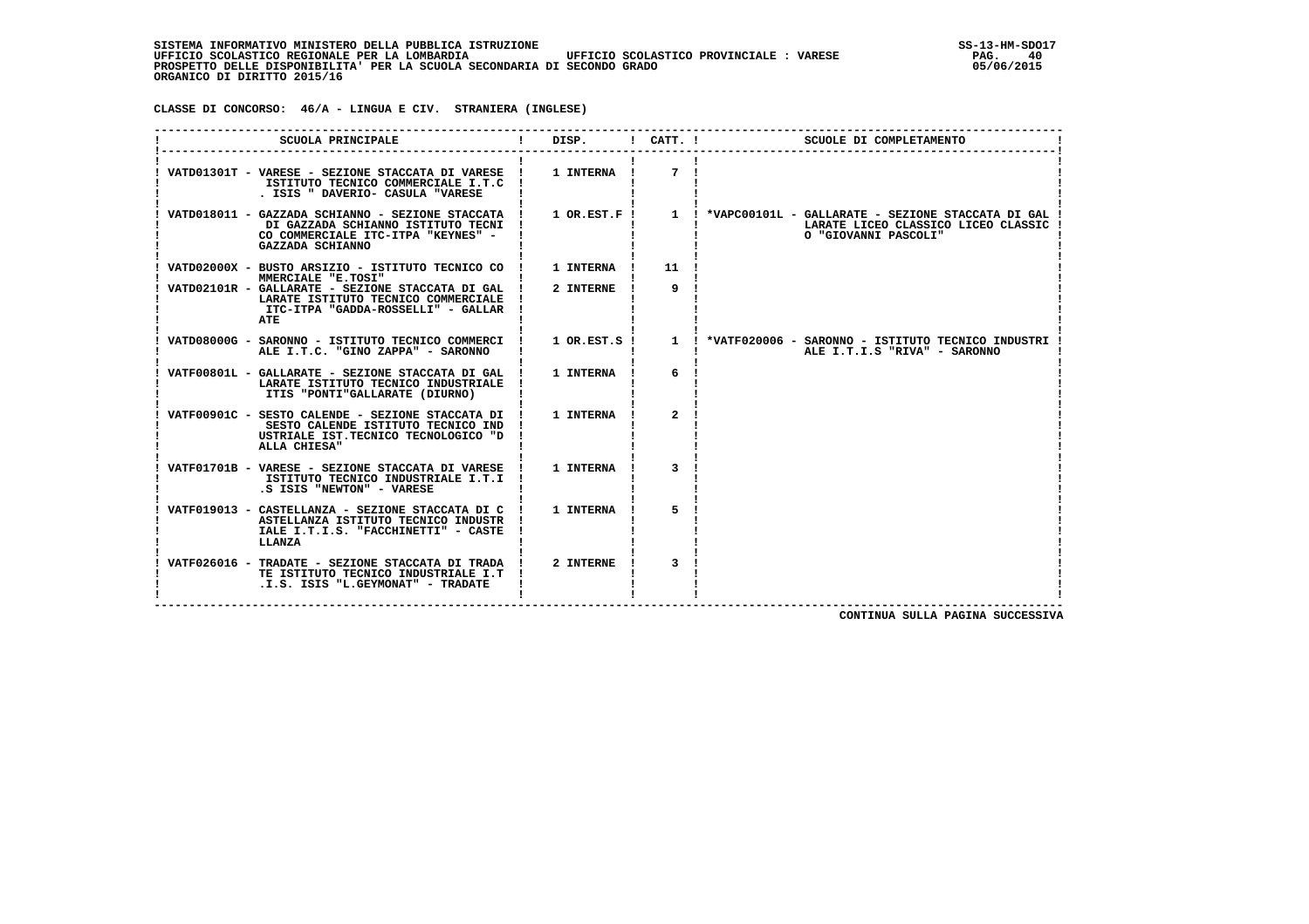**CLASSE DI CONCORSO: 46/A - LINGUA E CIV. STRANIERA (INGLESE)**

| SCUOLA PRINCIPALE                                                                                                                                            | DISP.            | $!$ $CATT$ . $!$ | SCUOLE DI COMPLETAMENTO                                                                                              |
|--------------------------------------------------------------------------------------------------------------------------------------------------------------|------------------|------------------|----------------------------------------------------------------------------------------------------------------------|
| VATD01301T - VARESE - SEZIONE STACCATA DI VARESE ! 1 INTERNA !<br>ISTITUTO TECNICO COMMERCIALE I.T.C !<br>. ISIS " DAVERIO- CASULA "VARESE                   |                  | 7                |                                                                                                                      |
| VATD018011 - GAZZADA SCHIANNO - SEZIONE STACCATA !<br>DI GAZZADA SCHIANNO ISTITUTO TECNI !<br>CO COMMERCIALE ITC-ITPA "KEYNES" -<br>GAZZADA SCHIANNO         | 1 OR.EST.F!      |                  | 1 ! *VAPC00101L - GALLARATE - SEZIONE STACCATA DI GAL<br>LARATE LICEO CLASSICO LICEO CLASSIC<br>O "GIOVANNI PASCOLI" |
| VATD02000X - BUSTO ARSIZIO - ISTITUTO TECNICO CO !                                                                                                           | <b>1 INTERNA</b> | 11               |                                                                                                                      |
| MMERCIALE "E.TOSI"<br>VATD02101R - GALLARATE - SEZIONE STACCATA DI GAL !<br>LARATE ISTITUTO TECNICO COMMERCIALE<br>ITC-ITPA "GADDA-ROSSELLI" - GALLAR<br>ATE | 2 INTERNE        | 9                |                                                                                                                      |
| VATD08000G - SARONNO - ISTITUTO TECNICO COMMERCI !<br>ALE I.T.C. "GINO ZAPPA" - SARONNO                                                                      | 1 OR.EST.S !     |                  | 1 : *VATF020006 - SARONNO - ISTITUTO TECNICO INDUSTRI<br>ALE I.T.I.S "RIVA" - SARONNO                                |
| VATF00801L - GALLARATE - SEZIONE STACCATA DI GAL !<br>LARATE ISTITUTO TECNICO INDUSTRIALE<br>ITIS "PONTI"GALLARATE (DIURNO)                                  | 1 INTERNA        | 6                |                                                                                                                      |
| VATF00901C - SESTO CALENDE - SEZIONE STACCATA DI !<br>SESTO CALENDE ISTITUTO TECNICO IND<br>USTRIALE IST. TECNICO TECNOLOGICO "D<br>ALLA CHIESA"             | <b>1 INTERNA</b> | $\mathbf{2}$     |                                                                                                                      |
| VATF01701B - VARESE - SEZIONE STACCATA DI VARESE !<br>ISTITUTO TECNICO INDUSTRIALE I.T.I !<br>.S ISIS "NEWTON" - VARESE                                      | <b>1 INTERNA</b> |                  |                                                                                                                      |
| VATF019013 - CASTELLANZA - SEZIONE STACCATA DI C<br>ASTELLANZA ISTITUTO TECNICO INDUSTR !<br>IALE I.T.I.S. "FACCHINETTI" - CASTE<br>LLANZA                   | 1 INTERNA        | 5                |                                                                                                                      |
| VATF026016 - TRADATE - SEZIONE STACCATA DI TRADA !<br>TE ISTITUTO TECNICO INDUSTRIALE I.T !<br>.I.S. ISIS "L.GEYMONAT" - TRADATE                             | 2 INTERNE        | $\overline{3}$   |                                                                                                                      |

 **CONTINUA SULLA PAGINA SUCCESSIVA**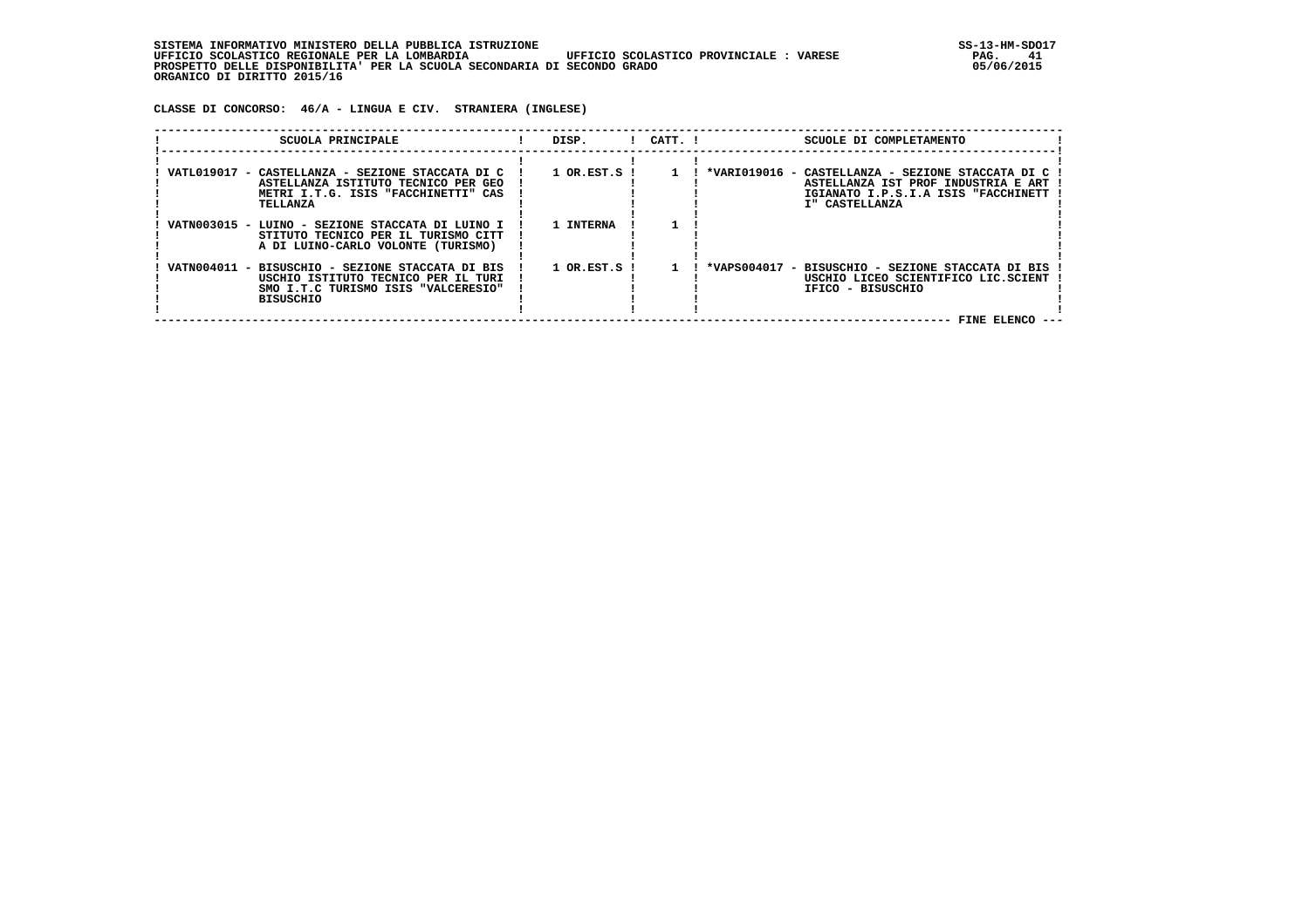| INFORMATIVO MINISTERO DELLA PUBBLICA ISTRUZIONE .<br>STSTEMA                                      | SS-13-HM-SDC |
|---------------------------------------------------------------------------------------------------|--------------|
| UFFICIO SCOLASTICO REGIONALE PER LA LOMBARDIA<br>UFFICIO SCOLASTICO PROVINCIALE:<br><b>VARESE</b> | PAG.         |
| PROSPETTO DELLE DISPONIBILITA' PER LA SCUOLA SECONDARIA DI SECONDO GRADO                          | 05/06/2015   |
| ORGANICO DI DIRITTO 2015/16                                                                       |              |

 **CLASSE DI CONCORSO: 46/A - LINGUA E CIV. STRANIERA (INGLESE)**

| SCUOLA PRINCIPALE                                                                                                                                  | DISP.                         | $!$ $CATT$ . $!$ | SCUOLE DI COMPLETAMENTO                                                                                                                           |
|----------------------------------------------------------------------------------------------------------------------------------------------------|-------------------------------|------------------|---------------------------------------------------------------------------------------------------------------------------------------------------|
| VATL019017<br>- CASTELLANZA - SEZIONE STACCATA DI C<br>ASTELLANZA ISTITUTO TECNICO PER GEO<br>METRI I.T.G. ISIS "FACCHINETTI" CAS<br>TELLANZA      | $1$ OR.EST.S $\overline{1}$   |                  | *VARI019016 - CASTELLANZA - SEZIONE STACCATA DI C<br>ASTELLANZA IST PROF INDUSTRIA E ART<br>IGIANATO I.P.S.I.A ISIS "FACCHINETT<br>I" CASTELLANZA |
| VATN003015 - LUINO - SEZIONE STACCATA DI LUINO I<br>STITUTO TECNICO PER IL TURISMO CITT<br>A DI LUINO-CARLO VOLONTE (TURISMO)                      | 1 INTERNA                     |                  |                                                                                                                                                   |
| VATN004011 - BISUSCHIO - SEZIONE STACCATA DI BIS<br>USCHIO ISTITUTO TECNICO PER IL TURI<br>SMO I.T.C TURISMO ISIS "VALCERESIO"<br><b>BISUSCHIO</b> | $1$ OR. EST. S $\blacksquare$ |                  | *VAPS004017 - BISUSCHIO - SEZIONE STACCATA DI BIS<br>USCHIO LICEO SCIENTIFICO LIC.SCIENT<br>IFICO - BISUSCHIO                                     |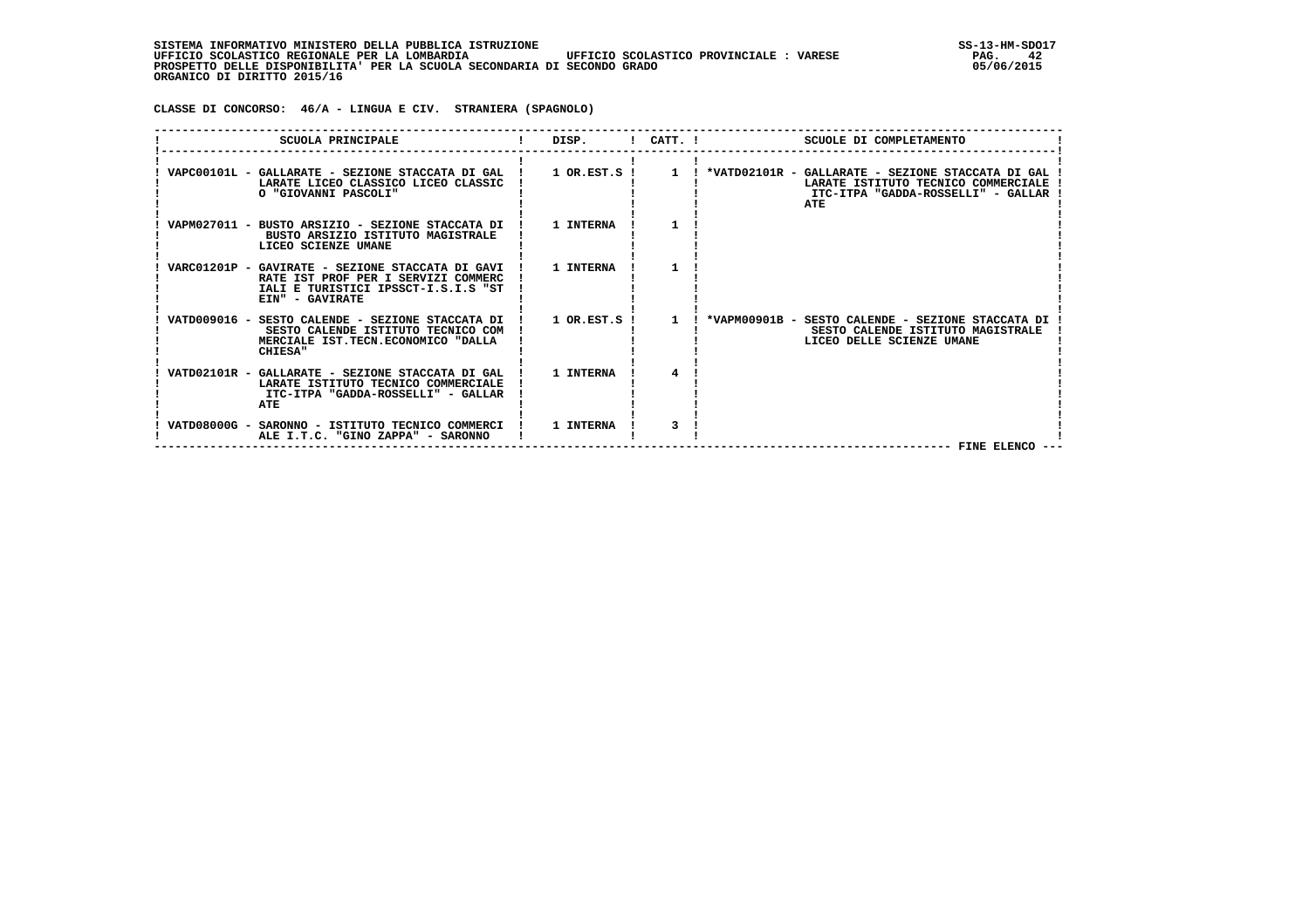| . INFORMATIVO MINISTERO DELLA PUBBLICA ISTRUZIONE<br>STSTEMA                                       | SS-13-HM-SDC |
|----------------------------------------------------------------------------------------------------|--------------|
| UFFICIO SCOLASTICO REGIONALE PER LA LOMBARDIA<br>UFFICIO SCOLASTICO PROVINCIALE :<br><b>VARESE</b> | PAG.         |
| PROSPETTO DELLE DISPONIBILITA' PER LA SCUOLA SECONDARIA DI SECONDO GRADO                           | 05/06/2015   |
| ORGANICO DI DIRITTO 2015/16                                                                        |              |

 **CLASSE DI CONCORSO: 46/A - LINGUA E CIV. STRANIERA (SPAGNOLO)**

| SCUOLA PRINCIPALE                                                                                                                                 | DISP.                 | $1$ $CATT$ . $1$ | SCUOLE DI COMPLETAMENTO                                                                                                                 |
|---------------------------------------------------------------------------------------------------------------------------------------------------|-----------------------|------------------|-----------------------------------------------------------------------------------------------------------------------------------------|
| VAPC00101L - GALLARATE - SEZIONE STACCATA DI GAL<br>LARATE LICEO CLASSICO LICEO CLASSIC<br>O "GIOVANNI PASCOLI"                                   | $1$ OR.EST.S $1$      | $\mathbf{1}$     | ! *VATD02101R - GALLARATE - SEZIONE STACCATA DI GAL<br>LARATE ISTITUTO TECNICO COMMERCIALE<br>ITC-ITPA "GADDA-ROSSELLI" - GALLAR<br>ATE |
| VAPM027011 - BUSTO ARSIZIO - SEZIONE STACCATA DI<br>BUSTO ARSIZIO ISTITUTO MAGISTRALE<br>LICEO SCIENZE UMANE                                      | 1 INTERNA             |                  |                                                                                                                                         |
| VARC01201P - GAVIRATE - SEZIONE STACCATA DI GAVI<br>RATE IST PROF PER I SERVIZI COMMERC<br>IALI E TURISTICI IPSSCT-I.S.I.S "ST<br>EIN" - GAVIRATE | 1 INTERNA             |                  |                                                                                                                                         |
| VATD009016 - SESTO CALENDE - SEZIONE STACCATA DI<br>SESTO CALENDE ISTITUTO TECNICO COM<br>MERCIALE IST.TECN.ECONOMICO "DALLA<br><b>CHIESA"</b>    | $1$ OR. EST. S $\;$ I | $\mathbf{1}$     | *VAPM00901B - SESTO CALENDE - SEZIONE STACCATA DI<br>SESTO CALENDE ISTITUTO MAGISTRALE<br>LICEO DELLE SCIENZE UMANE                     |
| VATD02101R - GALLARATE - SEZIONE STACCATA DI GAL<br>LARATE ISTITUTO TECNICO COMMERCIALE<br>ITC-ITPA "GADDA-ROSSELLI" - GALLAR<br>ATE              | 1 INTERNA             |                  |                                                                                                                                         |
| VATD08000G - SARONNO - ISTITUTO TECNICO COMMERCI<br>ALE I.T.C. "GINO ZAPPA" - SARONNO                                                             | 1 INTERNA             |                  | FINE ELENCO --                                                                                                                          |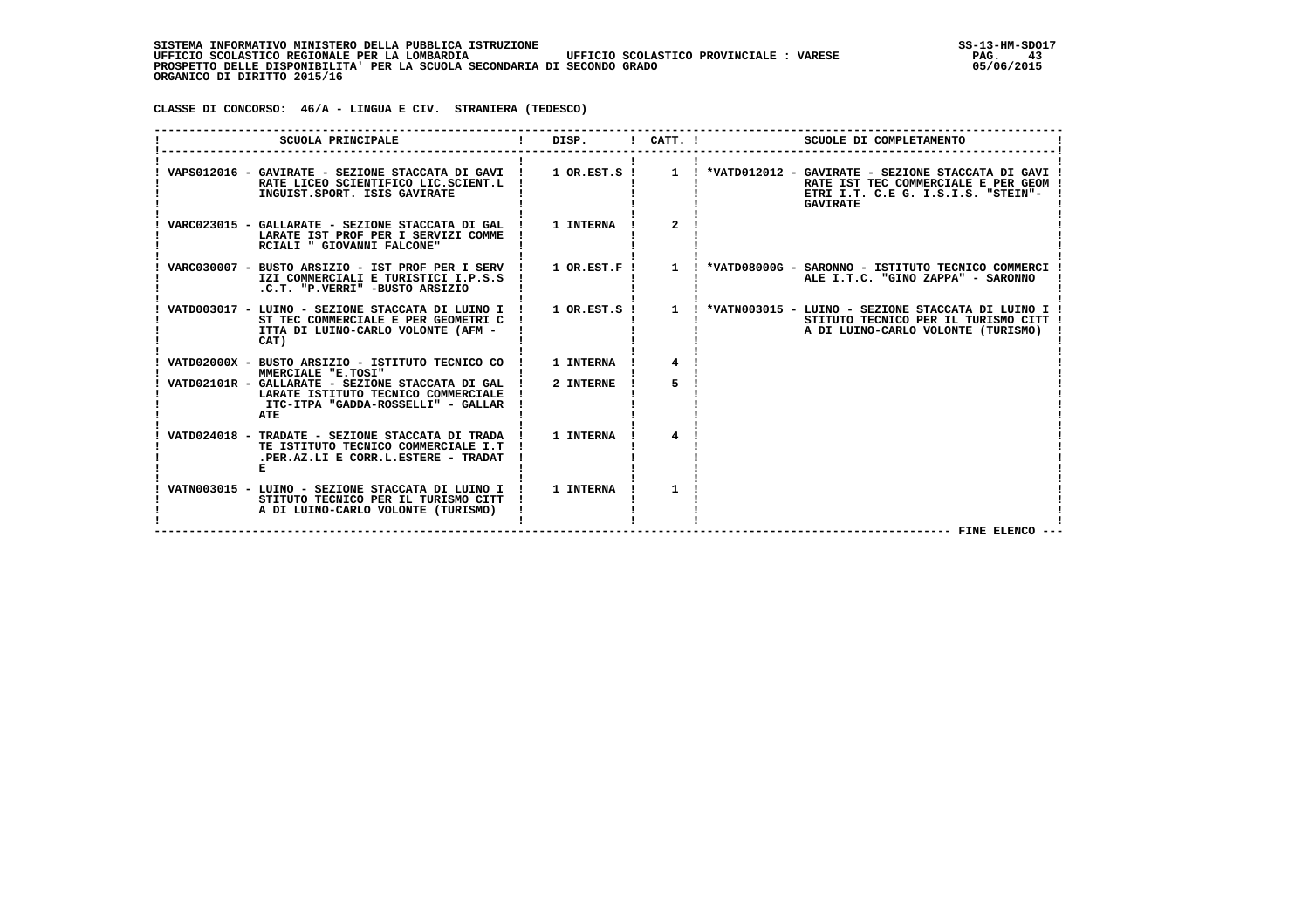**CLASSE DI CONCORSO: 46/A - LINGUA E CIV. STRANIERA (TEDESCO)**

| SCUOLA PRINCIPALE                                                                                                                      | DISP.          | $!$ CATT. $!$         | SCUOLE DI COMPLETAMENTO                                                                                                                |
|----------------------------------------------------------------------------------------------------------------------------------------|----------------|-----------------------|----------------------------------------------------------------------------------------------------------------------------------------|
| VAPS012016 - GAVIRATE - SEZIONE STACCATA DI GAVI !<br>RATE LICEO SCIENTIFICO LIC.SCIENT.L<br>INGUIST.SPORT. ISIS GAVIRATE              | $1$ OR.EST.S ! |                       | RATE IST TEC COMMERCIALE E PER GEOM !<br>ETRI I.T. C.E G. I.S.I.S. "STEIN"-<br><b>GAVIRATE</b>                                         |
| VARC023015 - GALLARATE - SEZIONE STACCATA DI GAL  <br>LARATE IST PROF PER I SERVIZI COMME<br>RCIALI " GIOVANNI FALCONE"                | 1 INTERNA      | $\mathbf{2}^{\prime}$ |                                                                                                                                        |
| VARC030007 - BUSTO ARSIZIO - IST PROF PER I SERV !<br>IZI COMMERCIALI E TURISTICI I.P.S.S<br>.C.T. "P.VERRI" -BUSTO ARSIZIO            | $1$ OR.EST.F ! | $\mathbf{1}$          | *VATD08000G - SARONNO - ISTITUTO TECNICO COMMERCI<br>ALE I.T.C. "GINO ZAPPA" - SARONNO                                                 |
| VATD003017 - LUINO - SEZIONE STACCATA DI LUINO I<br>ST TEC COMMERCIALE E PER GEOMETRI C<br>ITTA DI LUINO-CARLO VOLONTE (AFM -<br>CAT)  | 1 OR.EST.S !   |                       | 1 : *VATN003015 - LUINO - SEZIONE STACCATA DI LUINO I !<br>STITUTO TECNICO PER IL TURISMO CITT  <br>A DI LUINO-CARLO VOLONTE (TURISMO) |
| VATD02000X - BUSTO ARSIZIO - ISTITUTO TECNICO CO<br>MMERCIALE "E.TOSI"                                                                 | 1 INTERNA      |                       |                                                                                                                                        |
| VATD02101R - GALLARATE - SEZIONE STACCATA DI GAL !<br>LARATE ISTITUTO TECNICO COMMERCIALE<br>ITC-ITPA "GADDA-ROSSELLI" - GALLAR<br>ATE | 2 INTERNE      | 5                     |                                                                                                                                        |
| VATD024018 - TRADATE - SEZIONE STACCATA DI TRADA !<br>TE ISTITUTO TECNICO COMMERCIALE I.T<br>.PER.AZ.LI E CORR.L.ESTERE - TRADAT       | 1 INTERNA      | 4                     |                                                                                                                                        |
| VATN003015 - LUINO - SEZIONE STACCATA DI LUINO I !<br>STITUTO TECNICO PER IL TURISMO CITT<br>A DI LUINO-CARLO VOLONTE (TURISMO)        | 1 INTERNA      | 1                     | FINE ELENCO --                                                                                                                         |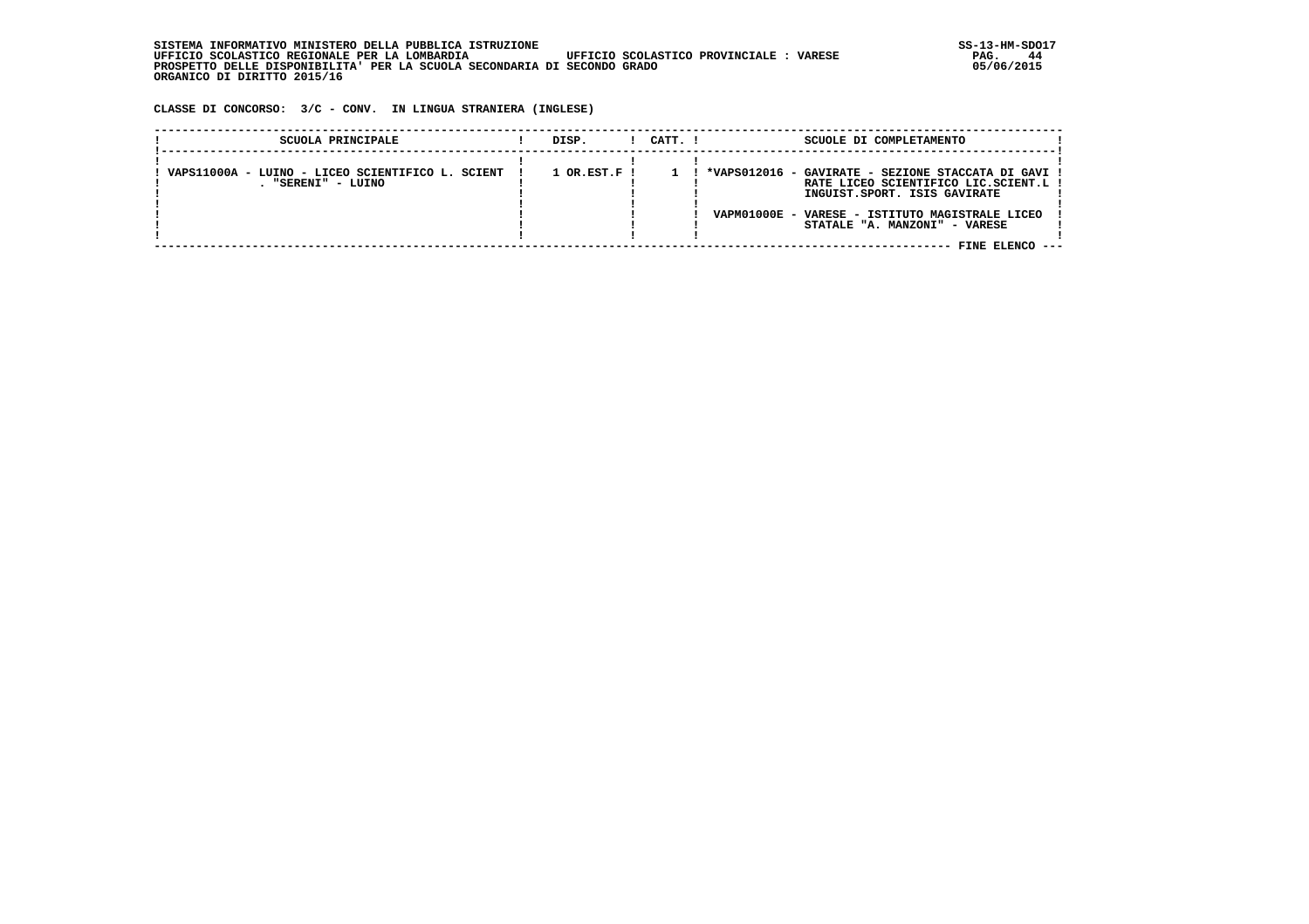| SISTEMA INFORMATIVO MINISTERO DELLA PUBBLICA ISTRUZIONE                                           | SS-13-HM-SDC |
|---------------------------------------------------------------------------------------------------|--------------|
| UFFICIO SCOLASTICO PROVINCIALE:<br>UFFICIO SCOLASTICO REGIONALE PER LA LOMBARDIA<br><b>VARESE</b> | 44<br>PAG.   |
| PROSPETTO DELLE DISPONIBILITA' PER LA SCUOLA SECONDARIA DI SECONDO GRADO                          | 05/06/2015   |
| ORGANICO DI DIRITTO 2015/16                                                                       |              |

 **CLASSE DI CONCORSO: 3/C - CONV. IN LINGUA STRANIERA (INGLESE)**

| SCUOLA PRINCIPALE                                                      | DISP.                       | CATT. I | SCUOLE DI COMPLETAMENTO                                                                                                                                                                                            |
|------------------------------------------------------------------------|-----------------------------|---------|--------------------------------------------------------------------------------------------------------------------------------------------------------------------------------------------------------------------|
| VAPS11000A - LUINO - LICEO SCIENTIFICO L. SCIENT<br>. "SERENI" - LUINO | $1$ OR.EST.F $\overline{1}$ |         | ! *VAPS012016 - GAVIRATE - SEZIONE STACCATA DI GAVI !<br>RATE LICEO SCIENTIFICO LIC.SCIENT.L !<br>INGUIST.SPORT. ISIS GAVIRATE<br>VAPM01000E - VARESE - ISTITUTO MAGISTRALE LICEO<br>STATALE "A. MANZONI" - VARESE |
|                                                                        |                             |         | FINE ELENCO                                                                                                                                                                                                        |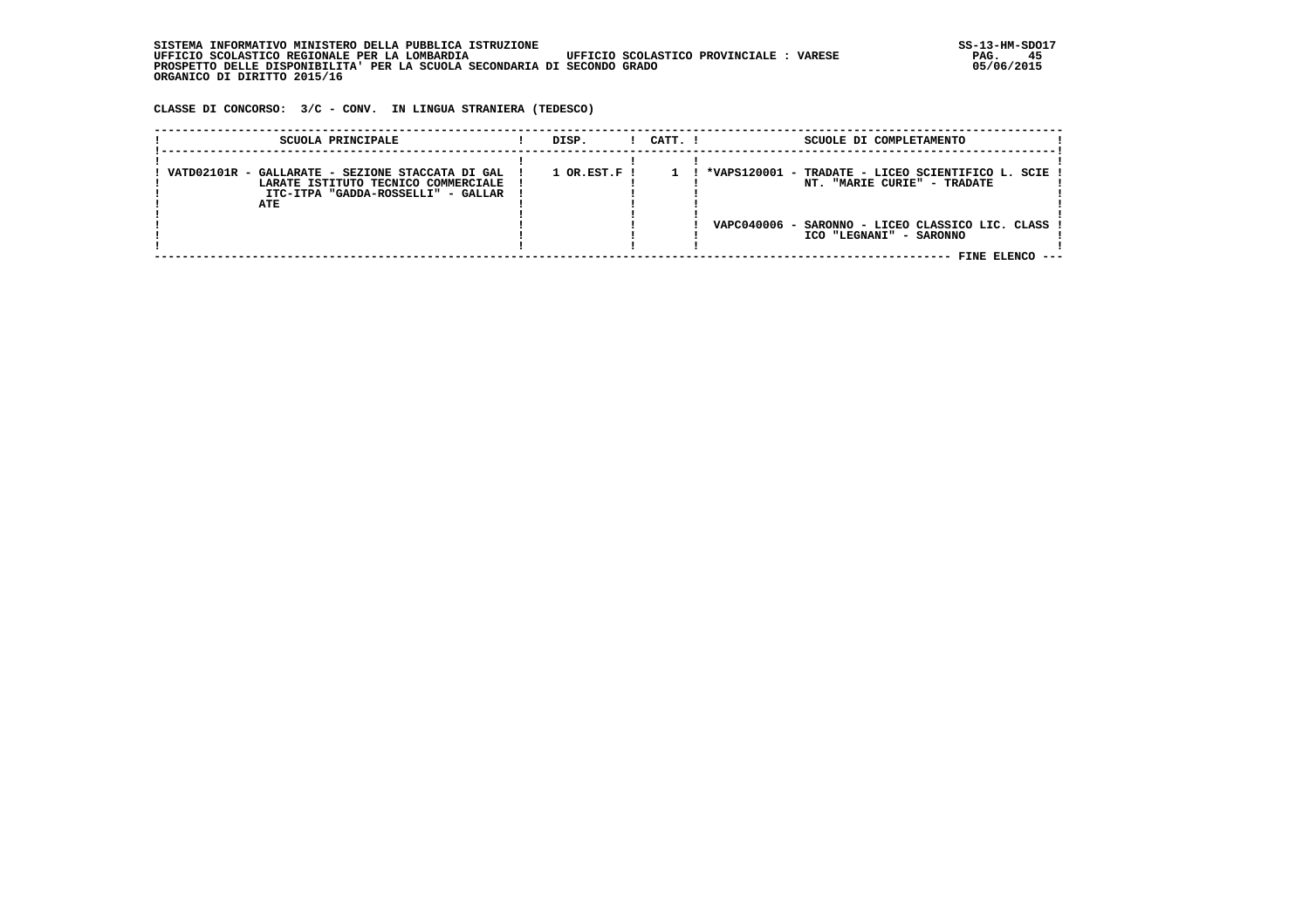| INFORMATIVO MINISTERO DELLA PUBBLICA ISTRUZIONE .<br>STSTEMA                                      | SS-13-HM-SDC |
|---------------------------------------------------------------------------------------------------|--------------|
| UFFICIO SCOLASTICO REGIONALE PER LA LOMBARDIA<br>UFFICIO SCOLASTICO PROVINCIALE:<br><b>VARESE</b> | PAG.         |
| PROSPETTO DELLE DISPONIBILITA' PER LA SCUOLA SECONDARIA DI SECONDO GRADO                          | 05/06/2015   |
| ORGANICO DI DIRITTO 2015/16                                                                       |              |

 **CLASSE DI CONCORSO: 3/C - CONV. IN LINGUA STRANIERA (TEDESCO)**

| SCUOLA PRINCIPALE                                                                                                                      | DISP.                       | $1$ $CATT$ . $1$ | SCUOLE DI COMPLETAMENTO                                                                          |
|----------------------------------------------------------------------------------------------------------------------------------------|-----------------------------|------------------|--------------------------------------------------------------------------------------------------|
| VATD02101R - GALLARATE - SEZIONE STACCATA DI GAL I<br>LARATE ISTITUTO TECNICO COMMERCIALE<br>ITC-ITPA "GADDA-ROSSELLI" - GALLAR<br>ATE | $1$ OR.EST.F $\overline{1}$ |                  | *VAPS120001 - TRADATE - LICEO SCIENTIFICO L. SCIE !<br>NT. "MARIE CURIE" - TRADATE               |
|                                                                                                                                        |                             |                  | VAPC040006 - SARONNO - LICEO CLASSICO LIC. CLASS !<br>ICO "LEGNANI" - SARONNO<br>FINE ELENCO --- |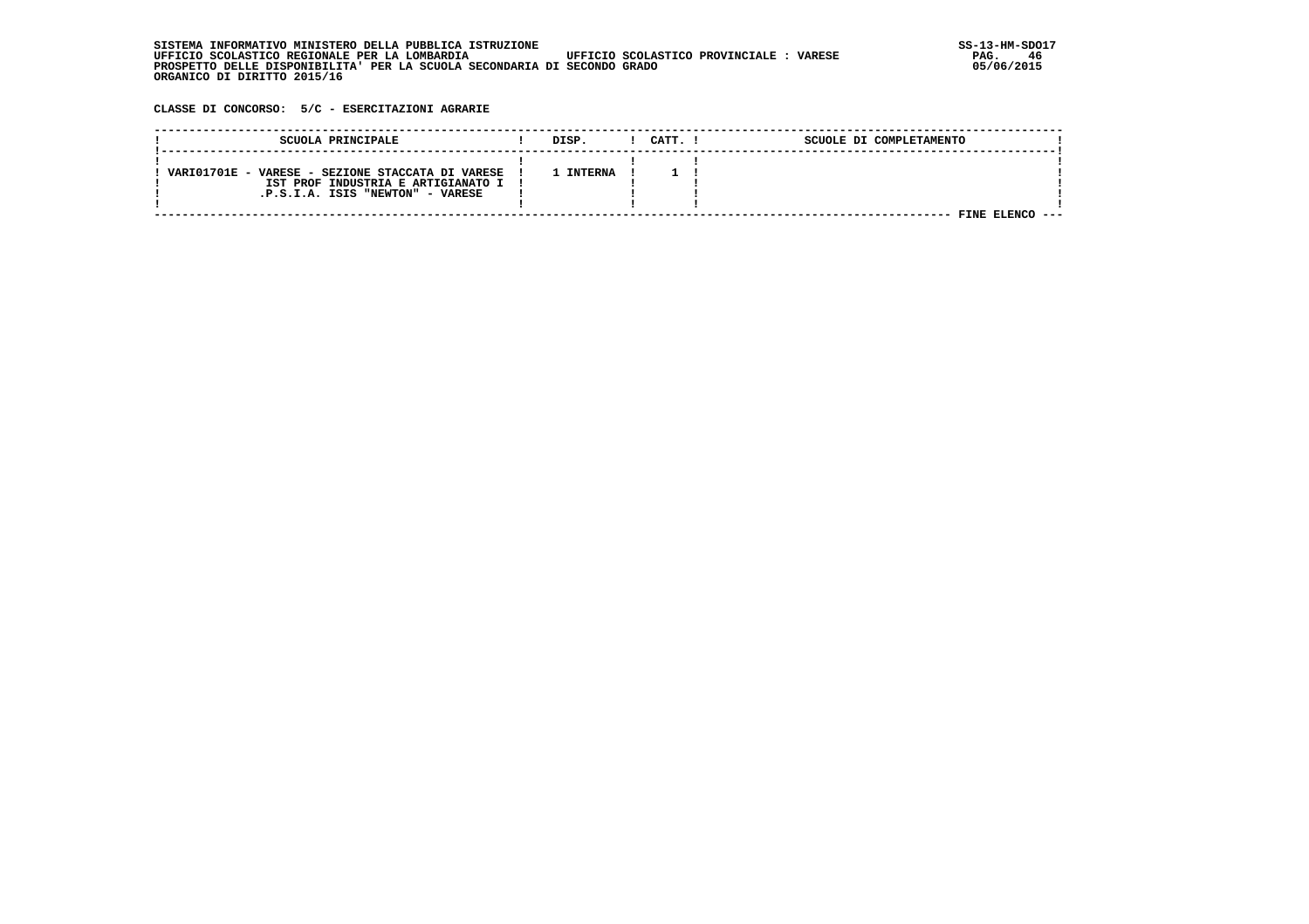| . INFORMATIVO MINISTERO DELLA PUBBLICA ISTRUZIONE<br>STSTEMA                                      | SS-13-HM-SDC |
|---------------------------------------------------------------------------------------------------|--------------|
| UFFICIO SCOLASTICO REGIONALE PER LA LOMBARDIA<br>UFFICIO SCOLASTICO PROVINCIALE:<br><b>VARESE</b> | PAG.         |
| PROSPETTO DELLE DISPONIBILITA' PER LA SCUOLA SECONDARIA DI SECONDO GRADO                          | 05/06/2015   |
| ORGANICO DI DIRITTO 2015/16                                                                       |              |

## **CLASSE DI CONCORSO: 5/C - ESERCITAZIONI AGRARIE**

| SCUOLA PRINCIPALE                                                                                                            | DISP.     | CATT. | SCUOLE DI COMPLETAMENTO |  |
|------------------------------------------------------------------------------------------------------------------------------|-----------|-------|-------------------------|--|
| VARIO1701E - VARESE - SEZIONE STACCATA DI VARESE<br>IST PROF INDUSTRIA E ARTIGIANATO I !<br>.P.S.I.A. ISIS "NEWTON" - VARESE | L INTERNA |       |                         |  |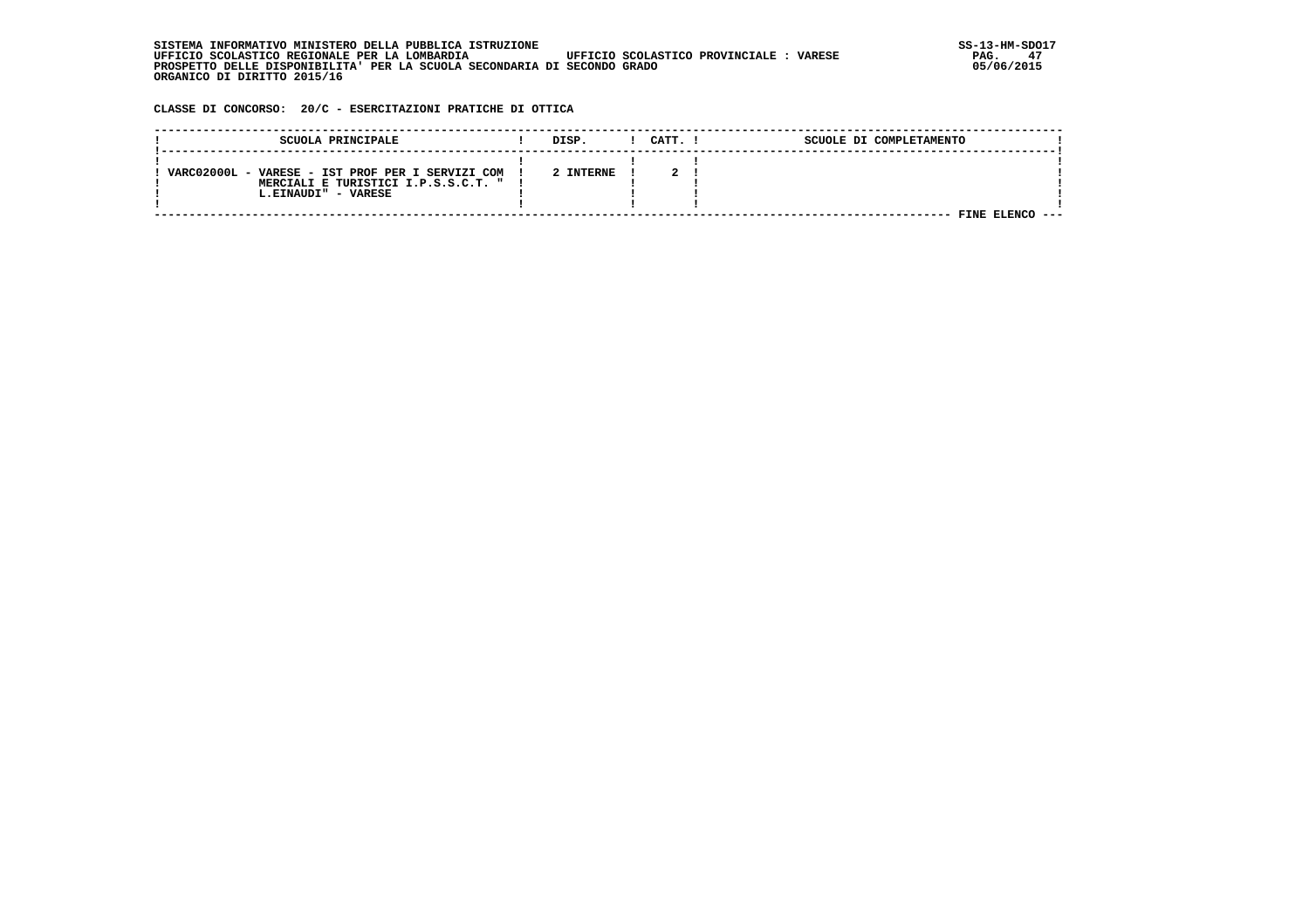| . INFORMATIVO MINISTERO DELLA PUBBLICA ISTRUZIONE<br>STSTEMA                                      | SS-13-HM-SDC |
|---------------------------------------------------------------------------------------------------|--------------|
| UFFICIO SCOLASTICO REGIONALE PER LA LOMBARDIA<br>UFFICIO SCOLASTICO PROVINCIALE:<br><b>VARESE</b> | 47<br>PAG.   |
| PROSPETTO DELLE DISPONIBILITA' PER LA SCUOLA SECONDARIA DI SECONDO GRADO                          | 05/06/2015   |
| ORGANICO DI DIRITTO 2015/16                                                                       |              |

 **CLASSE DI CONCORSO: 20/C - ESERCITAZIONI PRATICHE DI OTTICA**

| SCUOLA PRINCIPALE                                                                                                | DISP.     | CATT. I | SCUOLE DI COMPLETAMENTO |  |
|------------------------------------------------------------------------------------------------------------------|-----------|---------|-------------------------|--|
| VARC02000L - VARESE - IST PROF PER I SERVIZI COM<br>MERCIALI E TURISTICI I.P.S.S.C.T. " !<br>L.EINAUDI" - VARESE | 2 INTERNE |         |                         |  |
|                                                                                                                  |           |         | 7INE.                   |  |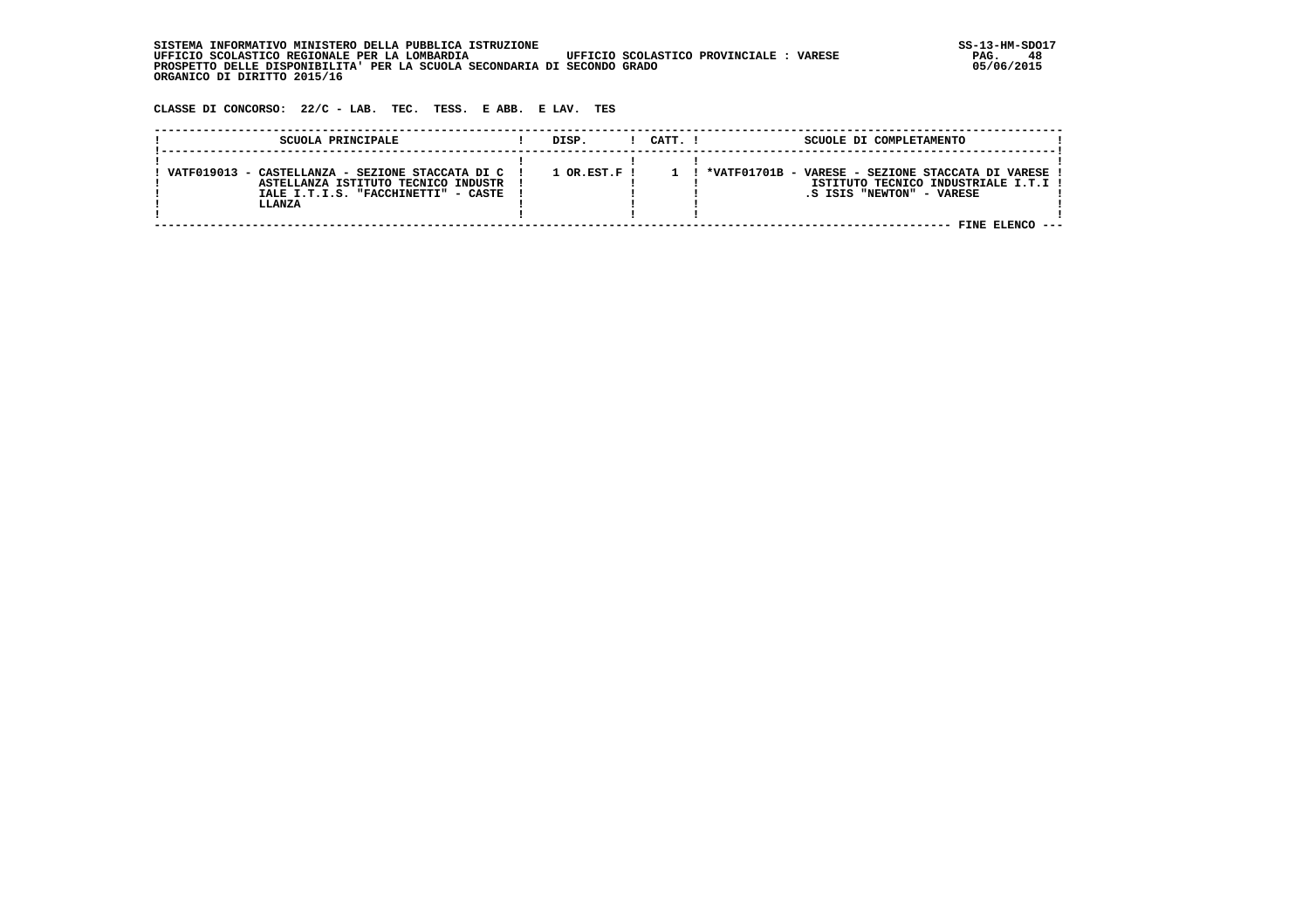| SISTEMA INFORMATIVO MINISTERO DELLA PUBBLICA ISTRUZIONE                                           | $SS-13-HM-SDC$ |
|---------------------------------------------------------------------------------------------------|----------------|
| UFFICIO SCOLASTICO REGIONALE PER LA LOMBARDIA<br>UFFICIO SCOLASTICO PROVINCIALE:<br><b>VARESE</b> | PAG.           |
| PROSPETTO DELLE DISPONIBILITA' PER LA SCUOLA SECONDARIA DI SECONDO GRADO                          | 05/06/2015     |
| ORGANICO DI DIRITTO 2015/16                                                                       |                |

 **CLASSE DI CONCORSO: 22/C - LAB. TEC. TESS. E ABB. E LAV. TES**

| SCUOLA PRINCIPALE                                                                                                                          | DISP.          | CATT. I | SCUOLE DI COMPLETAMENTO                                                                                                                 |  |
|--------------------------------------------------------------------------------------------------------------------------------------------|----------------|---------|-----------------------------------------------------------------------------------------------------------------------------------------|--|
| VATF019013 - CASTELLANZA - SEZIONE STACCATA DI C !<br>ASTELLANZA ISTITUTO TECNICO INDUSTR<br>IALE I.T.I.S. "FACCHINETTI" - CASTE<br>LLANZA | $1$ OR.EST.F ! |         | *VATF01701B - VARESE - SEZIONE STACCATA DI VARESE !<br>ISTITUTO TECNICO INDUSTRIALE I.T.I !<br>.S ISIS "NEWTON" - VARESE<br>FINE ELENCO |  |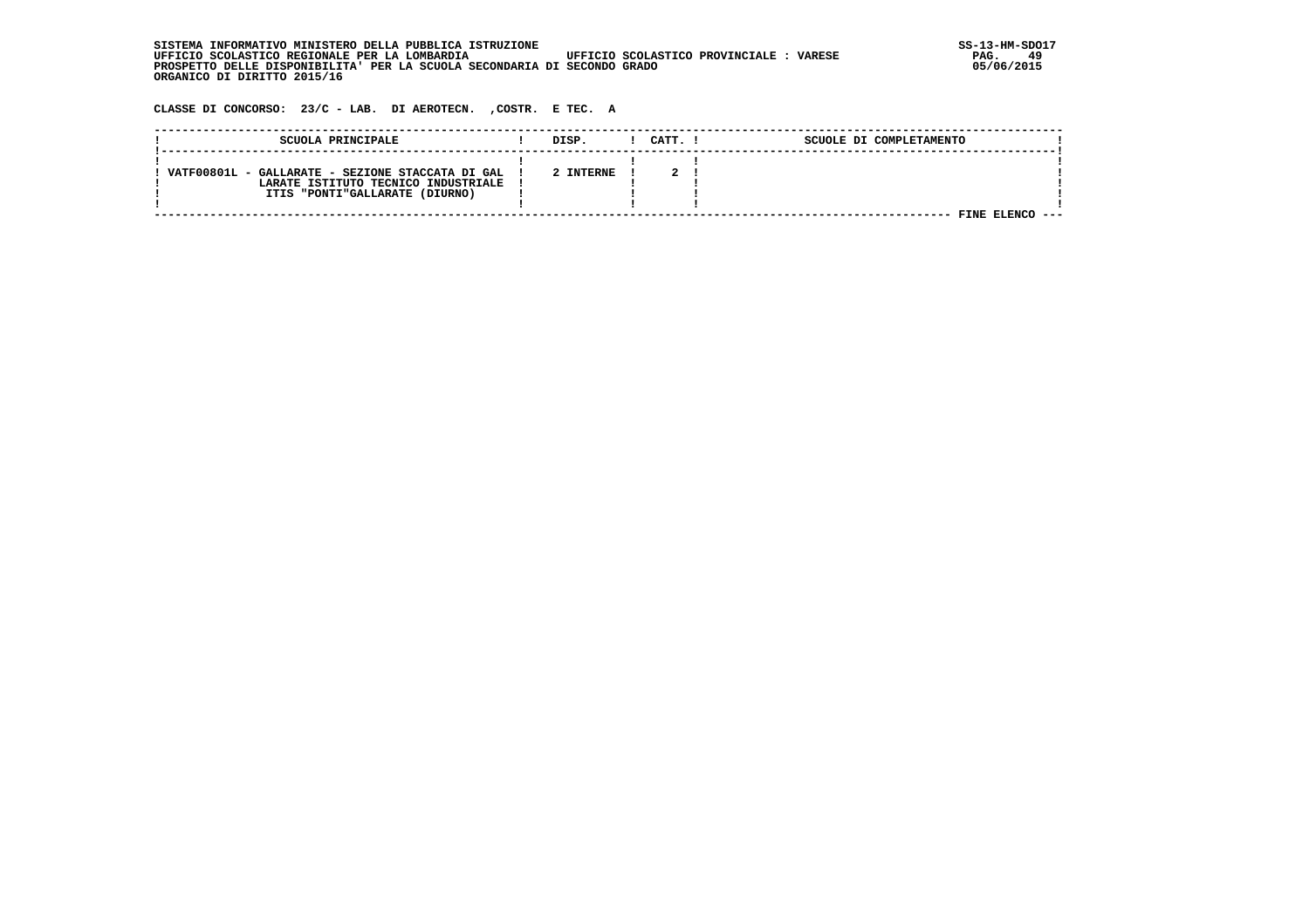| INFORMATIVO MINISTERO DELLA PUBBLICA ISTRUZIONE .<br>STSTEMA                                      | SS-13-HM-SDC |
|---------------------------------------------------------------------------------------------------|--------------|
| UFFICIO SCOLASTICO REGIONALE PER LA LOMBARDIA<br>UFFICIO SCOLASTICO PROVINCIALE:<br><b>VARESE</b> | PAG.         |
| PROSPETTO DELLE DISPONIBILITA' PER LA SCUOLA SECONDARIA DI SECONDO GRADO                          | 05/06/2015   |
| ORGANICO DI DIRITTO 2015/16                                                                       |              |

 **CLASSE DI CONCORSO: 23/C - LAB. DI AEROTECN. ,COSTR. E TEC. A**

| SCUOLA PRINCIPALE                                                                                                         | DISP.     | CATT. 1 | SCUOLE DI COMPLETAMENTO |  |
|---------------------------------------------------------------------------------------------------------------------------|-----------|---------|-------------------------|--|
| VATF00801L - GALLARATE - SEZIONE STACCATA DI GAL<br>LARATE ISTITUTO TECNICO INDUSTRIALE<br>ITIS "PONTI"GALLARATE (DIURNO) | 2 INTERNE |         | FINE                    |  |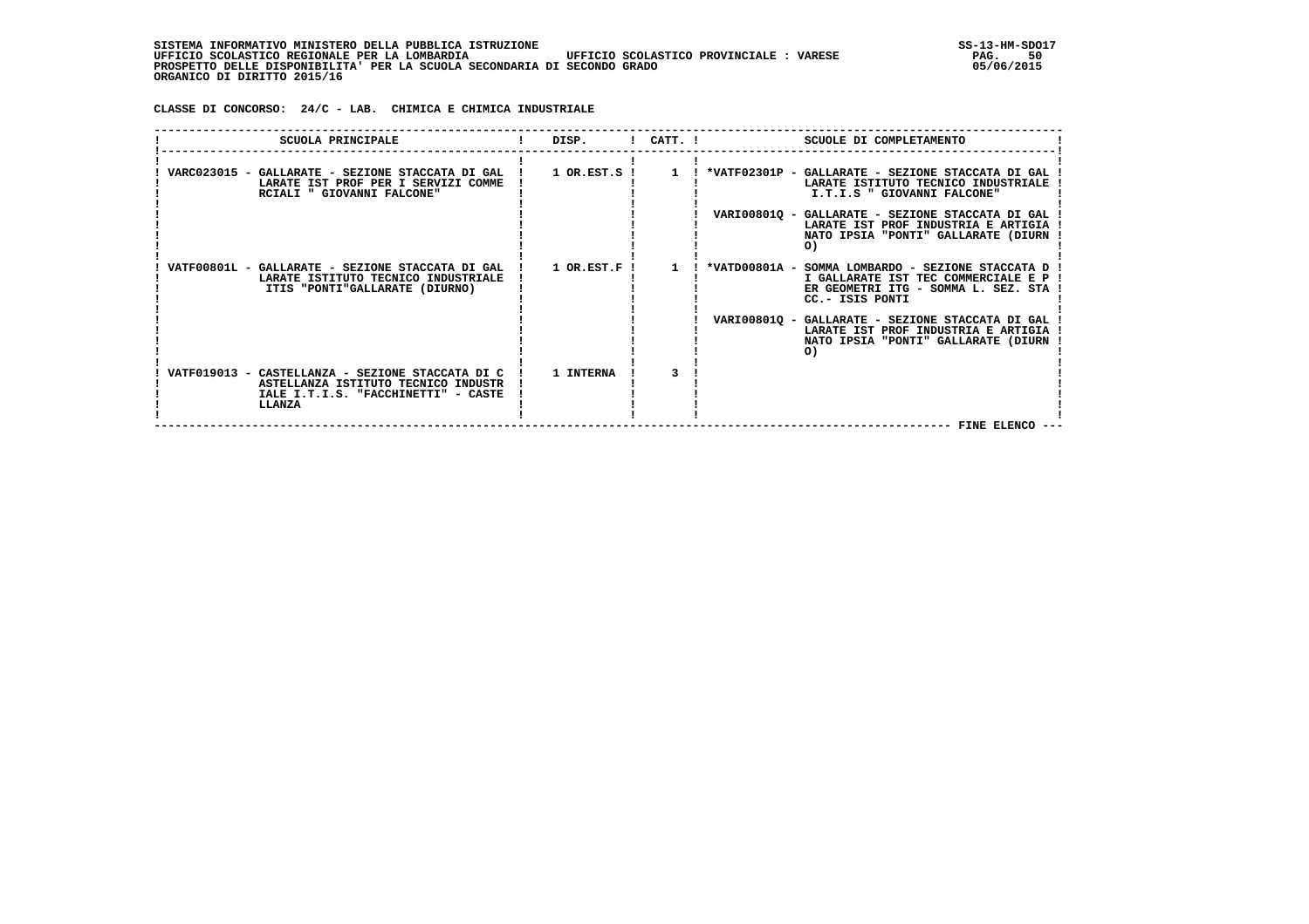| , INFORMATIVO MINISTERO DELLA PUBBLICA ISTRUZIONE<br>STSTEMA                                       | $SS-13-HM-SDC$ |
|----------------------------------------------------------------------------------------------------|----------------|
| UFFICIO SCOLASTICO PROVINCIALE :<br>UFFICIO SCOLASTICO REGIONALE PER LA LOMBARDIA<br><b>VARESE</b> | 50<br>PAG.     |
| PROSPETTO DELLE DISPONIBILITA' PER LA SCUOLA SECONDARIA DI SECONDO GRADO                           | 05/06/2015     |
| ORGANICO DI DIRITTO 2015/16                                                                        |                |

 **CLASSE DI CONCORSO: 24/C - LAB. CHIMICA E CHIMICA INDUSTRIALE**

| SCUOLA PRINCIPALE                                                                                                                                    | DISP. |              | $CATT$ . $I$<br>SCUOLE DI COMPLETAMENTO                                                                                                                                                     |
|------------------------------------------------------------------------------------------------------------------------------------------------------|-------|--------------|---------------------------------------------------------------------------------------------------------------------------------------------------------------------------------------------|
| LARATE IST PROF PER I SERVIZI COMME<br>RCIALI " GIOVANNI FALCONE"                                                                                    |       |              | VARC023015 - GALLARATE - SEZIONE STACCATA DI GAL   1 OR.EST.S   1   *VATF02301P - GALLARATE - SEZIONE STACCATA DI GAL<br>LARATE ISTITUTO TECNICO INDUSTRIALE<br>I.T.I.S " GIOVANNI FALCONE" |
|                                                                                                                                                      |       |              | VARI00801Q - GALLARATE - SEZIONE STACCATA DI GAL<br>LARATE IST PROF INDUSTRIA E ARTIGIA<br>NATO IPSIA "PONTI" GALLARATE (DIURN<br>O)                                                        |
| VATF00801L - GALLARATE - SEZIONE STACCATA DI GAL ! 1 OR.EST.F !<br>LARATE ISTITUTO TECNICO INDUSTRIALE<br>ITIS "PONTI"GALLARATE (DIURNO)             |       | $\mathbf{1}$ | *VATD00801A - SOMMA LOMBARDO - SEZIONE STACCATA D !<br>I GALLARATE IST TEC COMMERCIALE E P !<br>ER GEOMETRI ITG - SOMMA L. SEZ. STA<br>CC.- ISIS PONTI                                      |
|                                                                                                                                                      |       |              | VARI008010 - GALLARATE - SEZIONE STACCATA DI GAL<br>LARATE IST PROF INDUSTRIA E ARTIGIA<br>NATO IPSIA "PONTI" GALLARATE (DIURN<br>O)                                                        |
| VATF019013 - CASTELLANZA - SEZIONE STACCATA DI C   1 INTERNA<br>ASTELLANZA ISTITUTO TECNICO INDUSTR<br>IALE I.T.I.S. "FACCHINETTI" - CASTE<br>LLANZA |       |              |                                                                                                                                                                                             |
|                                                                                                                                                      |       |              | FINE ELENCO --                                                                                                                                                                              |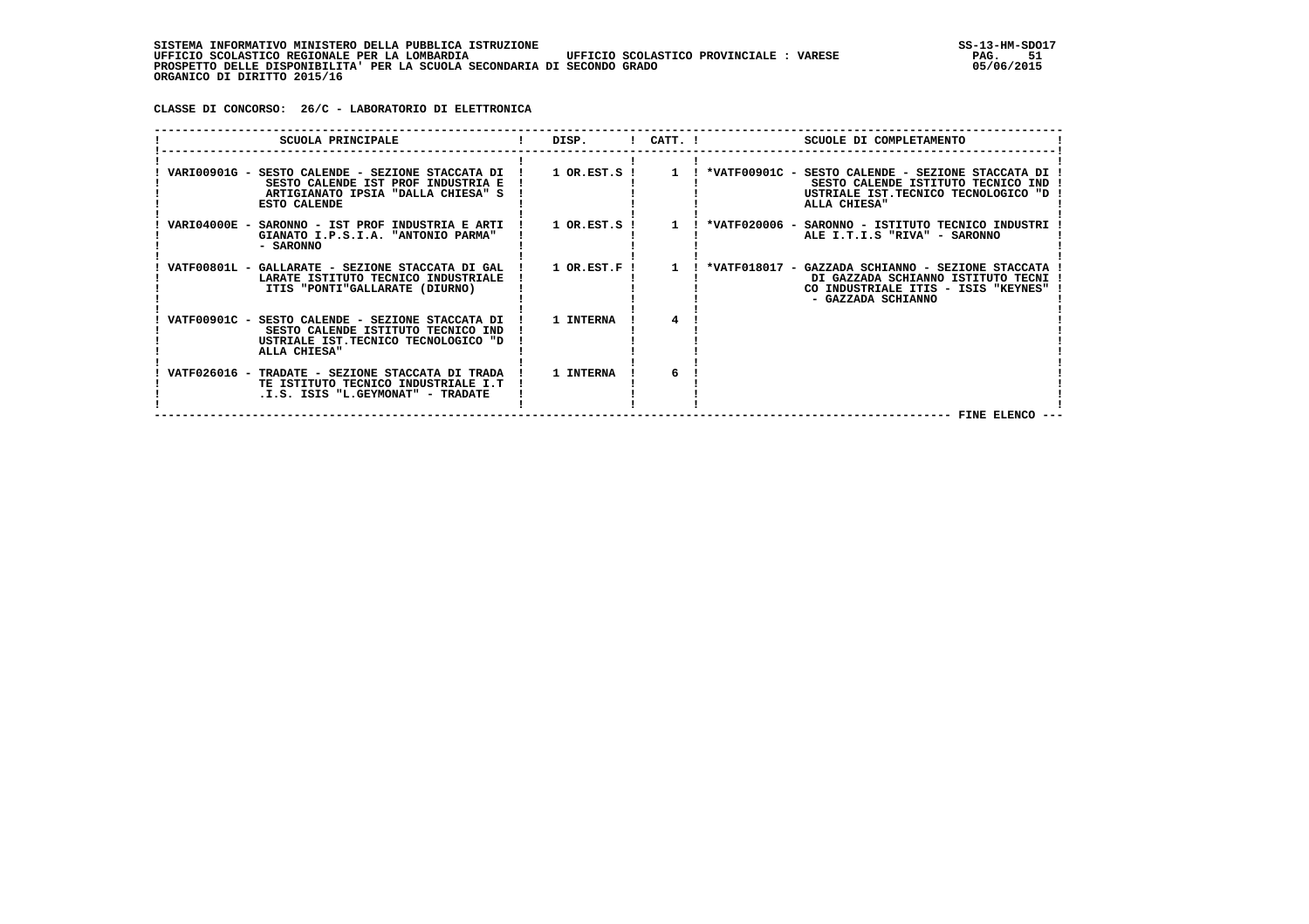**CLASSE DI CONCORSO: 26/C - LABORATORIO DI ELETTRONICA**

| SCUOLA PRINCIPALE                                                                                                                               | $\blacksquare$ DISP. $\blacksquare$ CATT. $\blacksquare$ |           | SCUOLE DI COMPLETAMENTO                                                                                                                                                                                            |
|-------------------------------------------------------------------------------------------------------------------------------------------------|----------------------------------------------------------|-----------|--------------------------------------------------------------------------------------------------------------------------------------------------------------------------------------------------------------------|
| SESTO CALENDE IST PROF INDUSTRIA E<br>ARTIGIANATO IPSIA "DALLA CHIESA" S<br><b>ESTO CALENDE</b>                                                 |                                                          |           | VARI00901G - SESTO CALENDE - SEZIONE STACCATA DI ! 1 OR.EST.S ! 1 ! *VATF00901C - SESTO CALENDE - SEZIONE STACCATA DI<br>SESTO CALENDE ISTITUTO TECNICO IND<br>USTRIALE IST.TECNICO TECNOLOGICO "D<br>ALLA CHIESA" |
| GIANATO I.P.S.I.A. "ANTONIO PARMA"<br>- SARONNO                                                                                                 |                                                          |           | VARI04000E - SARONNO - IST PROF INDUSTRIA E ARTI ! 1 OR.EST.S ! 1 ! *VATF020006 - SARONNO - ISTITUTO TECNICO INDUSTRI<br>ALE I.T.I.S "RIVA" - SARONNO                                                              |
| VATF00801L - GALLARATE - SEZIONE STACCATA DI GAL   1 OR.EST.F  <br>LARATE ISTITUTO TECNICO INDUSTRIALE<br>ITIS "PONTI"GALLARATE (DIURNO)        |                                                          | $\sim$ 1. | ! *VATF018017 - GAZZADA SCHIANNO - SEZIONE STACCATA<br>DI GAZZADA SCHIANNO ISTITUTO TECNI<br>CO INDUSTRIALE ITIS - ISIS "KEYNES"<br>- GAZZADA SCHIANNO                                                             |
| VATF00901C - SESTO CALENDE - SEZIONE STACCATA DI !<br>SESTO CALENDE ISTITUTO TECNICO IND<br>USTRIALE IST.TECNICO TECNOLOGICO "D<br>ALLA CHIESA" | 1 INTERNA                                                |           |                                                                                                                                                                                                                    |
| VATF026016 - TRADATE - SEZIONE STACCATA DI TRADA !<br>TE ISTITUTO TECNICO INDUSTRIALE I.T<br>.I.S. ISIS "L.GEYMONAT" - TRADATE                  | 1 INTERNA                                                | 6         | FINE ELENCO                                                                                                                                                                                                        |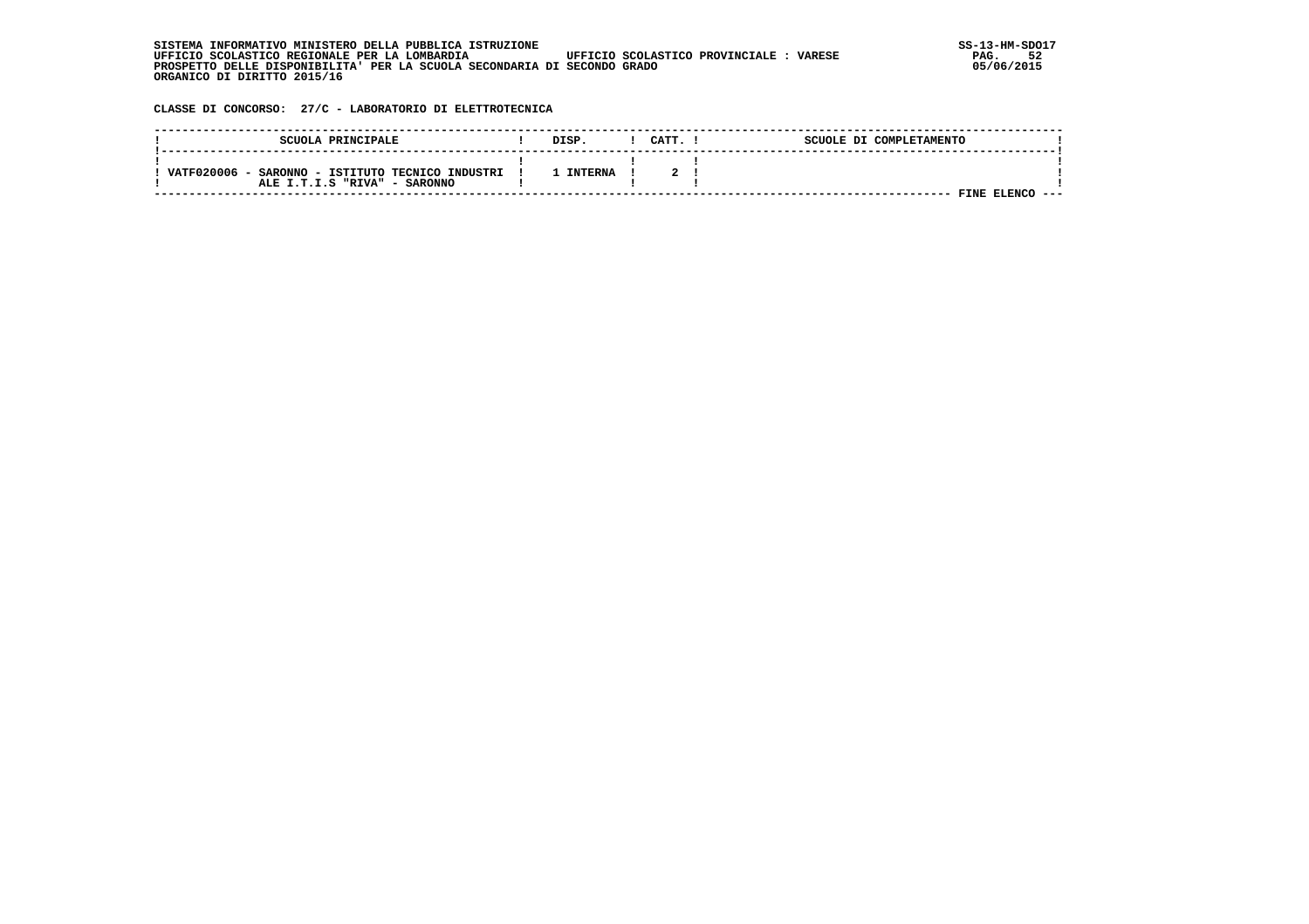| . INFORMATIVO MINISTERO DELLA PUBBLICA ISTRUZIONE<br>STSTEMA                                       | SS-13-HM-SDC |
|----------------------------------------------------------------------------------------------------|--------------|
| UFFICIO SCOLASTICO REGIONALE PER LA LOMBARDIA<br>UFFICIO SCOLASTICO PROVINCIALE :<br><b>VARESE</b> | PAG.         |
| PROSPETTO DELLE DISPONIBILITA' PER LA SCUOLA SECONDARIA DI SECONDO GRADO                           | 05/06/2015   |
| ORGANICO DI DIRITTO 2015/16                                                                        |              |

 **CLASSE DI CONCORSO: 27/C - LABORATORIO DI ELETTROTECNICA**

|            | SCUOLA PRINCIPALE                                                     | DISP           | CATT. | SCUOLE DI COMPLETAMENTO |      |
|------------|-----------------------------------------------------------------------|----------------|-------|-------------------------|------|
| VATF020006 | - SARONNO - ISTITUTO TECNICO INDUSTRI<br>ALE I.T.I.S "RIVA" - SARONNO | <b>INTERNA</b> |       |                         |      |
|            |                                                                       |                |       | FINE ELENCO             | ---- |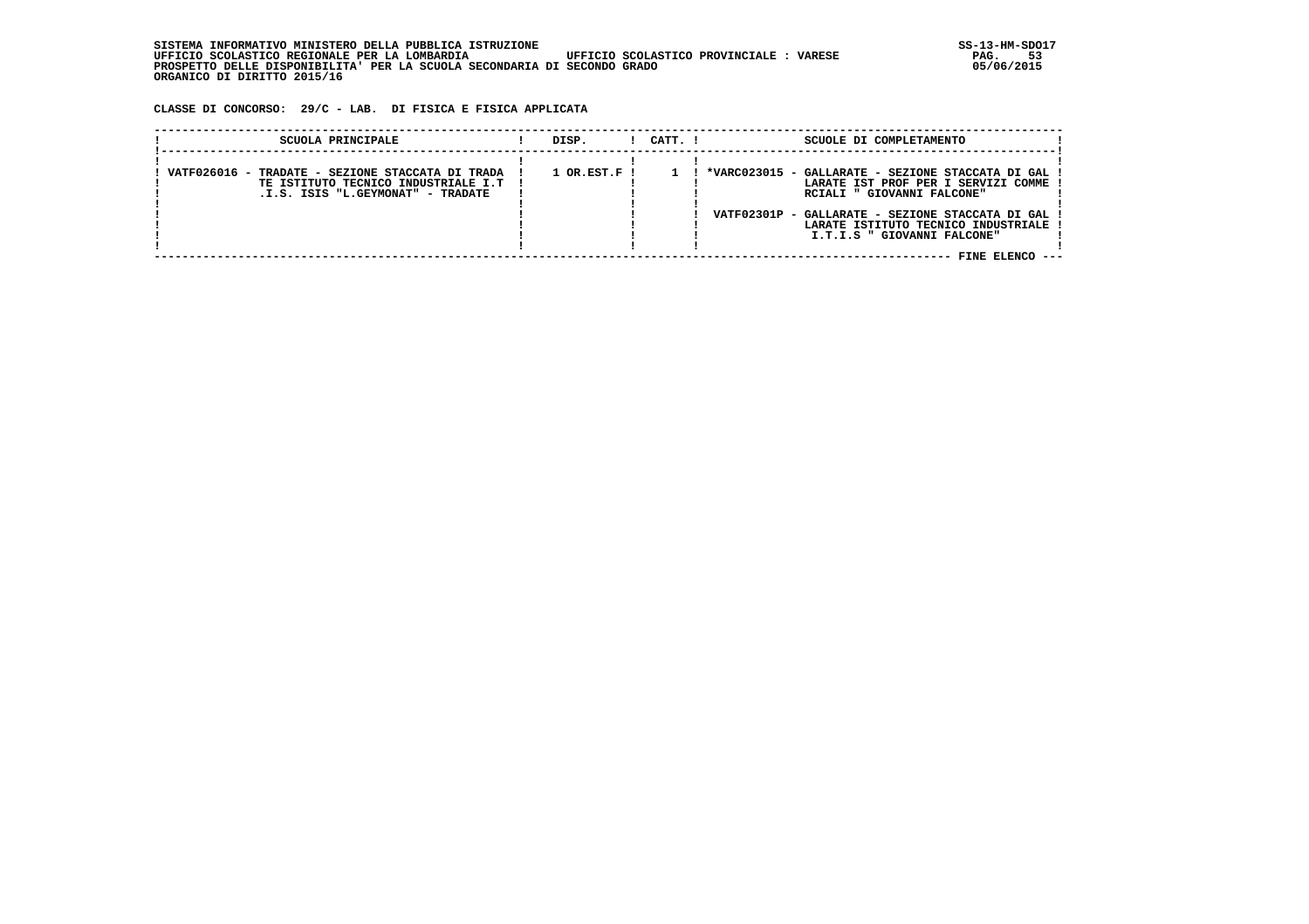**CLASSE DI CONCORSO: 29/C - LAB. DI FISICA E FISICA APPLICATA**

| SCUOLA PRINCIPALE                                                                                                              | DISP.                       | $1$ $CATT$ . $1$ | SCUOLE DI COMPLETAMENTO                                                                                                                                                                                                                          |
|--------------------------------------------------------------------------------------------------------------------------------|-----------------------------|------------------|--------------------------------------------------------------------------------------------------------------------------------------------------------------------------------------------------------------------------------------------------|
| VATF026016 - TRADATE - SEZIONE STACCATA DI TRADA<br>TE ISTITUTO TECNICO INDUSTRIALE I.T  <br>.I.S. ISIS "L.GEYMONAT" - TRADATE | $1$ OR.EST.F $\overline{1}$ |                  | *VARC023015 - GALLARATE - SEZIONE STACCATA DI GAL<br>LARATE IST PROF PER I SERVIZI COMME<br>RCIALI " GIOVANNI FALCONE"<br>VATF02301P - GALLARATE - SEZIONE STACCATA DI GAL<br>LARATE ISTITUTO TECNICO INDUSTRIALE<br>I.T.I.S " GIOVANNI FALCONE" |
|                                                                                                                                |                             |                  | FINE ELENCO                                                                                                                                                                                                                                      |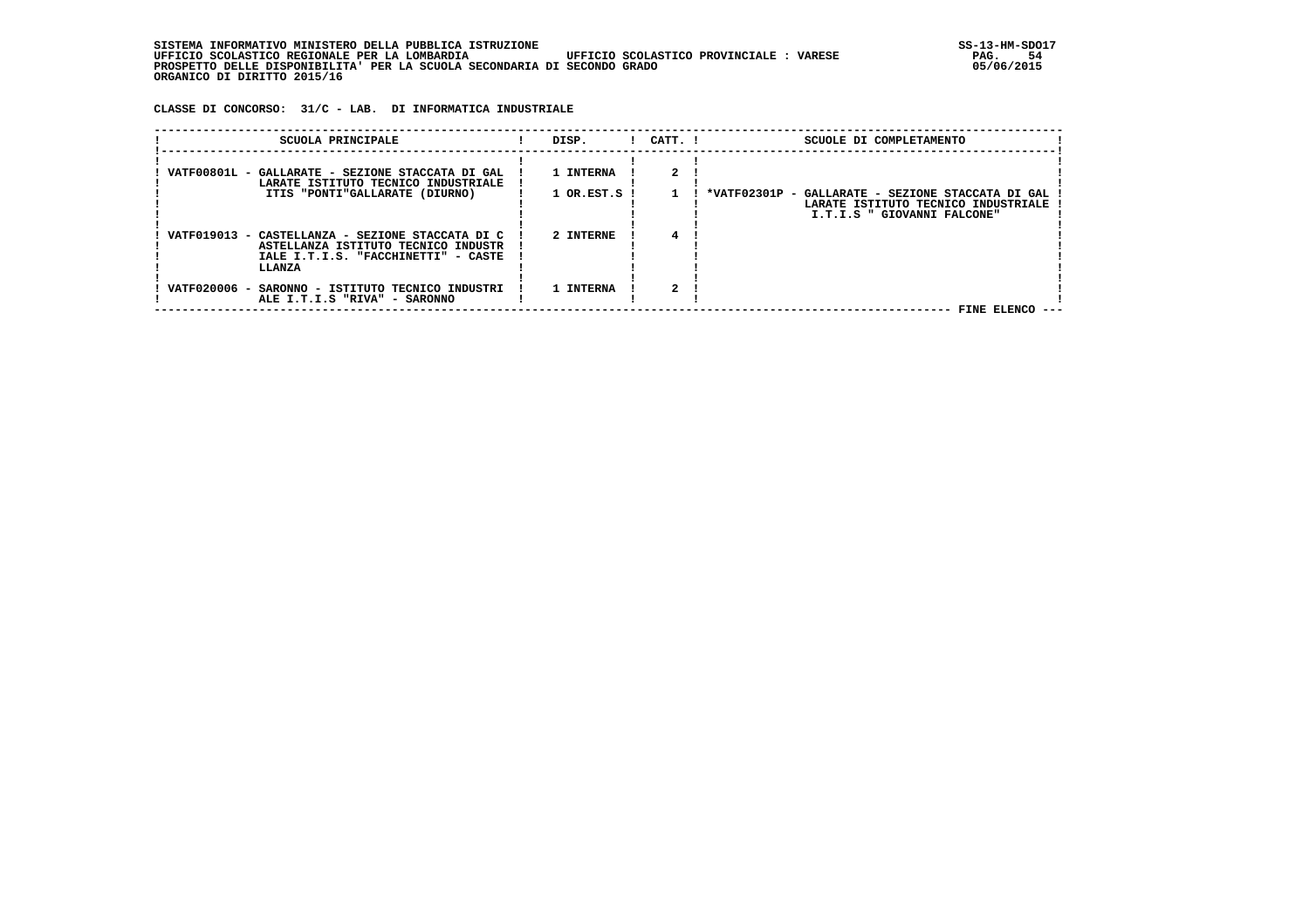| INFORMATIVO MINISTERO DELLA PUBBLICA ISTRUZIONE .<br>STSTEMA                                      | SS-13-HM-SDC |
|---------------------------------------------------------------------------------------------------|--------------|
| UFFICIO SCOLASTICO REGIONALE PER LA LOMBARDIA<br>UFFICIO SCOLASTICO PROVINCIALE:<br><b>VARESE</b> | PAG.         |
| PROSPETTO DELLE DISPONIBILITA' PER LA SCUOLA SECONDARIA DI SECONDO GRADO                          | 05/06/2015   |
| ORGANICO DI DIRITTO 2015/16                                                                       |              |

 **CLASSE DI CONCORSO: 31/C - LAB. DI INFORMATICA INDUSTRIALE**

| SCUOLA PRINCIPALE                                                                       | DISP.        | $!$ $CATT$ . $!$ | SCUOLE DI COMPLETAMENTO                                                                     |
|-----------------------------------------------------------------------------------------|--------------|------------------|---------------------------------------------------------------------------------------------|
| VATF00801L - GALLARATE - SEZIONE STACCATA DI GAL<br>LARATE ISTITUTO TECNICO INDUSTRIALE | 1 INTERNA    |                  |                                                                                             |
| ITIS "PONTI"GALLARATE (DIURNO)                                                          | 1 OR.EST.S ! |                  | *VATF02301P -<br>GALLARATE - SEZIONE STACCATA DI GAL<br>LARATE ISTITUTO TECNICO INDUSTRIALE |
| VATF019013 - CASTELLANZA - SEZIONE STACCATA DI C                                        | 2 INTERNE    |                  | I.T.I.S " GIOVANNI FALCONE"                                                                 |
| ASTELLANZA ISTITUTO TECNICO INDUSTR<br>IALE I.T.I.S. "FACCHINETTI" - CASTE<br>LLANZA    |              |                  |                                                                                             |
| VATF020006 - SARONNO - ISTITUTO TECNICO INDUSTRI<br>ALE I.T.I.S "RIVA" - SARONNO        | 1 INTERNA    |                  |                                                                                             |
|                                                                                         |              |                  | FINE ELENCO --                                                                              |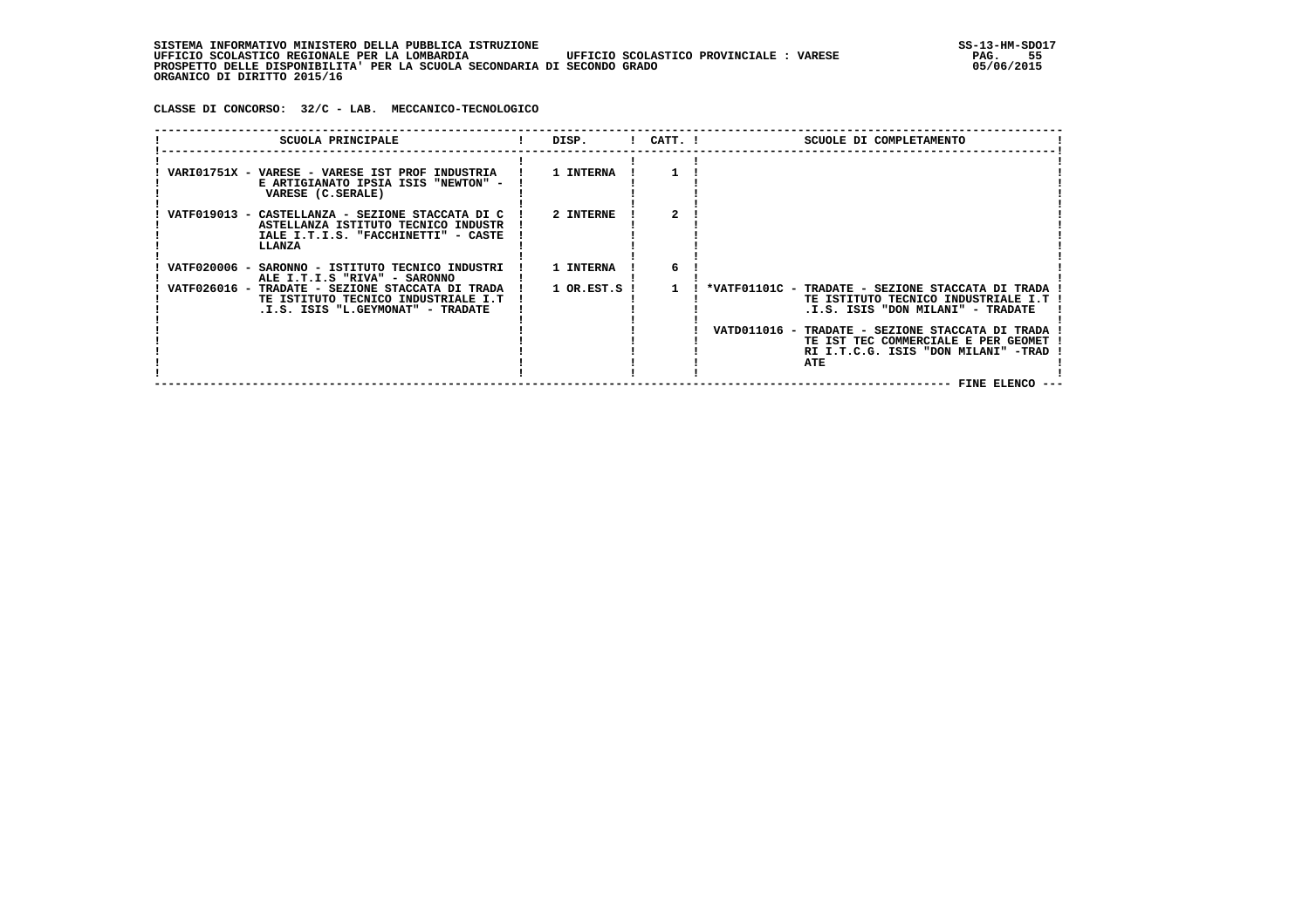**CLASSE DI CONCORSO: 32/C - LAB. MECCANICO-TECNOLOGICO**

| VARI01751X - VARESE - VARESE IST PROF INDUSTRIA<br>E ARTIGIANATO IPSIA ISIS "NEWTON" -<br>VARESE (C.SERALE)<br>VATF019013 - CASTELLANZA - SEZIONE STACCATA DI C<br>ASTELLANZA ISTITUTO TECNICO INDUSTR           | 1 INTERNA<br>2 INTERNE         |                                                                                                                                                                                                                                                                        |
|------------------------------------------------------------------------------------------------------------------------------------------------------------------------------------------------------------------|--------------------------------|------------------------------------------------------------------------------------------------------------------------------------------------------------------------------------------------------------------------------------------------------------------------|
|                                                                                                                                                                                                                  |                                |                                                                                                                                                                                                                                                                        |
| IALE I.T.I.S. "FACCHINETTI" - CASTE<br>LLANZA                                                                                                                                                                    |                                |                                                                                                                                                                                                                                                                        |
| VATF020006 - SARONNO - ISTITUTO TECNICO INDUSTRI<br>ALE I.T.I.S "RIVA" - SARONNO<br>VATF026016 - TRADATE - SEZIONE STACCATA DI TRADA<br>TE ISTITUTO TECNICO INDUSTRIALE I.T<br>.I.S. ISIS "L.GEYMONAT" - TRADATE | 1 INTERNA<br>6<br>1 OR.EST.S ! | *VATF01101C - TRADATE - SEZIONE STACCATA DI TRADA<br>TE ISTITUTO TECNICO INDUSTRIALE I.T<br>.I.S. ISIS "DON MILANI" - TRADATE<br>VATD011016 - TRADATE - SEZIONE STACCATA DI TRADA<br>TE IST TEC COMMERCIALE E PER GEOMET<br>RI I.T.C.G. ISIS "DON MILANI" -TRAD<br>ATE |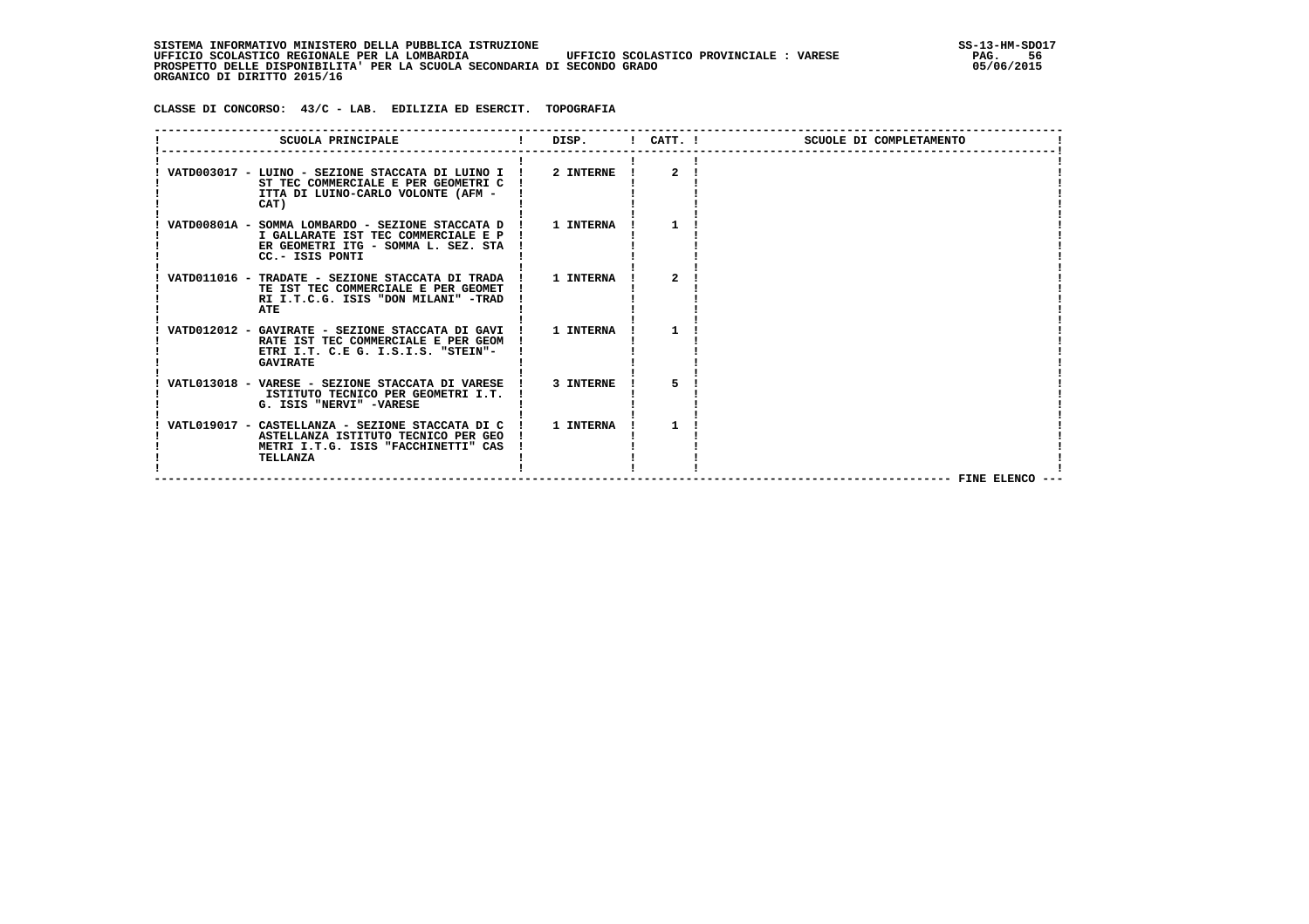SISTEMA INFORMATIVO MINISTERO DELLA PUBBLICA ISTRUZIONE<br>UFFICIO SCOLASTICO REGIONALE PER LA LOMBARDIA UFFICIO SCOLASTICO PROVINCIALE : VARESE STAG. 56  **UFFICIO SCOLASTICO REGIONALE PER LA LOMBARDIA UFFICIO SCOLASTICO PROVINCIALE : VARESE PAG. 56 PROSPETTO DELLE DISPONIBILITA' PER LA SCUOLA SECONDARIA DI SECONDO GRADO 05/06/2015 ORGANICO DI DIRITTO 2015/16**

 **CLASSE DI CONCORSO: 43/C - LAB. EDILIZIA ED ESERCIT. TOPOGRAFIA**

| SCUOLA PRINCIPALE                                                                                                                                   | <b>Contract Contract Contract</b> |              | DISP. ! CATT. !<br>SCUOLE DI COMPLETAMENTO |  |
|-----------------------------------------------------------------------------------------------------------------------------------------------------|-----------------------------------|--------------|--------------------------------------------|--|
| VATD003017 - LUINO - SEZIONE STACCATA DI LUINO I !<br>ST TEC COMMERCIALE E PER GEOMETRI C<br>ITTA DI LUINO-CARLO VOLONTE (AFM -<br>CAT)             | 2 INTERNE                         | $\mathbf{2}$ |                                            |  |
| VATD00801A - SOMMA LOMBARDO - SEZIONE STACCATA D !<br>I GALLARATE IST TEC COMMERCIALE E P<br>ER GEOMETRI ITG - SOMMA L. SEZ. STA<br>CC.- ISIS PONTI | 1 INTERNA                         |              |                                            |  |
| VATD011016 - TRADATE - SEZIONE STACCATA DI TRADA !<br>TE IST TEC COMMERCIALE E PER GEOMET<br>RI I.T.C.G. ISIS "DON MILANI" -TRAD<br>ATE             | 1 INTERNA                         | 2            |                                            |  |
| VATD012012 - GAVIRATE - SEZIONE STACCATA DI GAVI !<br>RATE IST TEC COMMERCIALE E PER GEOM<br>ETRI I.T. C.E G. I.S.I.S. "STEIN"-<br><b>GAVIRATE</b>  | 1 INTERNA                         |              |                                            |  |
| VATL013018 - VARESE - SEZIONE STACCATA DI VARESE !<br>ISTITUTO TECNICO PER GEOMETRI I.T.<br>G. ISIS "NERVI" -VARESE                                 | 3 INTERNE                         |              |                                            |  |
| VATL019017 - CASTELLANZA - SEZIONE STACCATA DI C !<br>ASTELLANZA ISTITUTO TECNICO PER GEO<br>METRI I.T.G. ISIS "FACCHINETTI" CAS<br>TELLANZA        | 1 INTERNA                         |              |                                            |  |
|                                                                                                                                                     |                                   |              | FINE ELENCO --                             |  |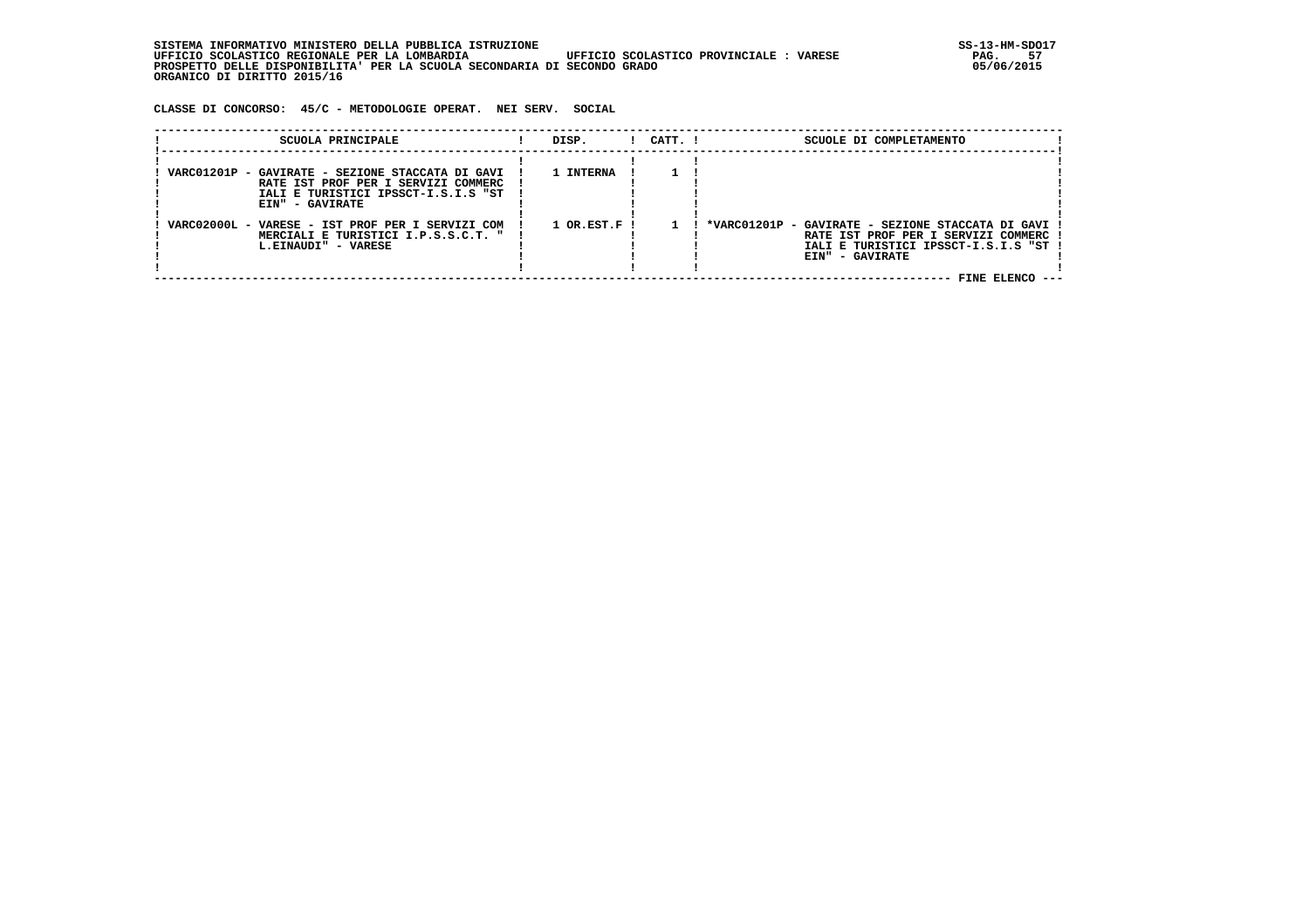SISTEMA INFORMATIVO MINISTERO DELLA PUBBLICA ISTRUZIONE<br>UFFICIO SCOLASTICO REGIONALE PER LA LOMBARDIA UFFICIO SCOLASTICO PROVINCIALE : VARESE **STAG ASSE** PAG. 57  **UFFICIO SCOLASTICO REGIONALE PER LA LOMBARDIA UFFICIO SCOLASTICO PROVINCIALE : VARESE PAG. 57 PROSPETTO DELLE DISPONIBILITA' PER LA SCUOLA SECONDARIA DI SECONDO GRADO 05/06/2015 ORGANICO DI DIRITTO 2015/16**

 **CLASSE DI CONCORSO: 45/C - METODOLOGIE OPERAT. NEI SERV. SOCIAL**

| SCUOLA PRINCIPALE                                                                                                                                 | DISP.          | $1$ $CATT$ . $1$ | SCUOLE DI COMPLETAMENTO                                                                                                                                                   |
|---------------------------------------------------------------------------------------------------------------------------------------------------|----------------|------------------|---------------------------------------------------------------------------------------------------------------------------------------------------------------------------|
| VARC01201P - GAVIRATE - SEZIONE STACCATA DI GAVI<br>RATE IST PROF PER I SERVIZI COMMERC<br>IALI E TURISTICI IPSSCT-I.S.I.S "ST<br>EIN" - GAVIRATE | 1 INTERNA      |                  |                                                                                                                                                                           |
| VARC02000L - VARESE - IST PROF PER I SERVIZI COM<br>MERCIALI E TURISTICI I.P.S.S.C.T. "<br>L.EINAUDI" - VARESE                                    | $1$ OR.EST.F ! |                  | *VARC01201P - GAVIRATE - SEZIONE STACCATA DI GAVI !<br>RATE IST PROF PER I SERVIZI COMMERC<br>IALI E TURISTICI IPSSCT-I.S.I.S "ST !<br>EIN" - GAVIRATE<br>FINE ELENCO --- |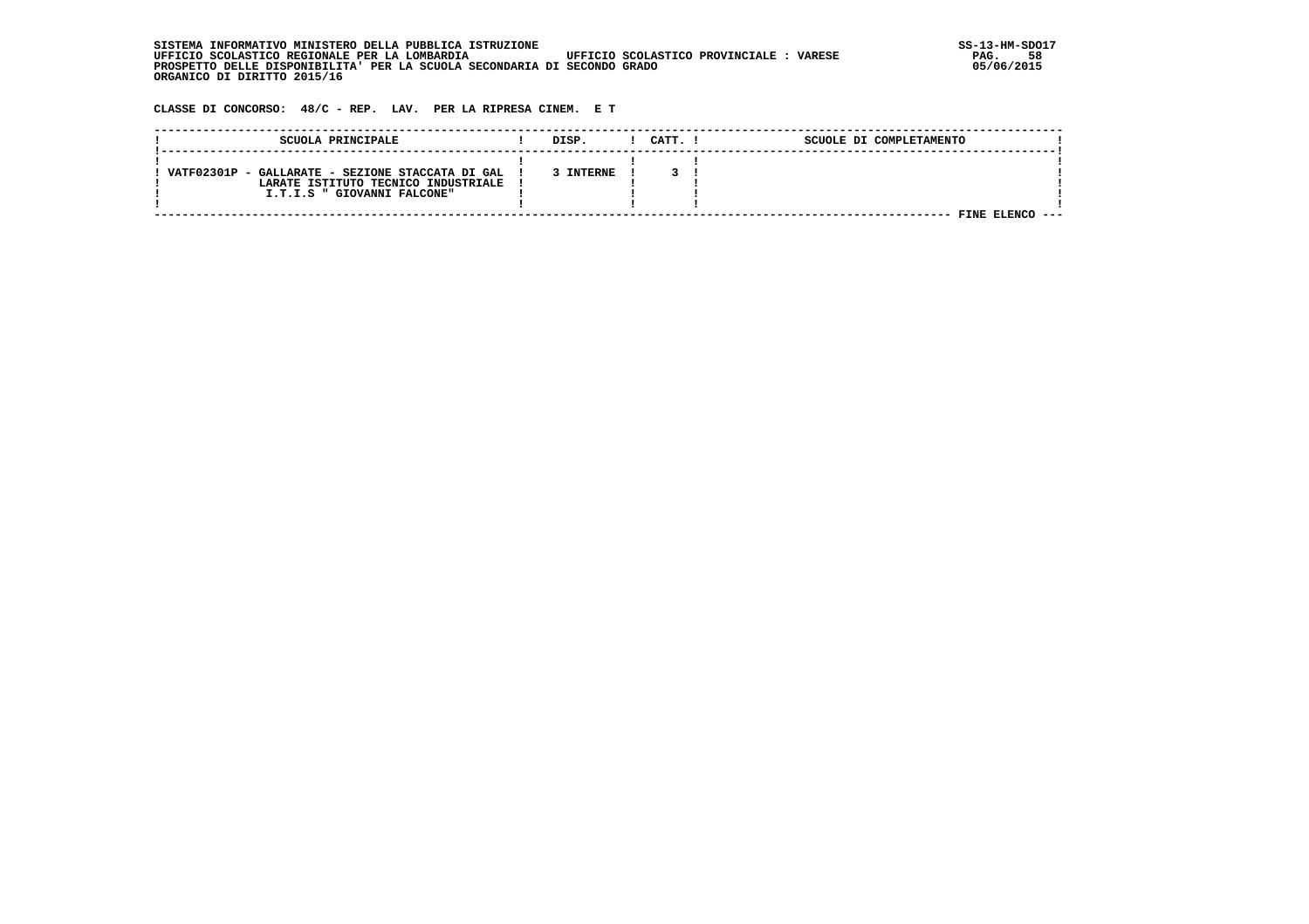| , INFORMATIVO MINISTERO DELLA PUBBLICA ISTRUZIONE<br>STSTEMA                                      | SS-13-HM-SDC |
|---------------------------------------------------------------------------------------------------|--------------|
| UFFICIO SCOLASTICO REGIONALE PER LA LOMBARDIA<br>UFFICIO SCOLASTICO PROVINCIALE:<br><b>VARESE</b> | 58<br>PAG.   |
| PROSPETTO DELLE DISPONIBILITA' PER LA SCUOLA SECONDARIA DI SECONDO GRADO                          | 05/06/2015   |
| ORGANICO DI DIRITTO 2015/16                                                                       |              |

 **CLASSE DI CONCORSO: 48/C - REP. LAV. PER LA RIPRESA CINEM. E T**

| SCUOLA PRINCIPALE                                                                                                      | DISP.     | CATT. I | SCUOLE DI COMPLETAMENTO |  |
|------------------------------------------------------------------------------------------------------------------------|-----------|---------|-------------------------|--|
| VATF02301P - GALLARATE - SEZIONE STACCATA DI GAL<br>LARATE ISTITUTO TECNICO INDUSTRIALE<br>I.T.I.S " GIOVANNI FALCONE" | 3 INTERNE |         | FINE                    |  |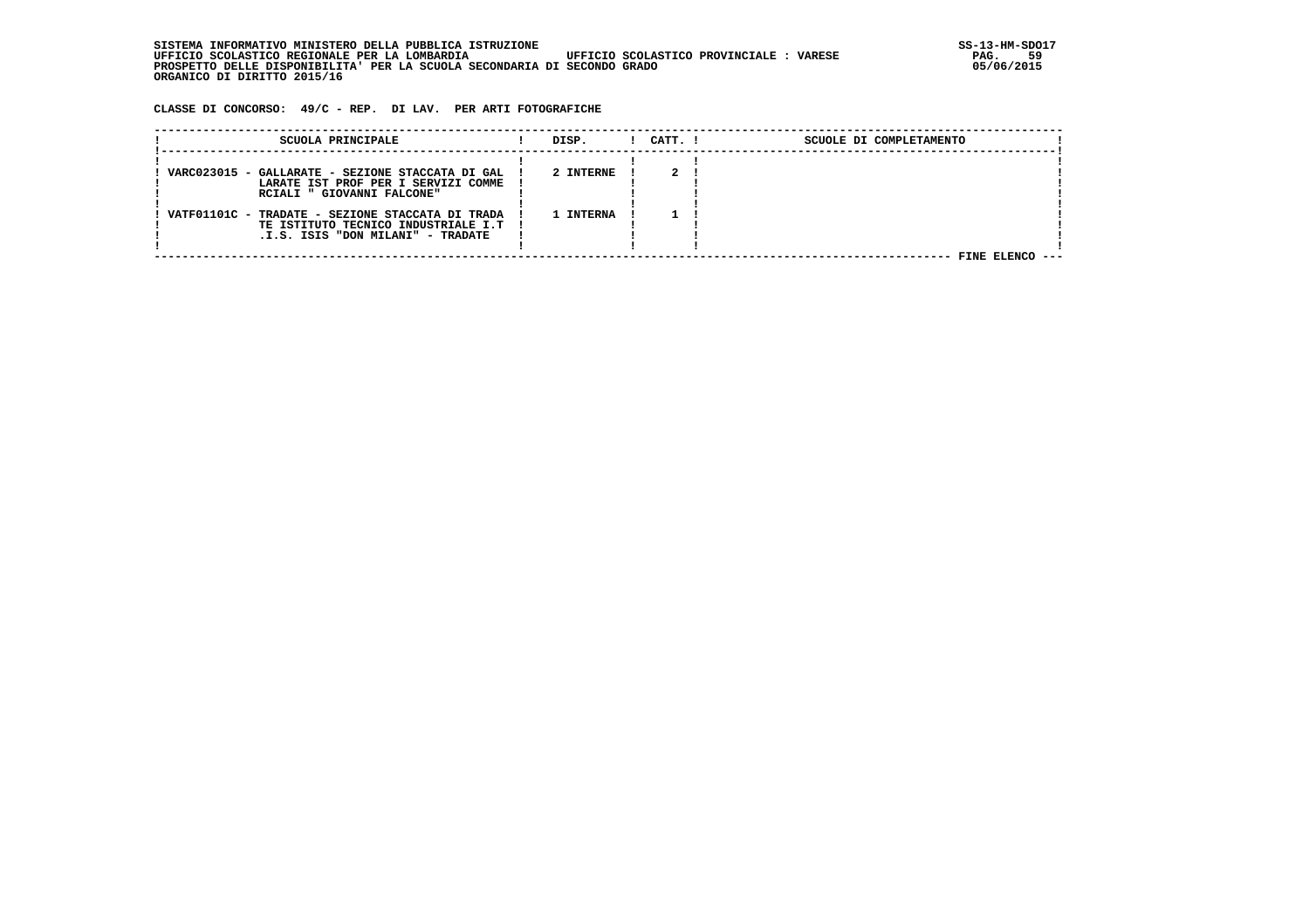| INFORMATIVO MINISTERO DELLA PUBBLICA ISTRUZIONE .<br>STSTEMA                                      | SS-13-HM-SDC |
|---------------------------------------------------------------------------------------------------|--------------|
| UFFICIO SCOLASTICO REGIONALE PER LA LOMBARDIA<br>UFFICIO SCOLASTICO PROVINCIALE:<br><b>VARESE</b> | 59<br>PAG.   |
| PROSPETTO DELLE DISPONIBILITA' PER LA SCUOLA SECONDARIA DI SECONDO GRADO                          | 05/06/2015   |
| ORGANICO DI DIRITTO 2015/16                                                                       |              |

 **CLASSE DI CONCORSO: 49/C - REP. DI LAV. PER ARTI FOTOGRAFICHE**

| SCUOLA PRINCIPALE                                                                                                                | DISP.     | $1$ $CATT$ . $1$ | SCUOLE DI COMPLETAMENTO |
|----------------------------------------------------------------------------------------------------------------------------------|-----------|------------------|-------------------------|
| VARC023015 - GALLARATE - SEZIONE STACCATA DI GAL !<br>LARATE IST PROF PER I SERVIZI COMME<br>RCIALI " GIOVANNI FALCONE"          | 2 INTERNE |                  |                         |
| VATF01101C - TRADATE - SEZIONE STACCATA DI TRADA !<br>TE ISTITUTO TECNICO INDUSTRIALE I.T  <br>.I.S. ISIS "DON MILANI" - TRADATE | 1 INTERNA |                  |                         |
|                                                                                                                                  |           |                  | FINE FLENCO             |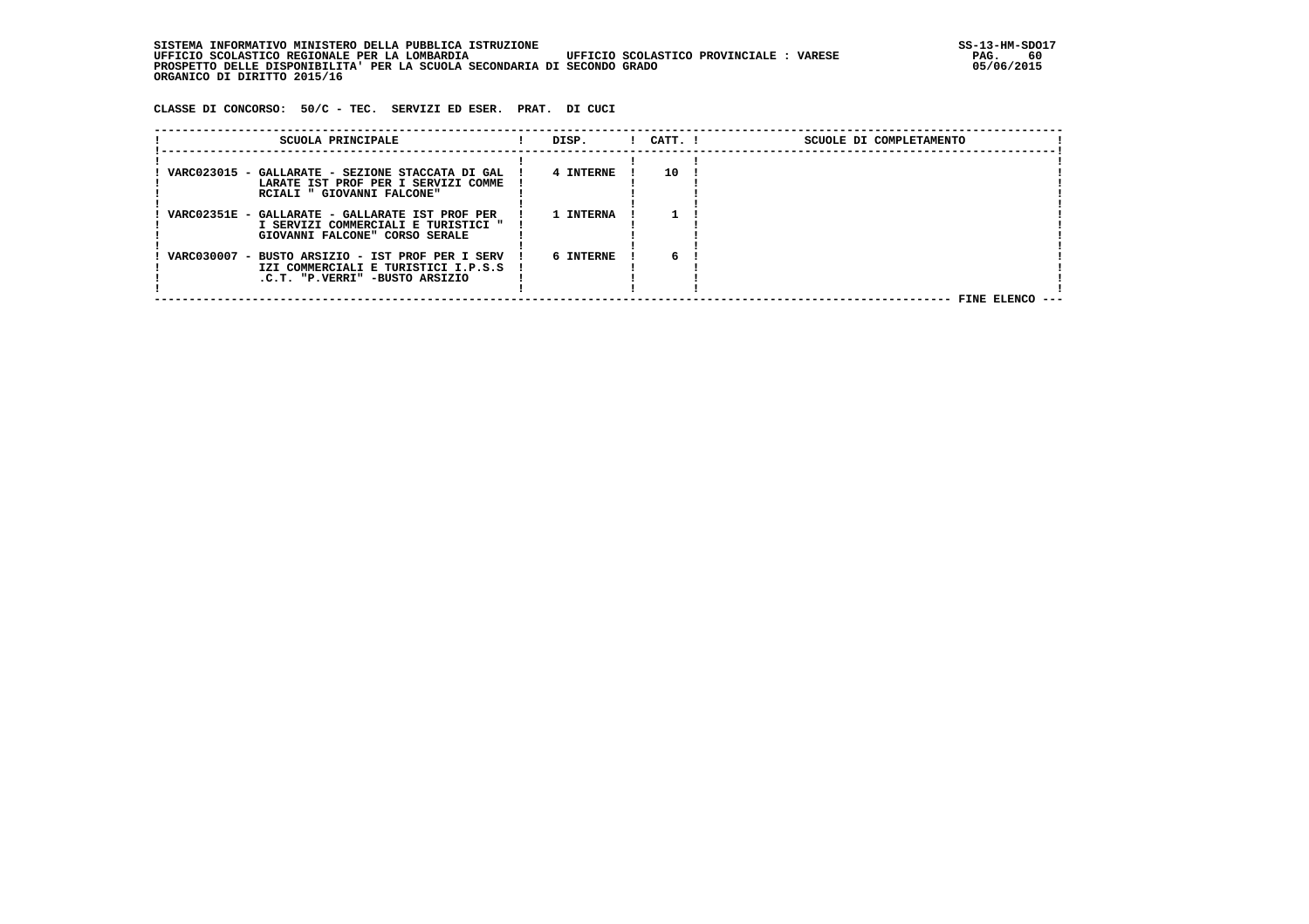SISTEMA INFORMATIVO MINISTERO DELLA PUBBLICA ISTRUZIONE<br>1991 UFFICIO SCOLASTICO REGIONALE PER LA LOMBARDIA UFFICIO SCOLASTICO PROVINCIALE : VARESE  **UFFICIO SCOLASTICO REGIONALE PER LA LOMBARDIA UFFICIO SCOLASTICO PROVINCIALE : VARESE PAG. 60 PROSPETTO DELLE DISPONIBILITA' PER LA SCUOLA SECONDARIA DI SECONDO GRADO 05/06/2015 ORGANICO DI DIRITTO 2015/16**

 **CLASSE DI CONCORSO: 50/C - TEC. SERVIZI ED ESER. PRAT. DI CUCI**

| SCUOLA PRINCIPALE                                                                                                         | DISP.     | $1$ $CATT$ . $1$ | SCUOLE DI COMPLETAMENTO |  |
|---------------------------------------------------------------------------------------------------------------------------|-----------|------------------|-------------------------|--|
| VARC023015 - GALLARATE - SEZIONE STACCATA DI GAL  <br>LARATE IST PROF PER I SERVIZI COMME<br>RCIALI " GIOVANNI FALCONE"   | 4 INTERNE | 10               |                         |  |
| VARC02351E - GALLARATE - GALLARATE IST PROF PER<br>I SERVIZI COMMERCIALI E TURISTICI "<br>GIOVANNI FALCONE" CORSO SERALE  | 1 INTERNA |                  |                         |  |
| VARC030007 - BUSTO ARSIZIO - IST PROF PER I SERV<br>IZI COMMERCIALI E TURISTICI I.P.S.S<br>.C.T. "P.VERRI" -BUSTO ARSIZIO | 6 INTERNE | 6                | FINE ELENCO             |  |